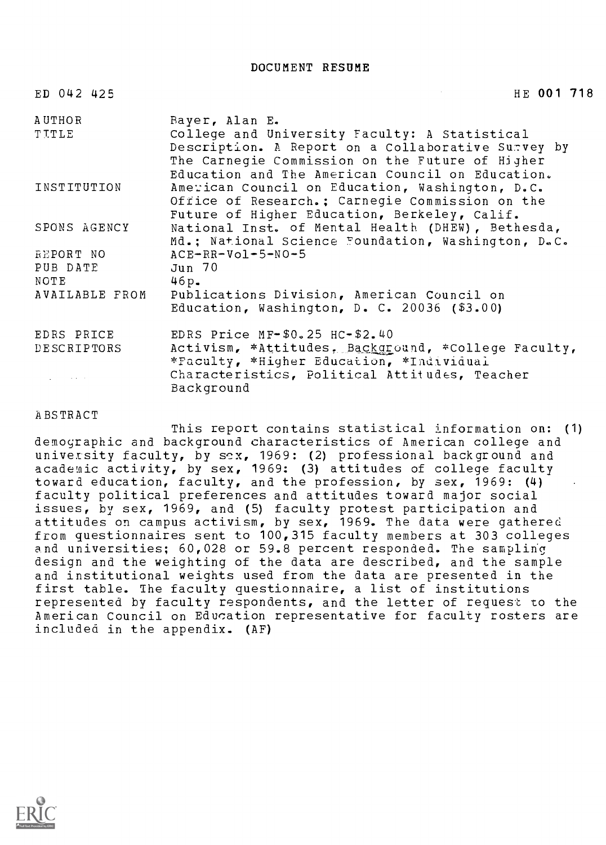DOCUMENT RESUME

| ED 042 425                      | HE 001 718                                                                                                                                                                                                 |
|---------------------------------|------------------------------------------------------------------------------------------------------------------------------------------------------------------------------------------------------------|
| A UTHOR                         | Bayer, Alan E.                                                                                                                                                                                             |
| TITLE                           | College and University Faculty: A Statistical<br>Description. A Report on a Collaborative Survey by<br>The Carnegie Commission on the Future of Higher<br>Education and The American Council on Education. |
| INSTITUTION                     | American Council on Education, Washington, D.C.<br>Office of Research.; Carnegie Commission on the<br>Future of Higher Education, Berkeley, Calif.                                                         |
| SPONS AGENCY                    | National Inst. of Mental Health (DHEW), Bethesda,<br>Md.; National Science Foundation, Washington, D.C.                                                                                                    |
| REPORT NO                       | $ACE-RR-Vo1-5-NO-5$                                                                                                                                                                                        |
| PUB DATE                        | Jun 70                                                                                                                                                                                                     |
| NOTE                            | 46p <sub>•</sub>                                                                                                                                                                                           |
| AVAILABLE FROM                  | Publications Division, American Council on<br>Education, Washington, D. C. 20036 (\$3.00)                                                                                                                  |
| EDRS PRICE                      | EDRS Price $MF-$0.25$ HC-\$2.40                                                                                                                                                                            |
| DESCRIPTORS<br>graduate and the | Activism, *Attitudes, Background, *College Faculty,<br>*Faculty, *Higher Education, *Individual<br>Characteristics, Political Attitudes, Teacher<br>Background                                             |

ABSTRACT

This report contains statistical information on: (1) demographic and background characteristics of American college and university faculty, by sex, 1969: (2) professional background and academic activity, by sex, 1969: (3) attitudes of college faculty toward education, faculty, and the profession, by sex, 1969: (4) faculty political preferences and attitudes toward major social issues, by sex, 1969, and (5) faculty protest participation and attitudes on campus activism, by sex, 1969. The data were gathered from questionnaires sent to 100,315 faculty members at 303 colleges and universities; 60,028 or 59.8 percent responded. The sampling design and the weighting of the data are described, and the sample and institutional weights used from the data are presented in the first table. The faculty questionnaire, a list of institutions represented by faculty respondents, and the letter of request to the American Council on Education representative for faculty rosters are included in the appendix. (AF)

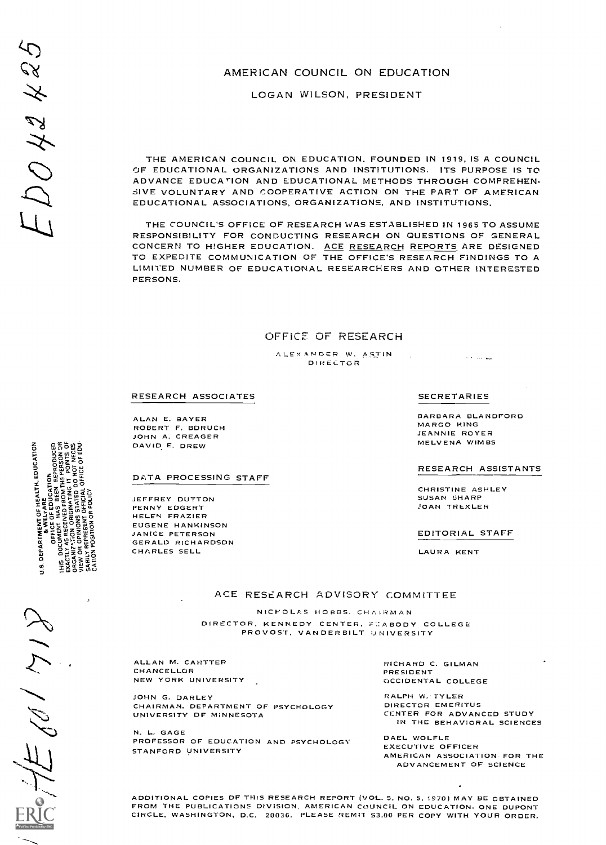## AMERICAN COUNCIL ON EDUCATION

LOGAN WILSON, PRESIDENT

THE AMERICAN COUNCIL ON EDUCATION, FOUNDED IN 1919, IS A COUNCIL OF EDUCATIONAL ORGANIZATIONS AND INSTITUTIONS. ITS PURPOSE IS TO ADVANCE EDUCATION AND EDUCATIONAL METHODS THROUGH COMPREHEN-SIVE VOLUNTARY AND COOPERATIVE ACTION ON THE PART OF AMERICAN EDUCATIONAL ASSOCIATIONS, ORGANIZATIONS, AND INSTITUTIONS,

THE COUNCIL'S OFFICE OF RESEARCH WAS ESTABLISHED IN 1965 TO ASSUME RESPONSIBILITY FOR CONDUCTING RESEARCH ON QUESTIONS OF GENERAL CONCERN TO HIGHER EDUCATION. ACE RESEARCH REPORTS ARE DESIGNED TO EXPEDITE COMMUNICATION CF THE OFFICE'S RESEARCH FINDINGS TO A LIMITED NUMBER OF EDUCATIONAL RESEARCHERS AND OTHER INTERESTED PERSONS.

## OFFICE OF RESEARCH

ALEXANDER W. ASTIN DIRECTOR

## RESEARCH ASSOCIATES SECRETARIES

ALAN E. BAYER ROBERT F. BDRUCH JOHN A. CREAGER DAVID E. DREW

## DATA PROCESSING STAFF

JEFFREY DUTTON PENNY EDGERT HELEN FRAZIER EUGENE HANKINSON JANICE PETERSON GERALD RICHARDSDN CHARLES SELL

BARBARA BLA NDFORD MARGO KING JEANNIE ROYER MELVENA WIMBS

## RESEARCH ASSISTANTS

يفعالما الحاج

CHRISTINE ASHLEY SUSAN SHARP JOAN TREXLER

## EDITORIAL STAFF

LAURA KENT

## ACE RESEARCH ADVISORY COMMITTEE

NICFOLAS HOBBS. CHAIRMAN DIRECTOR, KENNEDY CENTER, PIABODY COLLEGE PROVOST, VANDERBILT UNIVERSITY

ALLAN M. CAHTTEF CHANCELLOR NEW YORK UNIVERSITY

JOHN G. DARLEY CHAIRMAN. DEPARTMENT OF PSYCHOLOGY UNIVERSITY DF MINNESOTA

N. L. GAGE PROFESSOR OF EDUCATION AND PSYCHOLOGY STANFORD UNIVERSITY

RICHARD C. GILMAN PRESIDENT OCCIDENTAL COLLEGE

RALPH W. TYLER DIRECTOR EMERITUS CENTER FOR ADVANCED STUDY IN THE BEHAVIORAL SCIENCES

DAEL WOLFLE EXECUTIVE OFFICER AMERICAN ASSOCIATION FOR THE ADVANCEMENT OF SCIENCE

ADDITIONAL COPIES DF THIS RESEARCH REPORT (VOL. 5, NO, 5, 1970) MAY BE OBTAINED FROM THE PUBLICATIONS. DIVISION, AMERICAN COUNCIL ON EDUCATION, ONE DUPONT CIRCLE, WASHINGTON. D.C. 20036. PLEASE REMIT 53.00 PER COPY WITH YOUR ORDER.

U.S. DEPARTMENT OF HEALTH. EDUCATION<br>THIS DOUNER TO FEDUCATION<br>THIS DOUNER THE PRODUCED<br>THIS DOUNER THE REPRODUCED<br>DRAMP Y: DOUNER THE REPRODUCED<br>ORGANIZY: DOU GRIGINATING IT NOT NECES<br>SAIDY OR DRIES DRAMP SECTION OF REPLA

 $\cdot$ 

くんしょう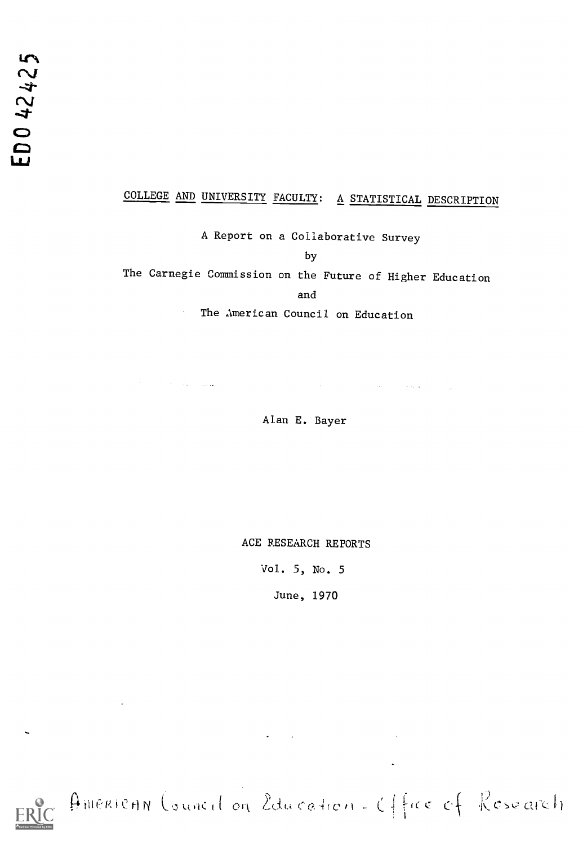## COLLEGE AND UNIVERSITY FACULTY: A STATISTICAL DESCRIPTION

A Report on a Collaborative Survey

by

The Carnegie Commission on the Future of Higher Education and

The American Council on Education

 $\hat{\boldsymbol{\beta}}$ 

 $\mathcal{F}^{\mathcal{L}}$  and  $\mathcal{F}^{\mathcal{L}}$  are the set of the set of  $\mathcal{L}$ 

Alan E. Bayer

 $\sim 1000$ 

 $\mathcal{L}_{\text{max}}$  and  $\mathcal{L}_{\text{max}}$ 

**Contractor** 

ACE RESEARCH REPORTS

Vol. 5, No. 5

June, 1970

American Council on Education - Cffice of Rosearch

 $\mathcal{A}(\mathbf{z})$  and  $\mathcal{A}(\mathbf{z})$  are  $\mathcal{A}(\mathbf{z})$  . The contribution of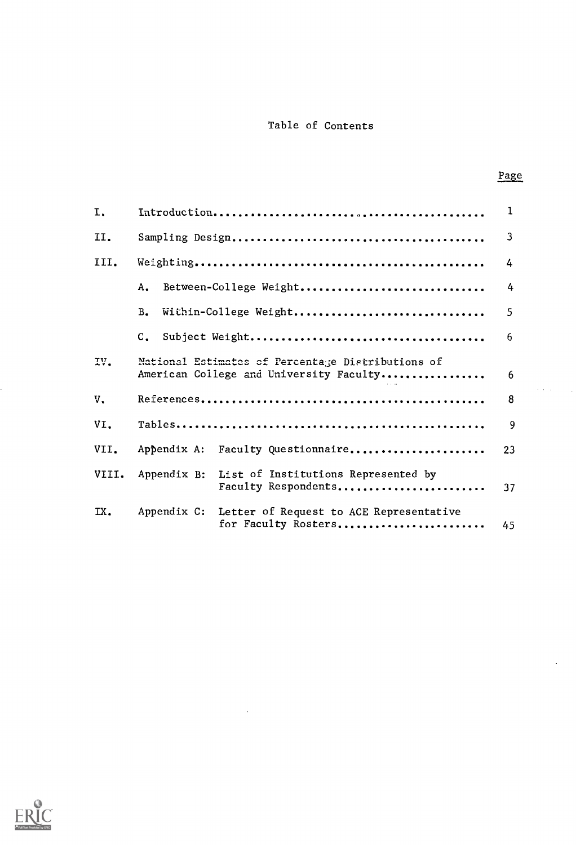## Table of Contents

Page.

 $\mathcal{L}_{\mathcal{A}}$ 

| I.      |               |                                                                                              | 1  |
|---------|---------------|----------------------------------------------------------------------------------------------|----|
| II.     |               |                                                                                              | 3  |
| III.    |               |                                                                                              | 4  |
|         | A.            | Between-College Weight                                                                       | 4  |
|         | в.            | Within-College Weight                                                                        | 5  |
|         | $C_{\bullet}$ |                                                                                              | 6  |
| IV.     |               | National Estimates of Percentage Distributions of<br>American College and University Faculty | 6  |
| $V_{-}$ |               |                                                                                              | 8  |
| VI.     |               |                                                                                              | 9  |
| VII.    |               | Appendix A: Faculty Questionnaire                                                            | 23 |
| VIII.   |               | Appendix B: List of Institutions Represented by<br>Faculty Respondents                       | 37 |
| IX.     |               | Appendix C: Letter of Request to ACE Representative<br>for Faculty Rosters                   | 45 |

 $\ddot{\phantom{a}}$ 

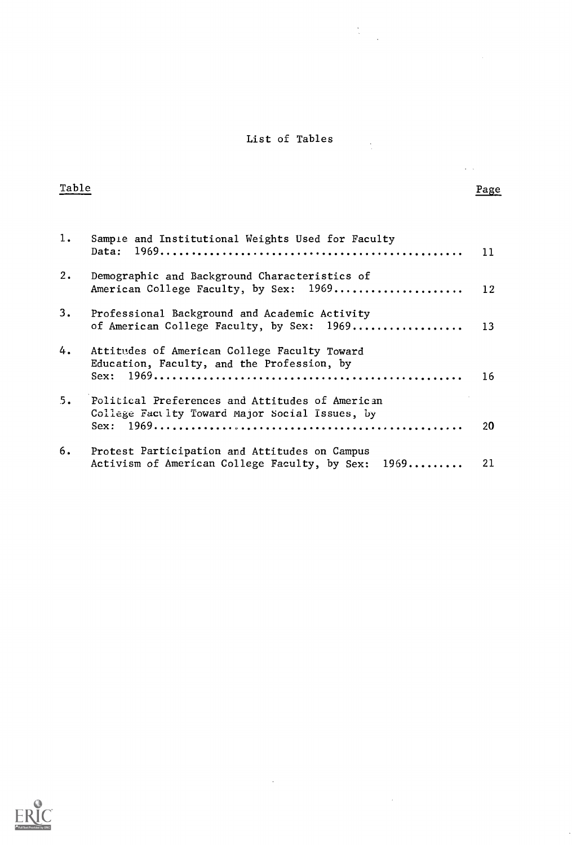## List of Tables

 $\mathcal{N}_{\mathrm{c}}$ 

| Table    | <u>Page</u> |
|----------|-------------|
| ________ |             |

÷.

| 1. | Sample and Institutional Weights Used for Faculty                                                   |     |
|----|-----------------------------------------------------------------------------------------------------|-----|
| 2. | Demographic and Background Characteristics of<br>American College Faculty, by Sex: 1969 12          |     |
| 3. | Professional Background and Academic Activity<br>of American College Faculty, by Sex: 1969 13       |     |
| 4. | Attitudes of American College Faculty Toward<br>Education, Faculty, and the Profession, by          |     |
| 5. | Political Preferences and Attitudes of American<br>College Factlty Toward Major Social Issues, by   | -20 |
| 6. | Protest Participation and Attitudes on Campus<br>Activism of American College Faculty, by Sex: 1969 | 21  |

 $\sim 400$ 

 $\sim$ 

 $\lambda$ 

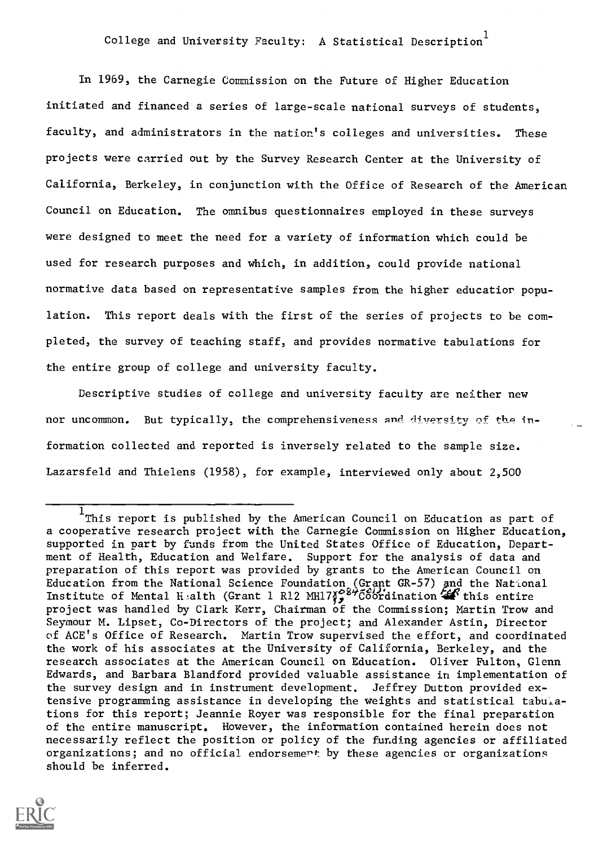## College and University Faculty: A Statistical Description<sup>1</sup>

In 1969, the Carnegie Commission on the Future of Higher Education initiated and financed a series of large-scale national surveys of students, faculty, and administrators in the nation's colleges and universities. These projects were carried out by the Survey Research Center at the University of California, Berkeley, in conjunction with the Office of Research of the American Council on Education. The omnibus questionnaires employed in these surveys were designed to meet the need for a variety of information which could be used for research purposes and which, in addition, could provide national normative data based on representative samples from the higher education population. This report deals with the first of the series of projects to be completed, the survey of teaching staff, and provides normative tabulations for the entire group of college and university faculty.

Descriptive studies of college and university faculty are neither new nor uncommon. But typically, the comprehensiveness and diversity of the information collected and reported is inversely related to the sample size. Lazarsfeld and Thielens (1958), for example, interviewed only about 2,500

<sup>&</sup>lt;sup>1</sup>This report is published by the American Council on Education as part of a cooperative research project with the Carnegie Commission on Higher Education, supported in part by funds from the United States Office of Education, Department of Health, Education and Welfare. Support for the analysis of data and preparation of this report was provided by grants to the American Council on Education from the National Science Foundation (Grant GR-57) and the National Institute of Mental H.alth (Grant 1 R12 MH17) <sup>207</sup>Coordination and this entire project was handled by Clark Kerr, Chairman of the Commission; Martin Trow and Seymour M. Lipset, Co-Directors of the project; and Alexander Astin, Director of ACE's Office of Research. Martin Trow supervised the effort, and coordinated the work of his associates at the University of California, Berkeley, and the research associates at the American Council on Education. Oliver Fulton, Glenn Edwards, and Barbara Blandford provided valuable assistance in implementation of the survey design and in instrument development. Jeffrey Dutton provided extensive programming assistance in developing the weights and statistical tabu.ations for this report; Jeannie Royer was responsible for the final preparation of the entire manuscript. However, the information contained herein does not necessarily reflect the position or policy of the funding agencies or affiliated organizations; and no official endorsement by these agencies or organizations should be inferred.

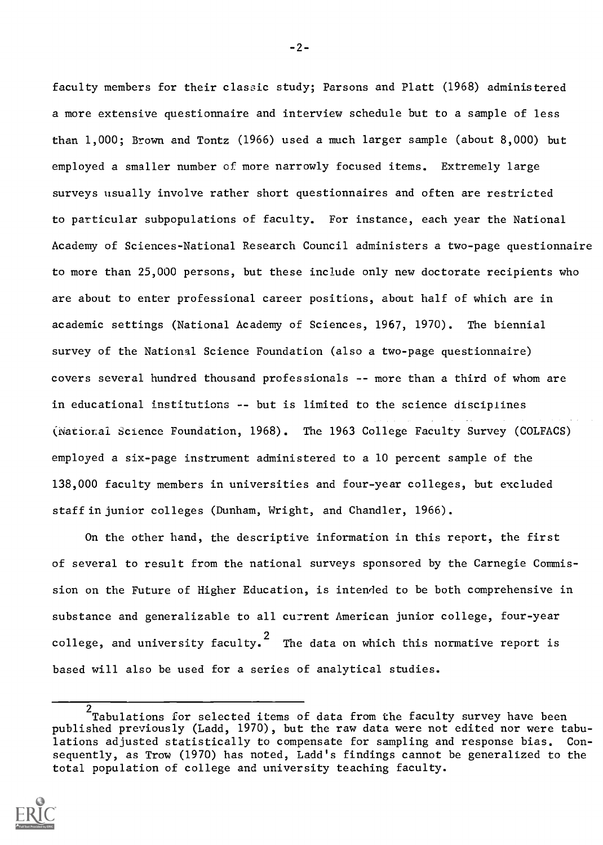faculty members for their classic study; Parsons and Platt (1968) administered a more extensive questionnaire and interview schedule but to a sample of less than 1,000; Brown and Tontz (1966) used a much larger sample (about 8,000) but employed a smaller number of more narrowly focused items. Extremely large surveys usually involve rather short questionnaires and often are restricted to particular subpopulations of faculty. For instance, each year the National Academy of Sciences-National Research Council administers a two-page questionnaire to more than 25,000 persons, but these include only new doctorate recipients who are about to enter professional career positions, about half of which are in academic settings (National Academy of Sciences, 1967, 1970). The biennial survey of the National Science Foundation (also a two-page questionnaire) covers several hundred thousand professionals -- more than a third of whom are in educational institutions -- but is limited to the science disciplines (National Science Foundation, 1968). The 1963 College Faculty Survey (COLFACS) employed a six-page instrument administered to a 10 percent sample of the 138,000 faculty members in universities and four-year colleges, but excluded staff in junior colleges (Dunham, Wright, and Chandler, 1966).

On the other hand, the descriptive information in this report, the first of several to result from the national surveys sponsored by the Carnegie Commission on the Future of Higher Education, is intended to be both comprehensive in substance and generalizable to all current American junior college, four-year college, and university faculty. $^{2}$  . The data on which this normative report is  $\,$ based will also be used for a series of analytical studies.

<sup>2&</sup>lt;br>Tabulations for selected items of data from the faculty survey have been published previously (Ladd, 1970), but the raw data were not edited nor were tabulations adjusted statistically to compensate for sampling and response bias. Consequently, as Trow (1970) has noted, Ladd's findings cannot be generalized to the total population of college and university teaching faculty.



 $-2-$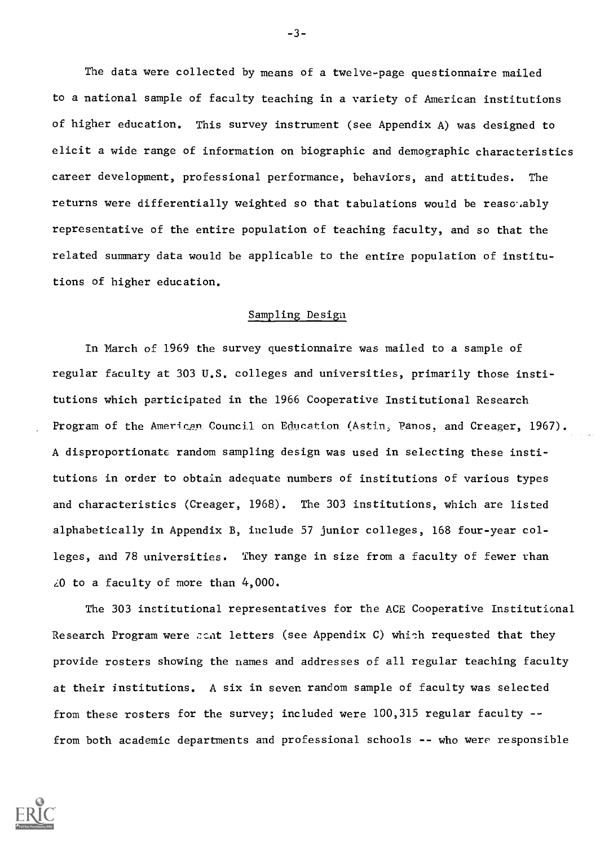The data were collected by means of a twelve-page questionnaire mailed to a national sample of faculty teaching in a variety of American institutions of higher education. This survey instrument (see Appendix A) was designed to elicit a wide range of information on biographic and demographic characteristics career development, professional performance, behaviors, and attitudes. The returns were differentially weighted so that tabulations would be reaso.ably representative of the entire population of teaching faculty, and so that the related summary data would be applicable to the entire population of institutions of higher education.

## Sampling Design

In March of 1969 the survey questionnaire was mailed to a sample of regular faculty at 303 U.S. colleges and universities, primarily those institutions which participated in the 1966 Cooperative Institutional Research Program of the American Council on Education (Astin, Panos, and Creager, 1967). A disproportionate random sampling design was used in selecting these institutions in order to obtain adequate numbers of institutions of various types and characteristics (Creager, 1968). The 303 institutions, which are listed alphabetically in Appendix B, include 57 junior colleges, 168 four-year colleges, and 78 universities. They range in size from a faculty of fewer than  $20$  to a faculty of more than  $4,000$ .

The 303 institutional representatives for the ACE Cooperative Institutional Research Program were scat letters (see Appendix C) which requested that they provide rosters showing the names and addresses of all regular teaching faculty at their institutions. A six in seven random sample of faculty was selected from these rosters for the survey; included were 100,315 regular faculty - from both academic departments and professional schools -- who were responsible



-3-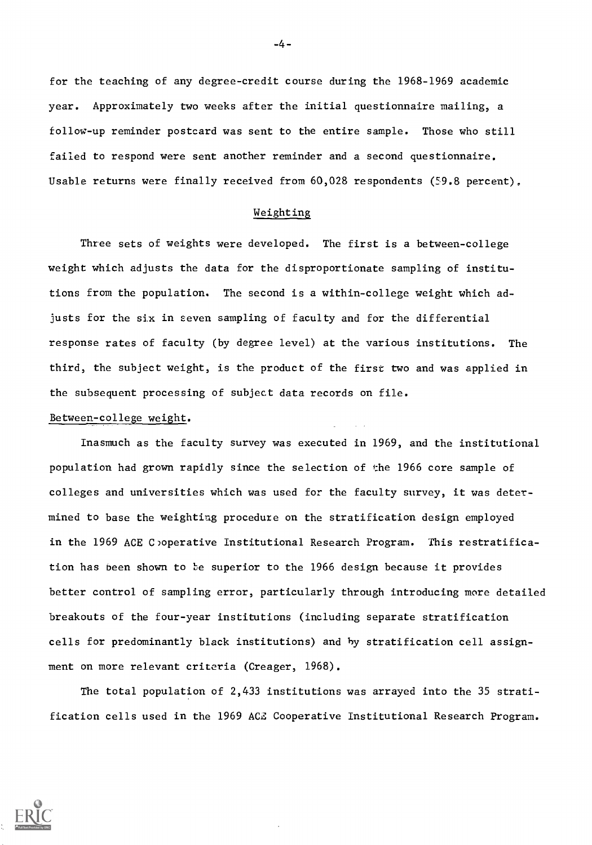for the teaching of any degree-credit course during the 1968-1969 academic year. Approximately two weeks after the initial questionnaire mailing, a follow-up reminder postcard was sent to the entire sample. Those who still failed to respond were sent another reminder and a second questionnaire. Usable returns were finally received from 60,028 respondents (59.8 percent),

## Weighting

Three sets of weights were developed. The first is a between-college weight which adjusts the data for the disproportionate sampling of institutions from the population. The second is a within-college weight which adjusts for the six in seven sampling of faculty and for the differential response rates of faculty (by degree level) at the various institutions. The third, the subject weight, is the product of the first two and was applied in the subsequent processing of subject data records on file. Between-college weight.

Inasmuch as the faculty survey was executed in 1969, and the institutional population had grown rapidly since the selection of the 1966 core sample of colleges and universities which was used for the faculty survey, it was determined to base the weighting procedure on the stratification design employed in the 1969 ACE Cooperative Institutional Research Program. This restratification has been shown to be superior to the 1966 design because it provides better control of sampling error, particularly through introducing more detailed breakouts of the four-year institutions (including separate stratification cells for predominantly black institutions) and by stratification cell assignment on more relevant criteria (Creager, 1968).

The total population of 2,433 institutions was arrayed into the 35 stratification cells used in the 1969 ACE Cooperative Institutional Research Program.



-4-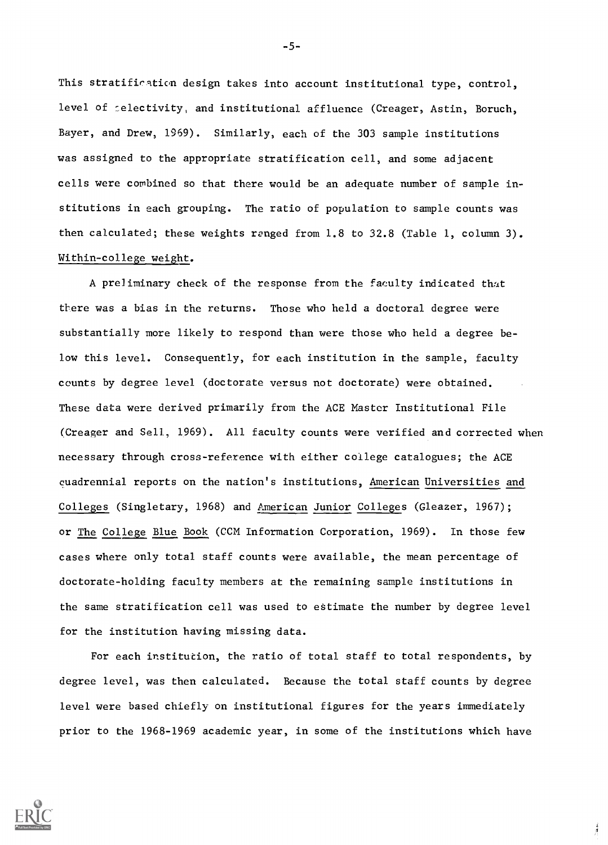This stratification design takes into account institutional type, control, level of :electivity, and institutional affluence (Creager, Astin, Boruch, Bayer, and Drew, 1969). Similarly, each of the 303 sample institutions was assigned to the appropriate stratification cell, and some adjacent cells were combined so that there would be an adequate number of sample institutions in each grouping. The ratio of population to sample counts was then calculated; these weights ranged from 1.8 to 32.8 (Table 1, column 3). Within-college weight.

A preliminary check of the response from the faculty indicated that there was a bias in the returns. Those who held a doctoral degree were substantially more likely to respond than were those who held a degree below this level. Consequently, for each institution in the sample, faculty counts by degree level (doctorate versus not doctorate) were obtained. These data were derived primarily from the ACE Master Institutional File (Creager and Sell, 1969). All faculty counts were verified and corrected when necessary through cross-reference with either college catalogues; the ACE cuadrennial reports on the nation's institutions, American Universities and Colleges (Singletary, 1968) and American Junior Colleges (Gleazer, 1967); or The College Blue Book (CCM Information Corporation, 1969). In those few cases where only total staff counts were available, the mean percentage of doctorate-holding faculty members at the remaining sample institutions in the same stratification cell was used to estimate the number by degree level for the institution having missing data.

For each institution, the ratio of total staff to total respondents, by degree level, was then calculated. Because the total staff counts by degree level were based chiefly on institutional figures for the years immediately prior to the 1968-1969 academic year, in some of the institutions which have



-5-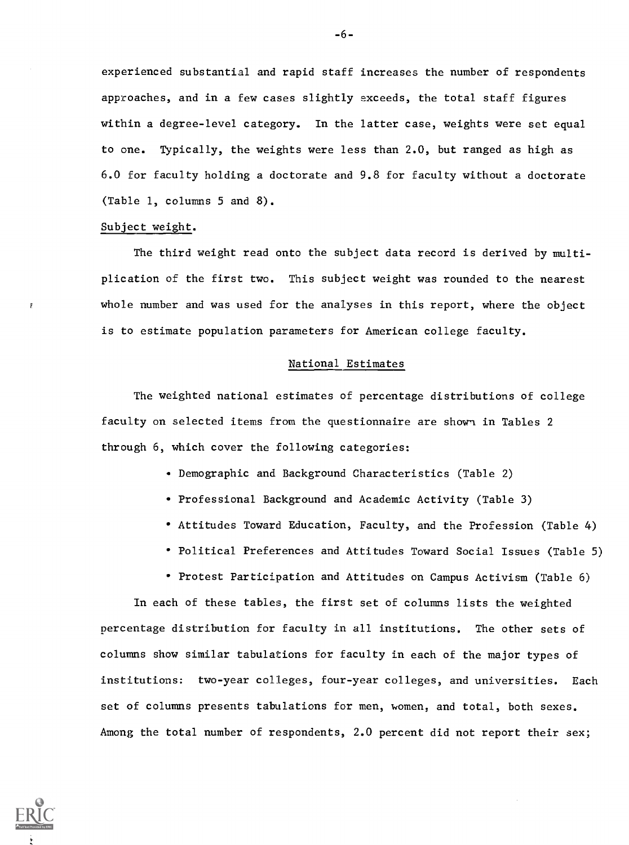experienced substantial and rapid staff increases the number of respondents approaches, and in a few cases slightly exceeds, the total staff figures within a degree-level category. In the latter case, weights were set equal to one. Typically, the weights were less than 2.0, but ranged as high as 6.0 for faculty holding a doctorate and 9.8 for faculty without a doctorate (Table 1, columns 5 and 8).

## Subject weight.

The third weight read onto the subject data record is derived by multiplication of the first two. This subject weight was rounded to the nearest whole number and was used for the analyses in this report, where the object is to estimate population parameters for American college faculty.

## National Estimates

The weighted national estimates of percentage distributions of college faculty on selected items from the questionnaire are shown in Tables 2 through 6, which cover the following categories:

- Demographic and Background Characteristics (Table 2)
- Professional Background and Academic Activity (Table 3)
- Attitudes Toward Education, Faculty, and the Profession (Table 4)
- Political Preferences and Attitudes Toward Social Issues (Table 5)
- Protest Participation and Attitudes on Campus Activism (Table 6)

In each of these tables, the first set of columns lists the weighted percentage distribution for faculty in all institutions. The other sets of columns show similar tabulations for faculty in each of the major types of institutions: two-year colleges, four-year colleges, and universities. Each set of columns presents tabulations for men, women, and total, both sexes. Among the total number of respondents, 2.0 percent did not report their sex;



F

-6-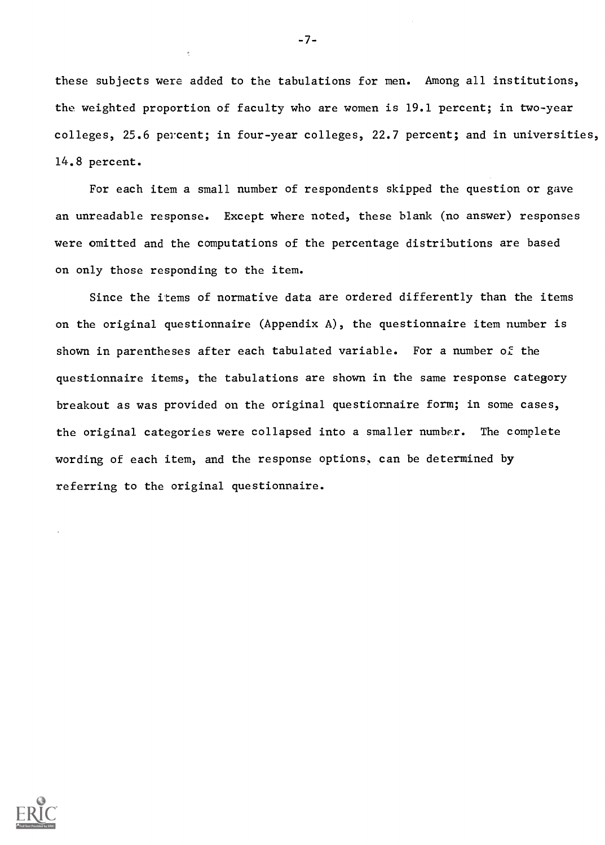these subjects were added to the tabulations for men. Among all institutions, the weighted proportion of faculty who are women is 19.1 percent; in two-year colleges, 25.6 percent; in four-year colleges, 22.7 percent; and in universities, 14.8 percent.

For each item a small number of respondents skipped the question or gave an unreadable response. Except where noted, these blank (no answer) responses were omitted and the computations of the percentage distributions are based on only those responding to the item.

Since the items of normative data are ordered differently than the items on the original questionnaire (Appendix A), the questionnaire item number is shown in parentheses after each tabulated variable. For a number of the questionnaire items, the tabulations are shown in the same response category breakout as was provided on the original questionnaire form; in some cases, the original categories were collapsed into a smaller number. The complete wording of each item, and the response options, can be determined by referring to the original questionnaire.



-7-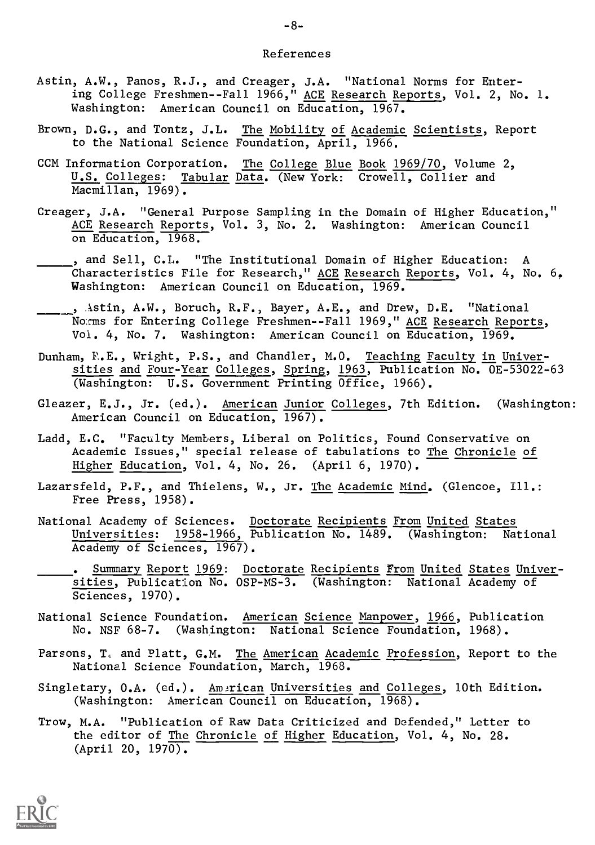## References

- Astin, A.W., Panos, R.J., and Creager, J.A. "National Norms for Entering College Freshmen--Fall 1966," ACE Research Reports, Vol. 2, No. 1. Washington: American Council on Education, 1967.
- Brown, D.G., and Tontz, J.L. The Mobility of Academic Scientists, Report to the National Science Foundation, April, 1966.
- CCM Information Corporation. The College Blue Book 1969/70, Volume 2, U.S. Colleges: Tabular Data. (New York: Crowell, Collier and Macmillan, 1969).
- Creager, J.A. "General Purpose Sampling in the Domain of Higher Education," ACE Research Reports, Vol. 3, No. 2. Washington: American Council on Education, 1968.
- , and Sell, C.L. "The Institutional Domain of Higher Education: A Characteristics File for Research," ACE Research Reports, Vol. 4, No. 6. Washington: American Council on Education, 1969.
- kstin, A.W., Boruch, R.F., Bayer, and Drew, D.E. "National Norms for Entering College Freshmen--Fall 1969," ACE Research Reports, Vol. 4, No. 7. Washington: American Council on Education, 1969.
- Dunham, F.E., Wright, P.S., and Chandler, M.O. Teaching Faculty in Universities and Four-Year Colleges, Spring, 1963, Publication No. 0E-53022-63 (Washington: U.S. Government Printing Office, 1966).
- Gleazer, E.J., Jr. (ed.). American Junior Colleges, 7th Edition. (Washington: American Council on Education, 1967).
- Ladd, E.C. "Faculty Members, Liberal on Politics, Found Conservative on Academic Issues," special release of tabulations to The Chronicle of Higher Education, Vol. 4, No. 26. (April 6, 1970).
- Lazarsfeld, P.F., and Thielens, W., Jr. The Academic Mind. (Glencoe, Ill.: Free Press, 1958).
- National Academy of Sciences. Doctorate Recipients From United States Universities: 1958-1966, Publication No. 1489. (Washington: National Academy of Sciences, 1967).
	- . Summary Report 1969: Doctorate Recipients From United States Universities, Publication No. OSP-MS-3. (Washington: National Academy of Sciences, 1970).
- National Science Foundation. American Science Manpower, 1966, Publication No. NSF 68-7. (Washington: National Science Foundation, 1968).
- Parsons, T. and Platt, G.M. The American Academic Profession, Report to the National Science Foundation, March, 1968.
- Singletary, O.A. (ed.). American Universities and Colleges, 10th Edition. (Washington: American Council on Education, 1968).
- Trow, M.A. "Publication of Raw Data Criticized and Defended," Letter to the editor of The Chronicle of Higher Education, Vol. 4, No. 28.  $(Apri1 20, 1970)$ .

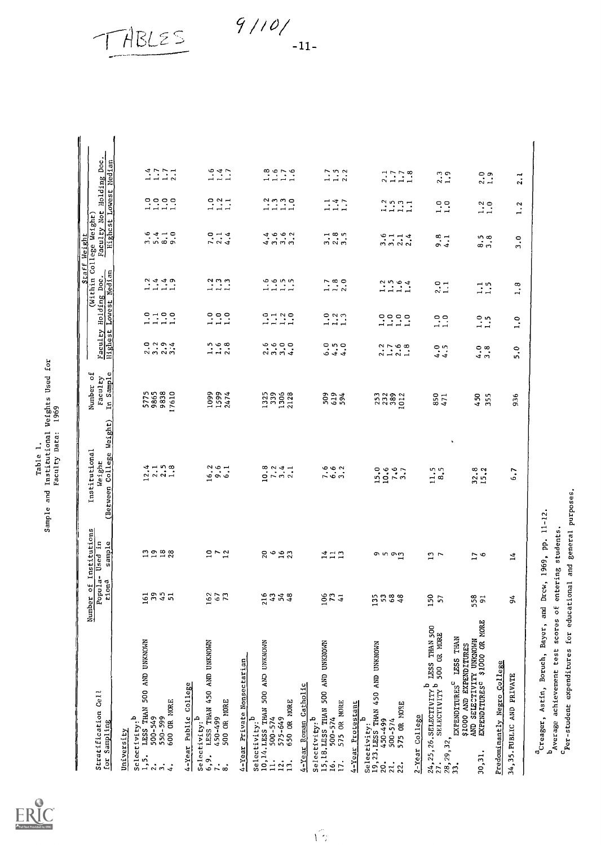

| Stratification Cell                                                                                                                                        |                               | Number of Institutions<br>Popula- Used in | Institutional<br>Weight            | ď<br>Faculty<br>Number        |                                                                                                                 |                                                         |                                                 | (Within College Weight)<br>Staff Weight   |                 |                  |
|------------------------------------------------------------------------------------------------------------------------------------------------------------|-------------------------------|-------------------------------------------|------------------------------------|-------------------------------|-----------------------------------------------------------------------------------------------------------------|---------------------------------------------------------|-------------------------------------------------|-------------------------------------------|-----------------|------------------|
| for Sampling                                                                                                                                               | tion <sup>a</sup>             | sample                                    | (Between College Weight)           | In Sample                     |                                                                                                                 | Faculty Holding Doc.<br>Highest Lowest Median           |                                                 | Faculty Not Holding Doc.                  |                 |                  |
| Sclectivity: <sup>b</sup><br>1,5. IRSS THAN 500 AND UNKNOWN<br>600 OR MORE<br>500-549<br>550-599<br>University<br>$\ddot{2}$ .<br>$\ddot{ }$<br>$\ddot{ }$ | 45<br>39<br>$161$             | 1228                                      | 12.138                             | 5775<br>9865<br>9838<br>17610 | $\frac{1}{2}$ $\frac{1}{2}$ $\frac{1}{2}$ $\frac{1}{2}$ $\frac{1}{2}$ $\frac{1}{2}$ $\frac{1}{2}$ $\frac{1}{2}$ | 21200                                                   | 7.440                                           |                                           | 2222            | 1.71             |
| LESS THAN 450 AND UNKNOWN<br>4-Year Public College<br>500 OR MORE<br>Selectivity: b<br>450-499<br>6,9.<br>$\mathbf{r}$<br>$\ddot{\circ}$                   | $162$<br>$67$<br>$\mathbb{Z}$ | 272                                       | $16.2$<br>$6.1$                    | 1099<br>1599<br>2474          | 1.38                                                                                                            | $\frac{1}{2}$ $\frac{1}{2}$ $\frac{1}{2}$               | $\begin{array}{c}\n 2.7 \\  -1.7\n \end{array}$ | 7.14                                      | 221             | 1.37             |
| 4-Year Private Nonsectarian                                                                                                                                |                               |                                           |                                    |                               |                                                                                                                 |                                                         |                                                 |                                           |                 |                  |
| Selectivity: b<br>10,14,1ESS THAN 500 AND UNKNOWN<br>11. 500-574<br>650 OR MORE<br>575-649<br>$\frac{1}{2}$ .                                              | 216<br>43<br>548              | 0.92<br>20                                | $10.3$<br>$7.3$<br>$2.1$           | 1325<br>1306<br>2128          | cooo<br>Nond                                                                                                    | 27.30                                                   | 00000                                           | doon<br>doon                              | 2222            | 3.500            |
| 4-Year Roman Catholic<br>Selectivity: b                                                                                                                    |                               |                                           |                                    |                               |                                                                                                                 |                                                         |                                                 |                                           |                 |                  |
| 15,18.18SS THAN 500 AND UNKNOWN<br>575 OR MORE<br>$500 - 574$<br>16.<br>IJ.                                                                                | $\frac{106}{73}$              | 111                                       | 662                                | 52%                           | $\frac{0}{9}$ in $\frac{0}{4}$                                                                                  | $\frac{0}{1}$ $\frac{2}{1}$                             | $\frac{1}{2}$ $\frac{8}{2}$                     | $\frac{1}{2}$ $\frac{8}{3}$ $\frac{5}{2}$ | 1.37            | 1.3.2            |
| 4-Year Protestant                                                                                                                                          |                               |                                           |                                    |                               |                                                                                                                 |                                                         |                                                 |                                           |                 |                  |
| Selectivity: "<br>19,23.LESS THAN 450 AND UNKNOWN<br>20. 450-499<br>575 OR MORE<br>م<br>$500 - 574$<br>21.<br>22.                                          | 588<br>$\frac{5}{2}$          | $\circ$ n $\circ$ n                       | $15.6$<br>$10.6$<br>$7.3$<br>$3.7$ | 253<br>238<br>1012            | $2.768$<br>$2.768$                                                                                              | $\frac{1}{1}$ $\frac{1}{1}$ $\frac{1}{1}$ $\frac{1}{1}$ | 2.564                                           | $3.14$<br>$3.14$                          | 3227            | 7.77.8           |
| 2-Year College                                                                                                                                             |                               |                                           |                                    |                               |                                                                                                                 |                                                         |                                                 |                                           |                 |                  |
| $24, 25, 26$ , SELECTIVITY $_{\rm p}^{\rm b}$ LESS THAN 500<br>27. SELECTIVITY 500 OR MORE<br>28, 29, 32,<br>27.                                           | 150<br>57                     | $\overline{1}$ $\overline{1}$             | $\frac{11.5}{8.5}$                 | 850<br>471                    | 3.5                                                                                                             | $\begin{array}{c} . & 0 \\ . & 0 \end{array}$           | 2.1                                             | 3.1                                       | $\frac{0}{1}$ . | 2.3              |
| \$1000 AND EXPENDITURES<br>AND SELECTIVITY UNKNOWN<br>EXPENDITURES <sup>C</sup> \$1000 OR MORE<br>EXPENDITURES <sup>C</sup> LESS THAN<br>30,31.<br>్లే     | 558<br>91                     | $\frac{5}{6}$                             | $32.8$<br>$15.2$                   | 450<br>355                    | 3.8                                                                                                             | 1.3                                                     | $\frac{11}{11}$                                 | 3.8                                       | $\frac{2}{1.0}$ | 2.3              |
| Predominantly Negro College                                                                                                                                |                               |                                           |                                    |                               |                                                                                                                 |                                                         |                                                 |                                           |                 |                  |
| 34,35. PUBLIC AND PRIVATE                                                                                                                                  | ž                             | 4                                         | 5.7                                | 936                           | 5.0                                                                                                             | 1.0                                                     | 1.8                                             | 3.0                                       | 1.2             | $\overline{2}$ . |

 $\sqrt{3}$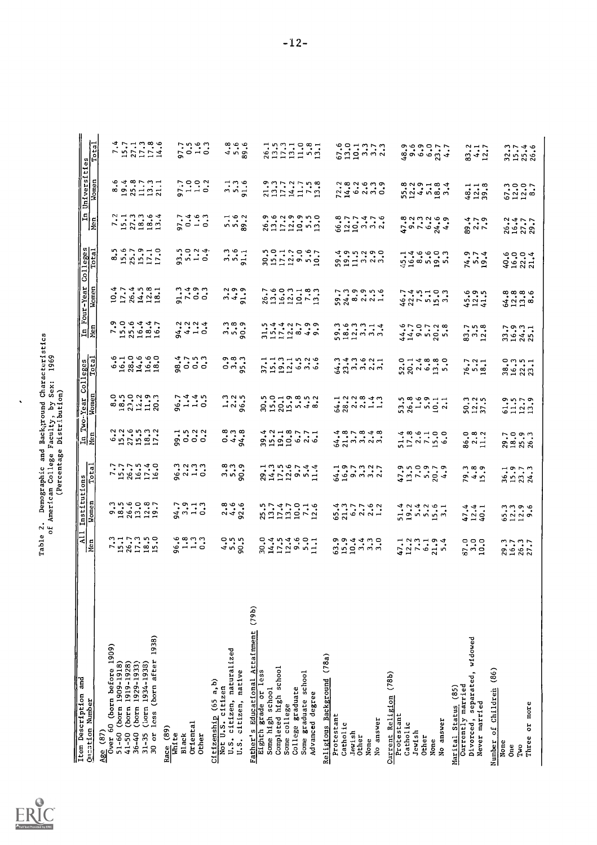

## Table 2. Demographic and Background Characteristics<br>of American College Faculty, by Sex: 1969<br>(Percentage Distribution)

 $\ddot{\phantom{0}}$ 

| Item Description and                                    |                                                   | $1$ Institutions                                                                                                              |                                                                          |                        |                                                                                                                                                                                                                                                                                                                     |                                                                                                                                                                                                                                                                                                                     |                                                                                                                                                           |                                                                                                                                                                                                                                                                                                                     |                                                                                         |                                                                         |                                                                                                    |                               |      |
|---------------------------------------------------------|---------------------------------------------------|-------------------------------------------------------------------------------------------------------------------------------|--------------------------------------------------------------------------|------------------------|---------------------------------------------------------------------------------------------------------------------------------------------------------------------------------------------------------------------------------------------------------------------------------------------------------------------|---------------------------------------------------------------------------------------------------------------------------------------------------------------------------------------------------------------------------------------------------------------------------------------------------------------------|-----------------------------------------------------------------------------------------------------------------------------------------------------------|---------------------------------------------------------------------------------------------------------------------------------------------------------------------------------------------------------------------------------------------------------------------------------------------------------------------|-----------------------------------------------------------------------------------------|-------------------------------------------------------------------------|----------------------------------------------------------------------------------------------------|-------------------------------|------|
| Outsiden Number                                         | $\frac{1}{\pi}$                                   | <b>Nomen</b>                                                                                                                  | Total                                                                    |                        | In Two-Year Colleges<br>Men Women Total                                                                                                                                                                                                                                                                             |                                                                                                                                                                                                                                                                                                                     |                                                                                                                                                           | In Four-Year Colleges<br>Men Women Total                                                                                                                                                                                                                                                                            |                                                                                         | ' ยู                                                                    | In Universities<br>- Women Total                                                                   |                               |      |
| $\triangle$ ge (87)                                     |                                                   |                                                                                                                               |                                                                          |                        |                                                                                                                                                                                                                                                                                                                     |                                                                                                                                                                                                                                                                                                                     |                                                                                                                                                           |                                                                                                                                                                                                                                                                                                                     |                                                                                         |                                                                         |                                                                                                    |                               |      |
| Over 60 (born before 1909)                              |                                                   |                                                                                                                               |                                                                          |                        |                                                                                                                                                                                                                                                                                                                     |                                                                                                                                                                                                                                                                                                                     |                                                                                                                                                           |                                                                                                                                                                                                                                                                                                                     |                                                                                         |                                                                         |                                                                                                    |                               |      |
| 51-60 (born 1909-1918)                                  | $\frac{7.3}{15.1}$                                |                                                                                                                               |                                                                          |                        |                                                                                                                                                                                                                                                                                                                     |                                                                                                                                                                                                                                                                                                                     |                                                                                                                                                           |                                                                                                                                                                                                                                                                                                                     |                                                                                         |                                                                         |                                                                                                    |                               |      |
| 41-50 (born 1919-1928)                                  | 26.7                                              |                                                                                                                               | 712.540<br>712.541                                                       |                        | $\frac{1}{8}$ $\frac{1}{2}$ $\frac{1}{2}$ $\frac{1}{2}$ $\frac{1}{2}$ $\frac{1}{2}$ $\frac{1}{2}$ $\frac{1}{2}$ $\frac{1}{2}$ $\frac{1}{2}$ $\frac{1}{2}$ $\frac{1}{2}$ $\frac{1}{2}$ $\frac{1}{2}$ $\frac{1}{2}$ $\frac{1}{2}$ $\frac{1}{2}$ $\frac{1}{2}$ $\frac{1}{2}$ $\frac{1}{2}$ $\frac{1}{2}$ $\frac{1}{2}$ |                                                                                                                                                                                                                                                                                                                     |                                                                                                                                                           |                                                                                                                                                                                                                                                                                                                     |                                                                                         |                                                                         |                                                                                                    |                               |      |
| 36-40 (born 1929-1933)                                  | 17.3                                              |                                                                                                                               |                                                                          |                        |                                                                                                                                                                                                                                                                                                                     |                                                                                                                                                                                                                                                                                                                     |                                                                                                                                                           |                                                                                                                                                                                                                                                                                                                     |                                                                                         |                                                                         |                                                                                                    |                               |      |
| $(lorrn 1934-1938)$<br>$31 - 35$                        | $18.5$<br>15.0                                    |                                                                                                                               |                                                                          |                        |                                                                                                                                                                                                                                                                                                                     |                                                                                                                                                                                                                                                                                                                     |                                                                                                                                                           |                                                                                                                                                                                                                                                                                                                     |                                                                                         |                                                                         |                                                                                                    |                               |      |
| 30 or less (born after 1938)                            |                                                   |                                                                                                                               |                                                                          |                        |                                                                                                                                                                                                                                                                                                                     |                                                                                                                                                                                                                                                                                                                     | $7.5.644$<br>$7.5.644$<br>$7.5.7$                                                                                                                         | $2.54.38.1$<br>$2.54.38.1$                                                                                                                                                                                                                                                                                          | $\frac{36}{25}$<br>$\frac{1}{25}$<br>$\frac{1}{25}$<br>$\frac{1}{25}$<br>$\frac{1}{25}$ |                                                                         | ederni<br>Britis                                                                                   | 1.13214<br>1.12114<br>1.12114 |      |
| Race (89)<br>White                                      |                                                   |                                                                                                                               |                                                                          |                        |                                                                                                                                                                                                                                                                                                                     |                                                                                                                                                                                                                                                                                                                     |                                                                                                                                                           |                                                                                                                                                                                                                                                                                                                     |                                                                                         |                                                                         |                                                                                                    |                               |      |
|                                                         | 96.6                                              |                                                                                                                               |                                                                          |                        |                                                                                                                                                                                                                                                                                                                     |                                                                                                                                                                                                                                                                                                                     |                                                                                                                                                           |                                                                                                                                                                                                                                                                                                                     |                                                                                         |                                                                         |                                                                                                    |                               |      |
| Oriental<br>Black                                       | 1.8                                               |                                                                                                                               |                                                                          |                        |                                                                                                                                                                                                                                                                                                                     |                                                                                                                                                                                                                                                                                                                     |                                                                                                                                                           |                                                                                                                                                                                                                                                                                                                     |                                                                                         |                                                                         |                                                                                                    |                               |      |
| Other                                                   | $\begin{array}{c} 1.3 \\ 0.3 \end{array}$         | $3.313$<br>$3.13$                                                                                                             | $\begin{array}{c}\n 1 & 1 & 1 \\  2 & 1 & 1 \\  3 & 1 & 1\n \end{array}$ | $3.33$<br>$3.33$       | 96.144                                                                                                                                                                                                                                                                                                              | 8000                                                                                                                                                                                                                                                                                                                | $4.34$<br>$4.34$                                                                                                                                          | $\frac{3}{1} \cdot \frac{4}{9}$ .:                                                                                                                                                                                                                                                                                  | 3.0.74                                                                                  | $\frac{73.5}{50.1}$                                                     | $97:300$<br>$-1:00$<br>$-0.2$                                                                      | 5.363                         |      |
|                                                         |                                                   |                                                                                                                               |                                                                          |                        |                                                                                                                                                                                                                                                                                                                     |                                                                                                                                                                                                                                                                                                                     |                                                                                                                                                           |                                                                                                                                                                                                                                                                                                                     |                                                                                         |                                                                         |                                                                                                    |                               |      |
| $\frac{C1-tzenship}{Not}$ (65 a, b)<br>Not U.S. citizen |                                                   |                                                                                                                               |                                                                          |                        |                                                                                                                                                                                                                                                                                                                     |                                                                                                                                                                                                                                                                                                                     |                                                                                                                                                           |                                                                                                                                                                                                                                                                                                                     |                                                                                         |                                                                         |                                                                                                    |                               |      |
| U.S. citizen, naturalized                               | 3.500                                             |                                                                                                                               |                                                                          |                        |                                                                                                                                                                                                                                                                                                                     |                                                                                                                                                                                                                                                                                                                     |                                                                                                                                                           |                                                                                                                                                                                                                                                                                                                     |                                                                                         |                                                                         |                                                                                                    |                               |      |
| U.S. citizen, native                                    |                                                   | 2.30000                                                                                                                       | ana<br>ning                                                              | 3.38                   | 1.390                                                                                                                                                                                                                                                                                                               | ິດສິກ<br>ວິຕິທ໌                                                                                                                                                                                                                                                                                                     | $\frac{36}{100}$                                                                                                                                          | 3.39                                                                                                                                                                                                                                                                                                                | $3.3$<br>91.1                                                                           | $\frac{1}{9}$ $\frac{6}{9}$ $\frac{3}{8}$                               | $\frac{1}{2}$ $\frac{1}{2}$ $\frac{1}{2}$                                                          | 3.58                          |      |
| (79b)<br>Father's Educational Attainment                |                                                   |                                                                                                                               |                                                                          |                        |                                                                                                                                                                                                                                                                                                                     |                                                                                                                                                                                                                                                                                                                     |                                                                                                                                                           |                                                                                                                                                                                                                                                                                                                     |                                                                                         |                                                                         |                                                                                                    |                               |      |
| Eighth grade or less                                    | 30.0                                              |                                                                                                                               |                                                                          |                        |                                                                                                                                                                                                                                                                                                                     |                                                                                                                                                                                                                                                                                                                     |                                                                                                                                                           |                                                                                                                                                                                                                                                                                                                     |                                                                                         |                                                                         |                                                                                                    |                               |      |
| Some high school                                        |                                                   |                                                                                                                               |                                                                          |                        |                                                                                                                                                                                                                                                                                                                     |                                                                                                                                                                                                                                                                                                                     |                                                                                                                                                           |                                                                                                                                                                                                                                                                                                                     |                                                                                         |                                                                         |                                                                                                    |                               |      |
| Completed high school                                   |                                                   |                                                                                                                               |                                                                          |                        |                                                                                                                                                                                                                                                                                                                     |                                                                                                                                                                                                                                                                                                                     |                                                                                                                                                           |                                                                                                                                                                                                                                                                                                                     |                                                                                         |                                                                         |                                                                                                    |                               |      |
| Some college                                            |                                                   |                                                                                                                               |                                                                          |                        |                                                                                                                                                                                                                                                                                                                     |                                                                                                                                                                                                                                                                                                                     |                                                                                                                                                           |                                                                                                                                                                                                                                                                                                                     |                                                                                         |                                                                         |                                                                                                    |                               |      |
| College graduate                                        |                                                   | 2111914<br>22221                                                                                                              | 1.3.9.9.44<br>8.4529.9.4                                                 | 2, 2, 3, 5,            |                                                                                                                                                                                                                                                                                                                     |                                                                                                                                                                                                                                                                                                                     |                                                                                                                                                           |                                                                                                                                                                                                                                                                                                                     |                                                                                         |                                                                         |                                                                                                    |                               | -12- |
| Some graduate school                                    |                                                   |                                                                                                                               |                                                                          |                        |                                                                                                                                                                                                                                                                                                                     |                                                                                                                                                                                                                                                                                                                     |                                                                                                                                                           |                                                                                                                                                                                                                                                                                                                     |                                                                                         |                                                                         |                                                                                                    |                               |      |
| Advanced degree                                         |                                                   |                                                                                                                               |                                                                          |                        | $3.525$ $-4.8$                                                                                                                                                                                                                                                                                                      | $\frac{1}{2}$ $\frac{1}{2}$ $\frac{3}{2}$ $\frac{1}{2}$ $\frac{5}{2}$ $\frac{3}{2}$ $\frac{5}{2}$ $\frac{3}{2}$ $\frac{3}{2}$ $\frac{3}{2}$ $\frac{3}{2}$ $\frac{3}{2}$ $\frac{3}{2}$ $\frac{3}{2}$ $\frac{3}{2}$ $\frac{3}{2}$ $\frac{3}{2}$ $\frac{3}{2}$ $\frac{3}{2}$ $\frac{3}{2}$ $\frac{3}{2}$ $\frac{3}{2}$ | $\frac{1}{2}$ $\frac{1}{2}$ $\frac{1}{2}$ $\frac{1}{2}$ $\frac{1}{2}$ $\frac{1}{2}$ $\frac{1}{2}$ $\frac{1}{2}$ $\frac{1}{2}$ $\frac{1}{2}$ $\frac{1}{2}$ | 3.907183                                                                                                                                                                                                                                                                                                            | 3.2129927                                                                               |                                                                         | antarna<br>Subadha                                                                                 | $39.719$ $39.71$              |      |
| (78a)<br>Religious Background                           |                                                   |                                                                                                                               |                                                                          |                        |                                                                                                                                                                                                                                                                                                                     |                                                                                                                                                                                                                                                                                                                     |                                                                                                                                                           |                                                                                                                                                                                                                                                                                                                     |                                                                                         |                                                                         |                                                                                                    |                               |      |
| Protestant                                              | 63.9                                              |                                                                                                                               |                                                                          |                        |                                                                                                                                                                                                                                                                                                                     |                                                                                                                                                                                                                                                                                                                     |                                                                                                                                                           |                                                                                                                                                                                                                                                                                                                     |                                                                                         |                                                                         |                                                                                                    |                               |      |
| Catholic                                                |                                                   |                                                                                                                               |                                                                          |                        |                                                                                                                                                                                                                                                                                                                     |                                                                                                                                                                                                                                                                                                                     |                                                                                                                                                           |                                                                                                                                                                                                                                                                                                                     |                                                                                         |                                                                         |                                                                                                    |                               |      |
| Jewish                                                  |                                                   |                                                                                                                               |                                                                          |                        |                                                                                                                                                                                                                                                                                                                     |                                                                                                                                                                                                                                                                                                                     |                                                                                                                                                           |                                                                                                                                                                                                                                                                                                                     |                                                                                         |                                                                         |                                                                                                    |                               |      |
| Other                                                   | $\frac{1}{2}$ and $\frac{1}{2}$ and $\frac{1}{2}$ |                                                                                                                               | $\begin{array}{c}\n1.9 \\ 3.9 \\ 4.9 \\ 5.9 \\ 6.9 \\ 7.\n\end{array}$   | $40.940$<br>$4.79.940$ | 38,38,40,11                                                                                                                                                                                                                                                                                                         | adungud<br>ungung                                                                                                                                                                                                                                                                                                   | $\begin{array}{c} 0.0000000000 \\ 0.000000000 \\ 0.0000000 \end{array}$                                                                                   | $\frac{1}{2}$ $\frac{3}{2}$ $\frac{3}{2}$ $\frac{3}{2}$ $\frac{3}{2}$ $\frac{3}{2}$ $\frac{3}{2}$ $\frac{3}{2}$ $\frac{3}{2}$ $\frac{3}{2}$ $\frac{3}{2}$ $\frac{3}{2}$ $\frac{3}{2}$ $\frac{3}{2}$ $\frac{3}{2}$ $\frac{3}{2}$ $\frac{3}{2}$ $\frac{3}{2}$ $\frac{3}{2}$ $\frac{3}{2}$ $\frac{3}{2}$ $\frac{3}{2}$ | $3914$ $\ldots$                                                                         | $rac{3}{6}$ $rac{1}{2}$ $rac{1}{2}$ $rac{1}{2}$ $rac{1}{2}$ $rac{1}{2}$ | $\begin{array}{ccc}\n 1 & 0 & 0 & 0 & 0 \\  0 & 0 & 0 & 0 & 0 \\  0 & 0 & 0 & 0 & 0\n \end{array}$ | 519.77.7                      |      |
| No answer<br>None                                       |                                                   |                                                                                                                               |                                                                          |                        |                                                                                                                                                                                                                                                                                                                     |                                                                                                                                                                                                                                                                                                                     |                                                                                                                                                           |                                                                                                                                                                                                                                                                                                                     |                                                                                         |                                                                         |                                                                                                    |                               |      |
|                                                         |                                                   |                                                                                                                               |                                                                          |                        |                                                                                                                                                                                                                                                                                                                     |                                                                                                                                                                                                                                                                                                                     |                                                                                                                                                           |                                                                                                                                                                                                                                                                                                                     |                                                                                         |                                                                         |                                                                                                    |                               |      |
| Current Religion (78b)                                  |                                                   |                                                                                                                               |                                                                          |                        |                                                                                                                                                                                                                                                                                                                     |                                                                                                                                                                                                                                                                                                                     |                                                                                                                                                           |                                                                                                                                                                                                                                                                                                                     |                                                                                         |                                                                         |                                                                                                    |                               |      |
| Protestant                                              | 47.1                                              |                                                                                                                               |                                                                          |                        |                                                                                                                                                                                                                                                                                                                     |                                                                                                                                                                                                                                                                                                                     |                                                                                                                                                           |                                                                                                                                                                                                                                                                                                                     |                                                                                         |                                                                         |                                                                                                    |                               |      |
| Catholic<br>Jewish                                      |                                                   |                                                                                                                               |                                                                          |                        |                                                                                                                                                                                                                                                                                                                     |                                                                                                                                                                                                                                                                                                                     |                                                                                                                                                           |                                                                                                                                                                                                                                                                                                                     |                                                                                         |                                                                         |                                                                                                    |                               |      |
| Other                                                   |                                                   |                                                                                                                               |                                                                          |                        |                                                                                                                                                                                                                                                                                                                     |                                                                                                                                                                                                                                                                                                                     |                                                                                                                                                           |                                                                                                                                                                                                                                                                                                                     |                                                                                         |                                                                         |                                                                                                    |                               |      |
| None                                                    |                                                   |                                                                                                                               |                                                                          |                        |                                                                                                                                                                                                                                                                                                                     |                                                                                                                                                                                                                                                                                                                     |                                                                                                                                                           |                                                                                                                                                                                                                                                                                                                     |                                                                                         |                                                                         |                                                                                                    |                               |      |
| No answer                                               | $2, 3, 1, 9, 4$<br>$2, 3, 1, 9, 4$                | $\frac{1}{2}$ $\frac{1}{2}$ $\frac{1}{2}$ $\frac{1}{2}$ $\frac{1}{2}$ $\frac{1}{2}$ $\frac{1}{2}$ $\frac{1}{2}$ $\frac{1}{2}$ | ancaria<br>Cinco                                                         |                        | $38 - 5 - 1$                                                                                                                                                                                                                                                                                                        | 25.14880                                                                                                                                                                                                                                                                                                            | 419.738                                                                                                                                                   |                                                                                                                                                                                                                                                                                                                     | 37.66000                                                                                | 79.79.79                                                                | $5.19 - 0.4$                                                                                       | 3.5.5.7.7                     |      |
| Marital Status (85)                                     |                                                   |                                                                                                                               |                                                                          |                        |                                                                                                                                                                                                                                                                                                                     |                                                                                                                                                                                                                                                                                                                     |                                                                                                                                                           |                                                                                                                                                                                                                                                                                                                     |                                                                                         |                                                                         |                                                                                                    |                               |      |
| Currently married                                       |                                                   |                                                                                                                               |                                                                          |                        |                                                                                                                                                                                                                                                                                                                     |                                                                                                                                                                                                                                                                                                                     |                                                                                                                                                           |                                                                                                                                                                                                                                                                                                                     |                                                                                         |                                                                         |                                                                                                    |                               |      |
| Divorced, separated, widowed                            |                                                   | $2, 4$<br>$2, 4$<br>$2, 4$                                                                                                    | $79.3$<br>$9.3$<br>$15.9$                                                | $86.0$<br>$11.2$       | $\frac{3}{2}$ $\frac{3}{2}$ $\frac{3}{2}$ $\frac{3}{2}$ $\frac{3}{2}$                                                                                                                                                                                                                                               | $7.3$<br>$-3.1$                                                                                                                                                                                                                                                                                                     | $\frac{1}{2}$ , $\frac{1}{2}$ , $\frac{3}{2}$                                                                                                             | $45.3$<br>$41.3$                                                                                                                                                                                                                                                                                                    | $7.3$<br>$7.3$<br>$7.4$                                                                 | $2.3$<br>$7.3$<br>$7.9$                                                 | $48.1$<br>$12.3$<br>$39.8$                                                                         | $3.3$<br>$4.1$<br>$12.7$      |      |
| Never married                                           |                                                   |                                                                                                                               |                                                                          |                        |                                                                                                                                                                                                                                                                                                                     |                                                                                                                                                                                                                                                                                                                     |                                                                                                                                                           |                                                                                                                                                                                                                                                                                                                     |                                                                                         |                                                                         |                                                                                                    |                               |      |
| (36)<br>Children<br>Number of                           |                                                   |                                                                                                                               |                                                                          |                        |                                                                                                                                                                                                                                                                                                                     |                                                                                                                                                                                                                                                                                                                     |                                                                                                                                                           |                                                                                                                                                                                                                                                                                                                     |                                                                                         |                                                                         |                                                                                                    |                               |      |
| None                                                    | $29.3$<br>16.7                                    | $\frac{1}{2}$<br>$\frac{1}{2}$<br>$\frac{1}{2}$<br>$\frac{1}{2}$<br>$\frac{1}{2}$                                             | $3.75$<br>$3.75$<br>$3.73$                                               |                        |                                                                                                                                                                                                                                                                                                                     | $3.5.1$<br>$3.4.7.1$                                                                                                                                                                                                                                                                                                | 33451                                                                                                                                                     |                                                                                                                                                                                                                                                                                                                     |                                                                                         |                                                                         |                                                                                                    |                               |      |
| <b>One</b>                                              |                                                   |                                                                                                                               |                                                                          |                        |                                                                                                                                                                                                                                                                                                                     |                                                                                                                                                                                                                                                                                                                     |                                                                                                                                                           |                                                                                                                                                                                                                                                                                                                     |                                                                                         |                                                                         |                                                                                                    |                               |      |
| Three or more<br>Гwо                                    | 26.3                                              |                                                                                                                               |                                                                          | ಾಂ.<br>ನಿಶಸಿಸಿ         | $3.53$<br>$-1.23$<br>$-1.23$                                                                                                                                                                                                                                                                                        |                                                                                                                                                                                                                                                                                                                     |                                                                                                                                                           | $a$ a a a a c<br>$a$ a a a c                                                                                                                                                                                                                                                                                        | $3.504$<br>$3.71$                                                                       | 29.75<br>29.75<br>29.78                                                 | 5.30007                                                                                            | $3.746$<br>$3.546$            |      |
|                                                         | 27.7                                              |                                                                                                                               |                                                                          |                        |                                                                                                                                                                                                                                                                                                                     |                                                                                                                                                                                                                                                                                                                     |                                                                                                                                                           |                                                                                                                                                                                                                                                                                                                     |                                                                                         |                                                                         |                                                                                                    |                               |      |
|                                                         |                                                   |                                                                                                                               |                                                                          |                        |                                                                                                                                                                                                                                                                                                                     |                                                                                                                                                                                                                                                                                                                     |                                                                                                                                                           |                                                                                                                                                                                                                                                                                                                     |                                                                                         |                                                                         |                                                                                                    |                               |      |
|                                                         |                                                   |                                                                                                                               |                                                                          |                        |                                                                                                                                                                                                                                                                                                                     |                                                                                                                                                                                                                                                                                                                     |                                                                                                                                                           |                                                                                                                                                                                                                                                                                                                     |                                                                                         |                                                                         |                                                                                                    |                               |      |
|                                                         |                                                   |                                                                                                                               |                                                                          |                        |                                                                                                                                                                                                                                                                                                                     |                                                                                                                                                                                                                                                                                                                     |                                                                                                                                                           |                                                                                                                                                                                                                                                                                                                     |                                                                                         |                                                                         |                                                                                                    |                               |      |
|                                                         |                                                   |                                                                                                                               |                                                                          |                        |                                                                                                                                                                                                                                                                                                                     |                                                                                                                                                                                                                                                                                                                     |                                                                                                                                                           |                                                                                                                                                                                                                                                                                                                     |                                                                                         |                                                                         |                                                                                                    |                               |      |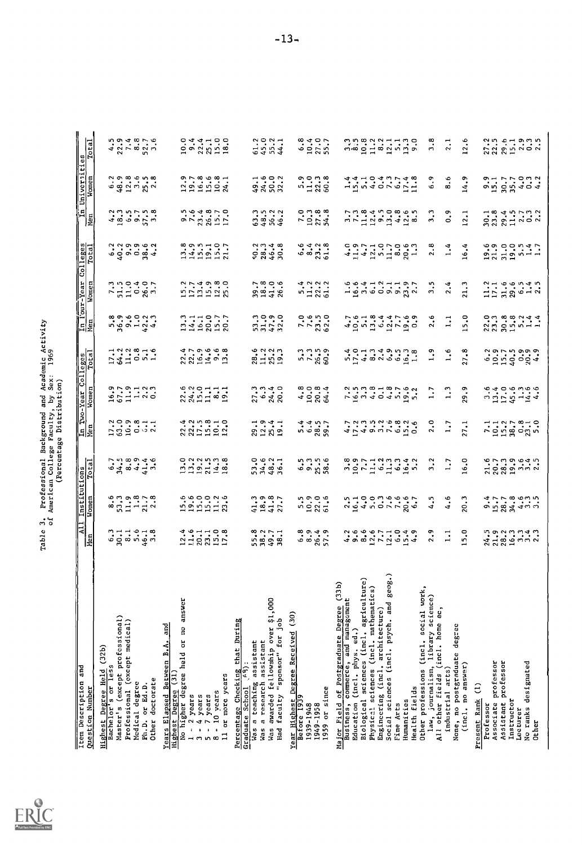

## Table 3. Professional Background and Academic Activity of American College Faculty, by Sex: 1969 (Percentage Distribution)

| $\ddot{a}$ $\ddot{a}$ $\ddot{a}$ $\ddot{a}$ $\ddot{a}$ $\ddot{a}$ $\ddot{a}$ $\ddot{a}$ $\ddot{a}$ $\ddot{a}$<br>$\begin{array}{c}\n 2.3 \\  -3.3 \\  -3.3 \\  -3.5\n \end{array}$<br>$3.36$<br>$-1.36$<br>14.9<br>$\frac{1}{4}$ $\frac{1}{4}$ $\frac{1}{4}$ $\frac{1}{4}$ $\frac{1}{4}$ $\frac{1}{4}$ $\frac{1}{4}$ $\frac{1}{4}$ $\frac{1}{4}$ $\frac{1}{4}$ $\frac{1}{4}$ $\frac{1}{4}$ $\frac{1}{4}$ $\frac{1}{4}$ $\frac{1}{4}$ $\frac{1}{4}$<br>6.9<br>8.6<br>$\frac{3}{2}$ $\frac{1}{2}$ $\frac{1}{2}$ $\frac{1}{2}$ $\frac{1}{2}$ $\frac{1}{2}$ $\frac{1}{2}$ $\frac{1}{2}$ $\frac{1}{2}$ $\frac{1}{2}$ $\frac{1}{2}$ $\frac{1}{2}$ $\frac{1}{2}$ $\frac{1}{2}$ $\frac{1}{2}$ $\frac{1}{2}$ $\frac{1}{2}$ $\frac{1}{2}$ $\frac{1}{2}$ $\frac{1}{2}$ $\frac{1}{2}$ $\frac{1}{2}$<br>$-2.38$<br>$-2.38$<br>$\frac{1}{1}$ $\frac{1}{2}$ $\frac{3}{2}$ $\frac{4}{2}$ $\frac{1}{2}$ $\frac{3}{2}$ $\frac{4}{2}$ $\frac{1}{2}$ $\frac{3}{2}$ $\frac{4}{2}$ $\frac{1}{2}$ $\frac{3}{2}$ $\frac{4}{2}$ $\frac{1}{2}$ $\frac{3}{2}$ $\frac{4}{2}$ $\frac{1}{2}$ $\frac{3}{2}$ $\frac{4}{2}$ $\frac{1}{2}$ $\frac{3}{2}$ $\frac{4}{2}$<br>49.0000<br>3484<br>3484<br>3.3<br>0.9<br>12.1<br>n4.9<br>n4.9<br>n4.0 n1.7<br>$2.348$<br>$2.348$<br>6428<br>41.42.79.88.1<br>2.8<br>16.4<br>$\frac{1}{2}$ $\frac{1}{2}$ $\frac{1}{2}$ $\frac{1}{2}$ $\frac{1}{2}$ $\frac{1}{2}$ $\frac{1}{2}$ $\frac{1}{2}$ $\frac{1}{2}$ $\frac{1}{2}$<br>1.4<br>$2.74980$<br>$1111230$<br>39.3<br>38.15<br>38.18<br>$5.22.2$<br>$1.22.2$<br>$61.2$<br>7.79337<br>$19.4 - 2.7 - 7.7$<br>3.5<br>21.3<br>$\frac{1}{11}$ $\frac{1}{11}$ $\frac{1}{11}$ $\frac{1}{11}$ $\frac{1}{11}$ $\frac{1}{11}$ $\frac{1}{11}$ $\frac{1}{11}$ $\frac{1}{11}$ $\frac{1}{11}$ $\frac{1}{11}$ $\frac{1}{11}$ $\frac{1}{11}$ $\frac{1}{11}$ $\frac{1}{11}$ $\frac{1}{11}$ $\frac{1}{11}$ $\frac{1}{11}$ $\frac{1}{11}$ $\frac{1}{11}$ $\frac{1}{11}$ $\frac{1}{11}$<br>2.4<br>$3.333$<br>$3.423$<br>$7.50$<br>$7.70$<br>$62.0$<br>$\begin{array}{c}\n 0.000000 \\  0.0000000 \\  0.000000\n \end{array}$<br>n:11977<br>n:11977<br>$\frac{1}{2}$ $\frac{1}{2}$ $\frac{1}{2}$ $\frac{1}{2}$ $\frac{1}{2}$ $\frac{1}{2}$ $\frac{1}{2}$ $\frac{1}{2}$ $\frac{1}{2}$ $\frac{1}{2}$ $\frac{1}{2}$ $\frac{1}{2}$ $\frac{1}{2}$ $\frac{1}{2}$ $\frac{1}{2}$ $\frac{1}{2}$ $\frac{1}{2}$ $\frac{1}{2}$ $\frac{1}{2}$ $\frac{1}{2}$ $\frac{1}{2}$ $\frac{1}{2}$<br>15.0<br>$\frac{2}{3}$ $\frac{3}{3}$ $\frac{3}{2}$ $\frac{3}{4}$ $\frac{3}{4}$ $\frac{3}{4}$ $\frac{3}{4}$ $\frac{3}{4}$ $\frac{3}{4}$ $\frac{3}{4}$ $\frac{3}{4}$ $\frac{3}{4}$ $\frac{3}{4}$ $\frac{3}{4}$ $\frac{3}{4}$ $\frac{3}{4}$ $\frac{3}{4}$ $\frac{3}{4}$ $\frac{3}{4}$ $\frac{3}{4}$ $\frac{3}{4}$ $\frac{3}{4}$<br>2.6<br>$\mathbf{1}$<br>$\frac{1}{2}$<br>$\frac{1}{2}$<br>$\frac{1}{2}$<br>$\frac{1}{2}$<br>$\frac{1}{2}$<br>$\frac{1}{2}$<br>$\frac{1}{2}$<br>$\frac{1}{2}$<br>$\frac{1}{2}$<br>$\frac{1}{2}$<br>$\frac{1}{2}$<br>$\frac{1}{2}$<br>$8.323$<br>$3.32$<br>$13.381.6$<br>$13.181.6$<br>$\begin{array}{c} 1.36 \\ 0.786 \end{array}$<br>1.9<br>1.6<br>27.8<br>$\begin{array}{c}\n 0.9 \\  0.9 \\  0.9 \\  0.9\n \end{array}$<br>$16.79$<br>$16.130$<br>$16.130$<br>$23.39 - 1.1$<br>$23.39 - 1.1$<br>$4084$<br>$4084$<br>29.9<br>1.7<br>1.3<br>$\frac{3}{2}$ $\frac{3}{2}$ $\frac{3}{2}$ $\frac{3}{2}$ $\frac{3}{2}$ $\frac{3}{2}$ $\frac{3}{2}$ $\frac{3}{2}$ $\frac{3}{2}$ $\frac{3}{2}$ $\frac{3}{2}$ $\frac{3}{2}$ $\frac{3}{2}$ $\frac{3}{2}$ $\frac{3}{2}$ $\frac{3}{2}$ $\frac{3}{2}$ $\frac{3}{2}$ $\frac{3}{2}$ $\frac{3}{2}$ $\frac{3}{2}$ $\frac{3}{2}$<br>$22.35810$<br>$22.353121$<br>2341<br>2252<br>$5.44$<br>$5.35$<br>$7.4$<br>$7.5$<br>2.0<br>$7.1$ $\frac{1}{2}$ $\frac{1}{2}$ $\frac{1}{2}$ $\frac{3}{2}$ $\frac{3}{2}$ $\frac{3}{2}$ $\frac{3}{2}$ $\frac{3}{2}$ $\frac{3}{2}$ $\frac{3}{2}$ $\frac{3}{2}$ $\frac{3}{2}$ $\frac{3}{2}$ $\frac{3}{2}$ $\frac{3}{2}$ $\frac{3}{2}$ $\frac{3}{2}$ $\frac{3}{2}$ $\frac{3}{2}$ $\frac{3}{2}$ $\frac{3}{2}$ $\frac{3$<br>1.7<br>27.1<br>0235538<br>$\begin{smallmatrix} 5 & 0 & 0 & 0 \\ 0 & 0 & 0 & 0 \\ 0 & 0 & 0 & 0 \end{smallmatrix}$<br>16.0<br>5.739945<br>$3.3$ $\frac{3}{2}$ $\frac{1}{2}$ $\frac{1}{2}$ $\frac{3}{2}$ $\frac{3}{2}$ $\frac{3}{2}$ $\frac{3}{2}$ $\frac{3}{2}$ $\frac{3}{2}$ $\frac{3}{2}$ $\frac{3}{2}$ $\frac{3}{2}$ $\frac{3}{2}$ $\frac{3}{2}$ $\frac{3}{2}$ $\frac{3}{2}$ $\frac{3}{2}$ $\frac{3}{2}$ $\frac{3}{2}$ $\frac{3}{2}$ $\frac{3}{2}$ $\frac{3$<br>3.2<br>1.7<br>$41.3$<br>$41.3$<br>$27.7$<br>$\frac{1}{2}$ $\frac{1}{4}$ $\frac{1}{2}$ $\frac{1}{2}$ $\frac{1}{2}$ $\frac{1}{2}$ $\frac{1}{2}$ $\frac{1}{2}$ $\frac{1}{2}$ $\frac{1}{2}$ $\frac{1}{2}$ $\frac{1}{2}$ $\frac{1}{2}$ $\frac{1}{2}$ $\frac{1}{2}$ $\frac{1}{2}$ $\frac{1}{2}$ $\frac{1}{2}$ $\frac{1}{2}$ $\frac{1}{2}$ $\frac{1}{2}$ $\frac{1}{2}$<br>20.3<br>$\begin{array}{c}\n 4 \\  - \\  0 \\  \end{array}$<br>4.5<br>4.6<br>$\frac{4}{2}$ $\frac{6}{2}$ $\frac{1}{2}$ $\frac{1}{2}$ $\frac{3}{2}$ $\frac{3}{2}$ $\frac{1}{2}$ $\frac{3}{2}$ $\frac{3}{2}$ $\frac{3}{2}$ $\frac{3}{2}$ $\frac{3}{2}$ $\frac{3}{2}$ $\frac{3}{2}$ $\frac{3}{2}$ $\frac{3}{2}$ $\frac{3}{2}$ $\frac{3}{2}$ $\frac{3}{2}$ $\frac{3}{2}$ $\frac{3}{2}$ $\frac{3}{2}$<br>$-22.5$<br>33351<br>5838<br>$4.989677794$<br>$4.98977794$<br>2.9<br>15.0<br>$6.949$<br>$0.949$<br>na a manda<br>Adaganna<br>$\frac{1}{2}$<br>geog.)<br>Biological sciences (incl. agriculture)<br>thematics)<br>Other professions (incl. social work,<br>library science)<br>as awarded tellowship over \$1,000<br>Had faculty "sponsor" for job<br>answer<br>and<br>Engineering (incl. architecture)<br>e.<br>$\widehat{5}$<br><b>x</b> external control (32b)<br>Highest Degree Held (32b)<br>Bachelor's correct professional)<br>Master's (except professional)<br>흽<br>law, journalism, library s<br>All other fields (incl. home<br>Physical sciences (incl. mat<br>Social sciences (incl. psych<br>None, no postgraduate degree<br>Education (incl. phys. ed.)<br>Was a research assistant<br>Was a teaching assistant<br>Associate professor<br>Assistant professor<br>No ranks designated<br>(inc1, no answer)<br>industrial arts)<br>11 or more years<br>Ph.D. or Ed.D.<br>Other doctorate<br>Medical degree<br>Health fields<br>1959 or since<br>$3 - 4$ years<br>$5 - 7$ years<br>$8 - 10$ years<br>2 years<br>Humanities<br>Instructor<br>Professor<br>Fine Arts<br>1939-1948<br>1949-1958<br>Lecturer<br>Other<br>$\ddot{\phantom{0}}$ | Item Description and<br>Question Number | er]<br>اعرا | All Institutions<br>a Women Total |  | In Two-Year Colleges<br>Men Women Total |  | <u>In Four-Year Colleges</u><br>Nen Women Total<br><b>Women</b> |  | <b>In Universities</b><br>Men Women Total |                |
|--------------------------------------------------------------------------------------------------------------------------------------------------------------------------------------------------------------------------------------------------------------------------------------------------------------------------------------------------------------------------------------------------------------------------------------------------------------------------------------------------------------------------------------------------------------------------------------------------------------------------------------------------------------------------------------------------------------------------------------------------------------------------------------------------------------------------------------------------------------------------------------------------------------------------------------------------------------------------------------------------------------------------------------------------------------------------------------------------------------------------------------------------------------------------------------------------------------------------------------------------------------------------------------------------------------------------------------------------------------------------------------------------------------------------------------------------------------------------------------------------------------------------------------------------------------------------------------------------------------------------------------------------------------------------------------------------------------------------------------------------------------------------------------------------------------------------------------------------------------------------------------------------------------------------------------------------------------------------------------------------------------------------------------------------------------------------------------------------------------------------------------------------------------------------------------------------------------------------------------------------------------------------------------------------------------------------------------------------------------------------------------------------------------------------------------------------------------------------------------------------------------------------------------------------------------------------------------------------------------------------------------------------------------------------------------------------------------------------------------------------------------------------------------------------------------------------------------------------------------------------------------------------------------------------------------------------------------------------------------------------------------------------------------------------------------------------------------------------------------------------------------------------------------------------------------------------------------------------------------------------------------------------------------------------------------------------------------------------------------------------------------------------------------------------------------------------------------------------------------------------------------------------------------------------------------------------------------------------------------------------------------------------------------------------------------------------------------------------------------------------------------------------------------------------------------------------------------------------------------------------------------------------------------------------------------------------------------------------------------------------------------------------------------------------------------------------------------------------------------------------------------------------------------------------------------------------------------------------------------------------------------------------------------------------------------------------------------------------------------------------------------------------------------------------------------------------------------------------------------------------------------------------------------------------------------------------------------------------------------------------------------------------------------------------------------------------------------------------------------------------------------------------------------------------------------------------------------------------------------------------------------------------------------------------------------------------------------------------------------------------------------------------------------------------------------------------------------------------------------------------------------------------------------------------------------------------------------------------------------------------------------------------------------------------------------------------------------------------------------------------------------------------------------------------------------------------------------------------------------------------------------------------------------------------------------------------------------------------------------------------------------------------------------------------------------------------------------------------------------------------------------------------------------------------------------------------------------------------------------------------------------------------------------------------------------------------------------------------------------------------------------------------------------------------------------------------------------------------------------------------------------------------------------------------------------------------------------------------------------------------------------------------------------------------------------------------------------------------------------------------------------------------------------------------------------------------------------------------------------------------------------------------------|-----------------------------------------|-------------|-----------------------------------|--|-----------------------------------------|--|-----------------------------------------------------------------|--|-------------------------------------------|----------------|
| Major Field of Postgraduate Degree (33b)<br>Business, commerce, and management<br>Percentage Checking that During<br><u>Highest Degree</u> (31)<br>No higher degree held or no<br>Year Highest Degree Received<br>Before 1939<br>Years Elapsed Between B.A.<br>Graduate School (68):<br>Present Rank (1)                                                                                                                                                                                                                                                                                                                                                                                                                                                                                                                                                                                                                                                                                                                                                                                                                                                                                                                                                                                                                                                                                                                                                                                                                                                                                                                                                                                                                                                                                                                                                                                                                                                                                                                                                                                                                                                                                                                                                                                                                                                                                                                                                                                                                                                                                                                                                                                                                                                                                                                                                                                                                                                                                                                                                                                                                                                                                                                                                                                                                                                                                                                                                                                                                                                                                                                                                                                                                                                                                                                                                                                                                                                                                                                                                                                                                                                                                                                                                                                                                                                                                                                                                                                                                                                                                                                                                                                                                                                                                                                                                                                                                                                                                                                                                                                                                                                                                                                                                                                                                                                                                                                                                                                                                                                                                                                                                                                                                                                                                                                                                                                                                                                                                                                                                                                                                                                                                                                                                                                                                                                                                                                                                                                                                       |                                         |             |                                   |  |                                         |  |                                                                 |  |                                           |                |
|                                                                                                                                                                                                                                                                                                                                                                                                                                                                                                                                                                                                                                                                                                                                                                                                                                                                                                                                                                                                                                                                                                                                                                                                                                                                                                                                                                                                                                                                                                                                                                                                                                                                                                                                                                                                                                                                                                                                                                                                                                                                                                                                                                                                                                                                                                                                                                                                                                                                                                                                                                                                                                                                                                                                                                                                                                                                                                                                                                                                                                                                                                                                                                                                                                                                                                                                                                                                                                                                                                                                                                                                                                                                                                                                                                                                                                                                                                                                                                                                                                                                                                                                                                                                                                                                                                                                                                                                                                                                                                                                                                                                                                                                                                                                                                                                                                                                                                                                                                                                                                                                                                                                                                                                                                                                                                                                                                                                                                                                                                                                                                                                                                                                                                                                                                                                                                                                                                                                                                                                                                                                                                                                                                                                                                                                                                                                                                                                                                                                                                                                |                                         |             |                                   |  |                                         |  |                                                                 |  |                                           |                |
|                                                                                                                                                                                                                                                                                                                                                                                                                                                                                                                                                                                                                                                                                                                                                                                                                                                                                                                                                                                                                                                                                                                                                                                                                                                                                                                                                                                                                                                                                                                                                                                                                                                                                                                                                                                                                                                                                                                                                                                                                                                                                                                                                                                                                                                                                                                                                                                                                                                                                                                                                                                                                                                                                                                                                                                                                                                                                                                                                                                                                                                                                                                                                                                                                                                                                                                                                                                                                                                                                                                                                                                                                                                                                                                                                                                                                                                                                                                                                                                                                                                                                                                                                                                                                                                                                                                                                                                                                                                                                                                                                                                                                                                                                                                                                                                                                                                                                                                                                                                                                                                                                                                                                                                                                                                                                                                                                                                                                                                                                                                                                                                                                                                                                                                                                                                                                                                                                                                                                                                                                                                                                                                                                                                                                                                                                                                                                                                                                                                                                                                                |                                         |             |                                   |  |                                         |  |                                                                 |  |                                           | $4.81$ $-8.81$ |
|                                                                                                                                                                                                                                                                                                                                                                                                                                                                                                                                                                                                                                                                                                                                                                                                                                                                                                                                                                                                                                                                                                                                                                                                                                                                                                                                                                                                                                                                                                                                                                                                                                                                                                                                                                                                                                                                                                                                                                                                                                                                                                                                                                                                                                                                                                                                                                                                                                                                                                                                                                                                                                                                                                                                                                                                                                                                                                                                                                                                                                                                                                                                                                                                                                                                                                                                                                                                                                                                                                                                                                                                                                                                                                                                                                                                                                                                                                                                                                                                                                                                                                                                                                                                                                                                                                                                                                                                                                                                                                                                                                                                                                                                                                                                                                                                                                                                                                                                                                                                                                                                                                                                                                                                                                                                                                                                                                                                                                                                                                                                                                                                                                                                                                                                                                                                                                                                                                                                                                                                                                                                                                                                                                                                                                                                                                                                                                                                                                                                                                                                |                                         |             |                                   |  |                                         |  |                                                                 |  |                                           |                |
|                                                                                                                                                                                                                                                                                                                                                                                                                                                                                                                                                                                                                                                                                                                                                                                                                                                                                                                                                                                                                                                                                                                                                                                                                                                                                                                                                                                                                                                                                                                                                                                                                                                                                                                                                                                                                                                                                                                                                                                                                                                                                                                                                                                                                                                                                                                                                                                                                                                                                                                                                                                                                                                                                                                                                                                                                                                                                                                                                                                                                                                                                                                                                                                                                                                                                                                                                                                                                                                                                                                                                                                                                                                                                                                                                                                                                                                                                                                                                                                                                                                                                                                                                                                                                                                                                                                                                                                                                                                                                                                                                                                                                                                                                                                                                                                                                                                                                                                                                                                                                                                                                                                                                                                                                                                                                                                                                                                                                                                                                                                                                                                                                                                                                                                                                                                                                                                                                                                                                                                                                                                                                                                                                                                                                                                                                                                                                                                                                                                                                                                                |                                         |             |                                   |  |                                         |  |                                                                 |  |                                           |                |
|                                                                                                                                                                                                                                                                                                                                                                                                                                                                                                                                                                                                                                                                                                                                                                                                                                                                                                                                                                                                                                                                                                                                                                                                                                                                                                                                                                                                                                                                                                                                                                                                                                                                                                                                                                                                                                                                                                                                                                                                                                                                                                                                                                                                                                                                                                                                                                                                                                                                                                                                                                                                                                                                                                                                                                                                                                                                                                                                                                                                                                                                                                                                                                                                                                                                                                                                                                                                                                                                                                                                                                                                                                                                                                                                                                                                                                                                                                                                                                                                                                                                                                                                                                                                                                                                                                                                                                                                                                                                                                                                                                                                                                                                                                                                                                                                                                                                                                                                                                                                                                                                                                                                                                                                                                                                                                                                                                                                                                                                                                                                                                                                                                                                                                                                                                                                                                                                                                                                                                                                                                                                                                                                                                                                                                                                                                                                                                                                                                                                                                                                |                                         |             |                                   |  |                                         |  |                                                                 |  |                                           |                |
|                                                                                                                                                                                                                                                                                                                                                                                                                                                                                                                                                                                                                                                                                                                                                                                                                                                                                                                                                                                                                                                                                                                                                                                                                                                                                                                                                                                                                                                                                                                                                                                                                                                                                                                                                                                                                                                                                                                                                                                                                                                                                                                                                                                                                                                                                                                                                                                                                                                                                                                                                                                                                                                                                                                                                                                                                                                                                                                                                                                                                                                                                                                                                                                                                                                                                                                                                                                                                                                                                                                                                                                                                                                                                                                                                                                                                                                                                                                                                                                                                                                                                                                                                                                                                                                                                                                                                                                                                                                                                                                                                                                                                                                                                                                                                                                                                                                                                                                                                                                                                                                                                                                                                                                                                                                                                                                                                                                                                                                                                                                                                                                                                                                                                                                                                                                                                                                                                                                                                                                                                                                                                                                                                                                                                                                                                                                                                                                                                                                                                                                                |                                         |             |                                   |  |                                         |  |                                                                 |  |                                           |                |
|                                                                                                                                                                                                                                                                                                                                                                                                                                                                                                                                                                                                                                                                                                                                                                                                                                                                                                                                                                                                                                                                                                                                                                                                                                                                                                                                                                                                                                                                                                                                                                                                                                                                                                                                                                                                                                                                                                                                                                                                                                                                                                                                                                                                                                                                                                                                                                                                                                                                                                                                                                                                                                                                                                                                                                                                                                                                                                                                                                                                                                                                                                                                                                                                                                                                                                                                                                                                                                                                                                                                                                                                                                                                                                                                                                                                                                                                                                                                                                                                                                                                                                                                                                                                                                                                                                                                                                                                                                                                                                                                                                                                                                                                                                                                                                                                                                                                                                                                                                                                                                                                                                                                                                                                                                                                                                                                                                                                                                                                                                                                                                                                                                                                                                                                                                                                                                                                                                                                                                                                                                                                                                                                                                                                                                                                                                                                                                                                                                                                                                                                |                                         |             |                                   |  |                                         |  |                                                                 |  |                                           |                |
|                                                                                                                                                                                                                                                                                                                                                                                                                                                                                                                                                                                                                                                                                                                                                                                                                                                                                                                                                                                                                                                                                                                                                                                                                                                                                                                                                                                                                                                                                                                                                                                                                                                                                                                                                                                                                                                                                                                                                                                                                                                                                                                                                                                                                                                                                                                                                                                                                                                                                                                                                                                                                                                                                                                                                                                                                                                                                                                                                                                                                                                                                                                                                                                                                                                                                                                                                                                                                                                                                                                                                                                                                                                                                                                                                                                                                                                                                                                                                                                                                                                                                                                                                                                                                                                                                                                                                                                                                                                                                                                                                                                                                                                                                                                                                                                                                                                                                                                                                                                                                                                                                                                                                                                                                                                                                                                                                                                                                                                                                                                                                                                                                                                                                                                                                                                                                                                                                                                                                                                                                                                                                                                                                                                                                                                                                                                                                                                                                                                                                                                                |                                         |             |                                   |  |                                         |  |                                                                 |  |                                           |                |
|                                                                                                                                                                                                                                                                                                                                                                                                                                                                                                                                                                                                                                                                                                                                                                                                                                                                                                                                                                                                                                                                                                                                                                                                                                                                                                                                                                                                                                                                                                                                                                                                                                                                                                                                                                                                                                                                                                                                                                                                                                                                                                                                                                                                                                                                                                                                                                                                                                                                                                                                                                                                                                                                                                                                                                                                                                                                                                                                                                                                                                                                                                                                                                                                                                                                                                                                                                                                                                                                                                                                                                                                                                                                                                                                                                                                                                                                                                                                                                                                                                                                                                                                                                                                                                                                                                                                                                                                                                                                                                                                                                                                                                                                                                                                                                                                                                                                                                                                                                                                                                                                                                                                                                                                                                                                                                                                                                                                                                                                                                                                                                                                                                                                                                                                                                                                                                                                                                                                                                                                                                                                                                                                                                                                                                                                                                                                                                                                                                                                                                                                |                                         |             |                                   |  |                                         |  |                                                                 |  |                                           |                |
|                                                                                                                                                                                                                                                                                                                                                                                                                                                                                                                                                                                                                                                                                                                                                                                                                                                                                                                                                                                                                                                                                                                                                                                                                                                                                                                                                                                                                                                                                                                                                                                                                                                                                                                                                                                                                                                                                                                                                                                                                                                                                                                                                                                                                                                                                                                                                                                                                                                                                                                                                                                                                                                                                                                                                                                                                                                                                                                                                                                                                                                                                                                                                                                                                                                                                                                                                                                                                                                                                                                                                                                                                                                                                                                                                                                                                                                                                                                                                                                                                                                                                                                                                                                                                                                                                                                                                                                                                                                                                                                                                                                                                                                                                                                                                                                                                                                                                                                                                                                                                                                                                                                                                                                                                                                                                                                                                                                                                                                                                                                                                                                                                                                                                                                                                                                                                                                                                                                                                                                                                                                                                                                                                                                                                                                                                                                                                                                                                                                                                                                                |                                         |             |                                   |  |                                         |  |                                                                 |  |                                           | 3931           |
|                                                                                                                                                                                                                                                                                                                                                                                                                                                                                                                                                                                                                                                                                                                                                                                                                                                                                                                                                                                                                                                                                                                                                                                                                                                                                                                                                                                                                                                                                                                                                                                                                                                                                                                                                                                                                                                                                                                                                                                                                                                                                                                                                                                                                                                                                                                                                                                                                                                                                                                                                                                                                                                                                                                                                                                                                                                                                                                                                                                                                                                                                                                                                                                                                                                                                                                                                                                                                                                                                                                                                                                                                                                                                                                                                                                                                                                                                                                                                                                                                                                                                                                                                                                                                                                                                                                                                                                                                                                                                                                                                                                                                                                                                                                                                                                                                                                                                                                                                                                                                                                                                                                                                                                                                                                                                                                                                                                                                                                                                                                                                                                                                                                                                                                                                                                                                                                                                                                                                                                                                                                                                                                                                                                                                                                                                                                                                                                                                                                                                                                                |                                         |             |                                   |  |                                         |  |                                                                 |  |                                           |                |
|                                                                                                                                                                                                                                                                                                                                                                                                                                                                                                                                                                                                                                                                                                                                                                                                                                                                                                                                                                                                                                                                                                                                                                                                                                                                                                                                                                                                                                                                                                                                                                                                                                                                                                                                                                                                                                                                                                                                                                                                                                                                                                                                                                                                                                                                                                                                                                                                                                                                                                                                                                                                                                                                                                                                                                                                                                                                                                                                                                                                                                                                                                                                                                                                                                                                                                                                                                                                                                                                                                                                                                                                                                                                                                                                                                                                                                                                                                                                                                                                                                                                                                                                                                                                                                                                                                                                                                                                                                                                                                                                                                                                                                                                                                                                                                                                                                                                                                                                                                                                                                                                                                                                                                                                                                                                                                                                                                                                                                                                                                                                                                                                                                                                                                                                                                                                                                                                                                                                                                                                                                                                                                                                                                                                                                                                                                                                                                                                                                                                                                                                |                                         |             |                                   |  |                                         |  |                                                                 |  |                                           |                |
|                                                                                                                                                                                                                                                                                                                                                                                                                                                                                                                                                                                                                                                                                                                                                                                                                                                                                                                                                                                                                                                                                                                                                                                                                                                                                                                                                                                                                                                                                                                                                                                                                                                                                                                                                                                                                                                                                                                                                                                                                                                                                                                                                                                                                                                                                                                                                                                                                                                                                                                                                                                                                                                                                                                                                                                                                                                                                                                                                                                                                                                                                                                                                                                                                                                                                                                                                                                                                                                                                                                                                                                                                                                                                                                                                                                                                                                                                                                                                                                                                                                                                                                                                                                                                                                                                                                                                                                                                                                                                                                                                                                                                                                                                                                                                                                                                                                                                                                                                                                                                                                                                                                                                                                                                                                                                                                                                                                                                                                                                                                                                                                                                                                                                                                                                                                                                                                                                                                                                                                                                                                                                                                                                                                                                                                                                                                                                                                                                                                                                                                                |                                         |             |                                   |  |                                         |  |                                                                 |  |                                           | 0.300          |
|                                                                                                                                                                                                                                                                                                                                                                                                                                                                                                                                                                                                                                                                                                                                                                                                                                                                                                                                                                                                                                                                                                                                                                                                                                                                                                                                                                                                                                                                                                                                                                                                                                                                                                                                                                                                                                                                                                                                                                                                                                                                                                                                                                                                                                                                                                                                                                                                                                                                                                                                                                                                                                                                                                                                                                                                                                                                                                                                                                                                                                                                                                                                                                                                                                                                                                                                                                                                                                                                                                                                                                                                                                                                                                                                                                                                                                                                                                                                                                                                                                                                                                                                                                                                                                                                                                                                                                                                                                                                                                                                                                                                                                                                                                                                                                                                                                                                                                                                                                                                                                                                                                                                                                                                                                                                                                                                                                                                                                                                                                                                                                                                                                                                                                                                                                                                                                                                                                                                                                                                                                                                                                                                                                                                                                                                                                                                                                                                                                                                                                                                |                                         |             |                                   |  |                                         |  |                                                                 |  |                                           |                |
|                                                                                                                                                                                                                                                                                                                                                                                                                                                                                                                                                                                                                                                                                                                                                                                                                                                                                                                                                                                                                                                                                                                                                                                                                                                                                                                                                                                                                                                                                                                                                                                                                                                                                                                                                                                                                                                                                                                                                                                                                                                                                                                                                                                                                                                                                                                                                                                                                                                                                                                                                                                                                                                                                                                                                                                                                                                                                                                                                                                                                                                                                                                                                                                                                                                                                                                                                                                                                                                                                                                                                                                                                                                                                                                                                                                                                                                                                                                                                                                                                                                                                                                                                                                                                                                                                                                                                                                                                                                                                                                                                                                                                                                                                                                                                                                                                                                                                                                                                                                                                                                                                                                                                                                                                                                                                                                                                                                                                                                                                                                                                                                                                                                                                                                                                                                                                                                                                                                                                                                                                                                                                                                                                                                                                                                                                                                                                                                                                                                                                                                                |                                         |             |                                   |  |                                         |  |                                                                 |  |                                           |                |
|                                                                                                                                                                                                                                                                                                                                                                                                                                                                                                                                                                                                                                                                                                                                                                                                                                                                                                                                                                                                                                                                                                                                                                                                                                                                                                                                                                                                                                                                                                                                                                                                                                                                                                                                                                                                                                                                                                                                                                                                                                                                                                                                                                                                                                                                                                                                                                                                                                                                                                                                                                                                                                                                                                                                                                                                                                                                                                                                                                                                                                                                                                                                                                                                                                                                                                                                                                                                                                                                                                                                                                                                                                                                                                                                                                                                                                                                                                                                                                                                                                                                                                                                                                                                                                                                                                                                                                                                                                                                                                                                                                                                                                                                                                                                                                                                                                                                                                                                                                                                                                                                                                                                                                                                                                                                                                                                                                                                                                                                                                                                                                                                                                                                                                                                                                                                                                                                                                                                                                                                                                                                                                                                                                                                                                                                                                                                                                                                                                                                                                                                |                                         |             |                                   |  |                                         |  |                                                                 |  |                                           |                |
|                                                                                                                                                                                                                                                                                                                                                                                                                                                                                                                                                                                                                                                                                                                                                                                                                                                                                                                                                                                                                                                                                                                                                                                                                                                                                                                                                                                                                                                                                                                                                                                                                                                                                                                                                                                                                                                                                                                                                                                                                                                                                                                                                                                                                                                                                                                                                                                                                                                                                                                                                                                                                                                                                                                                                                                                                                                                                                                                                                                                                                                                                                                                                                                                                                                                                                                                                                                                                                                                                                                                                                                                                                                                                                                                                                                                                                                                                                                                                                                                                                                                                                                                                                                                                                                                                                                                                                                                                                                                                                                                                                                                                                                                                                                                                                                                                                                                                                                                                                                                                                                                                                                                                                                                                                                                                                                                                                                                                                                                                                                                                                                                                                                                                                                                                                                                                                                                                                                                                                                                                                                                                                                                                                                                                                                                                                                                                                                                                                                                                                                                |                                         |             |                                   |  |                                         |  |                                                                 |  |                                           |                |
|                                                                                                                                                                                                                                                                                                                                                                                                                                                                                                                                                                                                                                                                                                                                                                                                                                                                                                                                                                                                                                                                                                                                                                                                                                                                                                                                                                                                                                                                                                                                                                                                                                                                                                                                                                                                                                                                                                                                                                                                                                                                                                                                                                                                                                                                                                                                                                                                                                                                                                                                                                                                                                                                                                                                                                                                                                                                                                                                                                                                                                                                                                                                                                                                                                                                                                                                                                                                                                                                                                                                                                                                                                                                                                                                                                                                                                                                                                                                                                                                                                                                                                                                                                                                                                                                                                                                                                                                                                                                                                                                                                                                                                                                                                                                                                                                                                                                                                                                                                                                                                                                                                                                                                                                                                                                                                                                                                                                                                                                                                                                                                                                                                                                                                                                                                                                                                                                                                                                                                                                                                                                                                                                                                                                                                                                                                                                                                                                                                                                                                                                |                                         |             |                                   |  |                                         |  |                                                                 |  |                                           |                |
|                                                                                                                                                                                                                                                                                                                                                                                                                                                                                                                                                                                                                                                                                                                                                                                                                                                                                                                                                                                                                                                                                                                                                                                                                                                                                                                                                                                                                                                                                                                                                                                                                                                                                                                                                                                                                                                                                                                                                                                                                                                                                                                                                                                                                                                                                                                                                                                                                                                                                                                                                                                                                                                                                                                                                                                                                                                                                                                                                                                                                                                                                                                                                                                                                                                                                                                                                                                                                                                                                                                                                                                                                                                                                                                                                                                                                                                                                                                                                                                                                                                                                                                                                                                                                                                                                                                                                                                                                                                                                                                                                                                                                                                                                                                                                                                                                                                                                                                                                                                                                                                                                                                                                                                                                                                                                                                                                                                                                                                                                                                                                                                                                                                                                                                                                                                                                                                                                                                                                                                                                                                                                                                                                                                                                                                                                                                                                                                                                                                                                                                                |                                         |             |                                   |  |                                         |  |                                                                 |  |                                           |                |
|                                                                                                                                                                                                                                                                                                                                                                                                                                                                                                                                                                                                                                                                                                                                                                                                                                                                                                                                                                                                                                                                                                                                                                                                                                                                                                                                                                                                                                                                                                                                                                                                                                                                                                                                                                                                                                                                                                                                                                                                                                                                                                                                                                                                                                                                                                                                                                                                                                                                                                                                                                                                                                                                                                                                                                                                                                                                                                                                                                                                                                                                                                                                                                                                                                                                                                                                                                                                                                                                                                                                                                                                                                                                                                                                                                                                                                                                                                                                                                                                                                                                                                                                                                                                                                                                                                                                                                                                                                                                                                                                                                                                                                                                                                                                                                                                                                                                                                                                                                                                                                                                                                                                                                                                                                                                                                                                                                                                                                                                                                                                                                                                                                                                                                                                                                                                                                                                                                                                                                                                                                                                                                                                                                                                                                                                                                                                                                                                                                                                                                                                |                                         |             |                                   |  |                                         |  |                                                                 |  |                                           |                |
|                                                                                                                                                                                                                                                                                                                                                                                                                                                                                                                                                                                                                                                                                                                                                                                                                                                                                                                                                                                                                                                                                                                                                                                                                                                                                                                                                                                                                                                                                                                                                                                                                                                                                                                                                                                                                                                                                                                                                                                                                                                                                                                                                                                                                                                                                                                                                                                                                                                                                                                                                                                                                                                                                                                                                                                                                                                                                                                                                                                                                                                                                                                                                                                                                                                                                                                                                                                                                                                                                                                                                                                                                                                                                                                                                                                                                                                                                                                                                                                                                                                                                                                                                                                                                                                                                                                                                                                                                                                                                                                                                                                                                                                                                                                                                                                                                                                                                                                                                                                                                                                                                                                                                                                                                                                                                                                                                                                                                                                                                                                                                                                                                                                                                                                                                                                                                                                                                                                                                                                                                                                                                                                                                                                                                                                                                                                                                                                                                                                                                                                                |                                         |             |                                   |  |                                         |  |                                                                 |  |                                           | 3.8            |
|                                                                                                                                                                                                                                                                                                                                                                                                                                                                                                                                                                                                                                                                                                                                                                                                                                                                                                                                                                                                                                                                                                                                                                                                                                                                                                                                                                                                                                                                                                                                                                                                                                                                                                                                                                                                                                                                                                                                                                                                                                                                                                                                                                                                                                                                                                                                                                                                                                                                                                                                                                                                                                                                                                                                                                                                                                                                                                                                                                                                                                                                                                                                                                                                                                                                                                                                                                                                                                                                                                                                                                                                                                                                                                                                                                                                                                                                                                                                                                                                                                                                                                                                                                                                                                                                                                                                                                                                                                                                                                                                                                                                                                                                                                                                                                                                                                                                                                                                                                                                                                                                                                                                                                                                                                                                                                                                                                                                                                                                                                                                                                                                                                                                                                                                                                                                                                                                                                                                                                                                                                                                                                                                                                                                                                                                                                                                                                                                                                                                                                                                |                                         |             |                                   |  |                                         |  |                                                                 |  |                                           | $\frac{1}{2}$  |
|                                                                                                                                                                                                                                                                                                                                                                                                                                                                                                                                                                                                                                                                                                                                                                                                                                                                                                                                                                                                                                                                                                                                                                                                                                                                                                                                                                                                                                                                                                                                                                                                                                                                                                                                                                                                                                                                                                                                                                                                                                                                                                                                                                                                                                                                                                                                                                                                                                                                                                                                                                                                                                                                                                                                                                                                                                                                                                                                                                                                                                                                                                                                                                                                                                                                                                                                                                                                                                                                                                                                                                                                                                                                                                                                                                                                                                                                                                                                                                                                                                                                                                                                                                                                                                                                                                                                                                                                                                                                                                                                                                                                                                                                                                                                                                                                                                                                                                                                                                                                                                                                                                                                                                                                                                                                                                                                                                                                                                                                                                                                                                                                                                                                                                                                                                                                                                                                                                                                                                                                                                                                                                                                                                                                                                                                                                                                                                                                                                                                                                                                |                                         |             |                                   |  |                                         |  |                                                                 |  |                                           | 12.6           |
|                                                                                                                                                                                                                                                                                                                                                                                                                                                                                                                                                                                                                                                                                                                                                                                                                                                                                                                                                                                                                                                                                                                                                                                                                                                                                                                                                                                                                                                                                                                                                                                                                                                                                                                                                                                                                                                                                                                                                                                                                                                                                                                                                                                                                                                                                                                                                                                                                                                                                                                                                                                                                                                                                                                                                                                                                                                                                                                                                                                                                                                                                                                                                                                                                                                                                                                                                                                                                                                                                                                                                                                                                                                                                                                                                                                                                                                                                                                                                                                                                                                                                                                                                                                                                                                                                                                                                                                                                                                                                                                                                                                                                                                                                                                                                                                                                                                                                                                                                                                                                                                                                                                                                                                                                                                                                                                                                                                                                                                                                                                                                                                                                                                                                                                                                                                                                                                                                                                                                                                                                                                                                                                                                                                                                                                                                                                                                                                                                                                                                                                                |                                         |             |                                   |  |                                         |  |                                                                 |  |                                           |                |
|                                                                                                                                                                                                                                                                                                                                                                                                                                                                                                                                                                                                                                                                                                                                                                                                                                                                                                                                                                                                                                                                                                                                                                                                                                                                                                                                                                                                                                                                                                                                                                                                                                                                                                                                                                                                                                                                                                                                                                                                                                                                                                                                                                                                                                                                                                                                                                                                                                                                                                                                                                                                                                                                                                                                                                                                                                                                                                                                                                                                                                                                                                                                                                                                                                                                                                                                                                                                                                                                                                                                                                                                                                                                                                                                                                                                                                                                                                                                                                                                                                                                                                                                                                                                                                                                                                                                                                                                                                                                                                                                                                                                                                                                                                                                                                                                                                                                                                                                                                                                                                                                                                                                                                                                                                                                                                                                                                                                                                                                                                                                                                                                                                                                                                                                                                                                                                                                                                                                                                                                                                                                                                                                                                                                                                                                                                                                                                                                                                                                                                                                |                                         |             |                                   |  |                                         |  |                                                                 |  |                                           |                |
|                                                                                                                                                                                                                                                                                                                                                                                                                                                                                                                                                                                                                                                                                                                                                                                                                                                                                                                                                                                                                                                                                                                                                                                                                                                                                                                                                                                                                                                                                                                                                                                                                                                                                                                                                                                                                                                                                                                                                                                                                                                                                                                                                                                                                                                                                                                                                                                                                                                                                                                                                                                                                                                                                                                                                                                                                                                                                                                                                                                                                                                                                                                                                                                                                                                                                                                                                                                                                                                                                                                                                                                                                                                                                                                                                                                                                                                                                                                                                                                                                                                                                                                                                                                                                                                                                                                                                                                                                                                                                                                                                                                                                                                                                                                                                                                                                                                                                                                                                                                                                                                                                                                                                                                                                                                                                                                                                                                                                                                                                                                                                                                                                                                                                                                                                                                                                                                                                                                                                                                                                                                                                                                                                                                                                                                                                                                                                                                                                                                                                                                                |                                         |             |                                   |  |                                         |  |                                                                 |  |                                           |                |
|                                                                                                                                                                                                                                                                                                                                                                                                                                                                                                                                                                                                                                                                                                                                                                                                                                                                                                                                                                                                                                                                                                                                                                                                                                                                                                                                                                                                                                                                                                                                                                                                                                                                                                                                                                                                                                                                                                                                                                                                                                                                                                                                                                                                                                                                                                                                                                                                                                                                                                                                                                                                                                                                                                                                                                                                                                                                                                                                                                                                                                                                                                                                                                                                                                                                                                                                                                                                                                                                                                                                                                                                                                                                                                                                                                                                                                                                                                                                                                                                                                                                                                                                                                                                                                                                                                                                                                                                                                                                                                                                                                                                                                                                                                                                                                                                                                                                                                                                                                                                                                                                                                                                                                                                                                                                                                                                                                                                                                                                                                                                                                                                                                                                                                                                                                                                                                                                                                                                                                                                                                                                                                                                                                                                                                                                                                                                                                                                                                                                                                                                |                                         |             |                                   |  |                                         |  |                                                                 |  |                                           |                |
|                                                                                                                                                                                                                                                                                                                                                                                                                                                                                                                                                                                                                                                                                                                                                                                                                                                                                                                                                                                                                                                                                                                                                                                                                                                                                                                                                                                                                                                                                                                                                                                                                                                                                                                                                                                                                                                                                                                                                                                                                                                                                                                                                                                                                                                                                                                                                                                                                                                                                                                                                                                                                                                                                                                                                                                                                                                                                                                                                                                                                                                                                                                                                                                                                                                                                                                                                                                                                                                                                                                                                                                                                                                                                                                                                                                                                                                                                                                                                                                                                                                                                                                                                                                                                                                                                                                                                                                                                                                                                                                                                                                                                                                                                                                                                                                                                                                                                                                                                                                                                                                                                                                                                                                                                                                                                                                                                                                                                                                                                                                                                                                                                                                                                                                                                                                                                                                                                                                                                                                                                                                                                                                                                                                                                                                                                                                                                                                                                                                                                                                                |                                         |             |                                   |  |                                         |  |                                                                 |  |                                           |                |
|                                                                                                                                                                                                                                                                                                                                                                                                                                                                                                                                                                                                                                                                                                                                                                                                                                                                                                                                                                                                                                                                                                                                                                                                                                                                                                                                                                                                                                                                                                                                                                                                                                                                                                                                                                                                                                                                                                                                                                                                                                                                                                                                                                                                                                                                                                                                                                                                                                                                                                                                                                                                                                                                                                                                                                                                                                                                                                                                                                                                                                                                                                                                                                                                                                                                                                                                                                                                                                                                                                                                                                                                                                                                                                                                                                                                                                                                                                                                                                                                                                                                                                                                                                                                                                                                                                                                                                                                                                                                                                                                                                                                                                                                                                                                                                                                                                                                                                                                                                                                                                                                                                                                                                                                                                                                                                                                                                                                                                                                                                                                                                                                                                                                                                                                                                                                                                                                                                                                                                                                                                                                                                                                                                                                                                                                                                                                                                                                                                                                                                                                |                                         |             |                                   |  |                                         |  |                                                                 |  |                                           |                |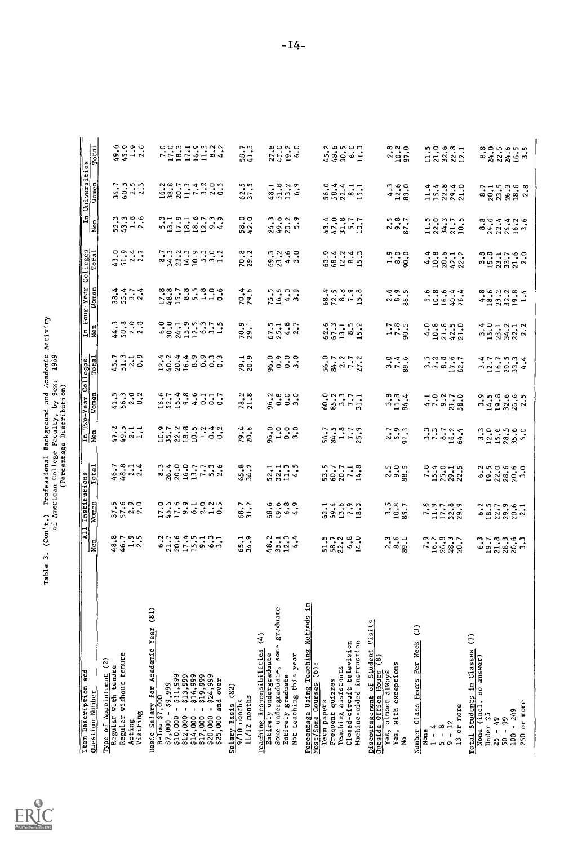

## Table 3. (Con't.) Professional Background and Academic Activity of American College Faculty, by Sex: 1969 (Percentage Distribution)

| Colleges<br>Total<br>3.72.7<br>$\frac{1}{2}$ $\frac{1}{2}$ $\frac{1}{2}$ $\frac{1}{2}$ $\frac{1}{2}$ $\frac{1}{2}$ $\frac{1}{2}$ $\frac{1}{2}$ $\frac{1}{2}$ $\frac{1}{2}$ $\frac{1}{2}$ $\frac{1}{2}$ $\frac{1}{2}$<br>$70.8$<br>$29.2$<br>$3,3,4,0$<br>$3,4,5$<br>$3824$ $\frac{3}{2}$<br>$\frac{3}{1}$ $\frac{3}{8}$ $\frac{3}{8}$<br>In Four-Year<br>Men Women<br>$3.5 - 4$<br>$3.5 - 4$<br>$70.4$<br>$29.6$<br>raque<br>Daque<br>$30.898$<br>$-1.5898$<br>$\begin{array}{c}\n\circ \\ \circ \\ \circ \\ \circ \\ \circ \\ \circ\n\end{array}$<br>45, 25<br>$\begin{array}{c}\n0 \\ 0 \\ 0 \\ 0 \\ 0 \\ 1\n\end{array}$<br>$70.9$<br>$29.1$<br>$67.3$<br>$25.18$<br>$2.7$<br>$6.71.5.2$<br>$6.71.5.2$<br>1.8<br>45.300<br>79.1<br>5000<br>$9.3172$<br>$9.3172$<br>3.46<br>$9.7489 - 1.7$<br>$78.2$<br>21.8<br>$3.37 - 1.7$<br>$3.34$<br>$-3.4$<br>$43.11$<br>$49.11$<br>$\frac{3}{2}$<br>$\frac{7}{2}$<br>$\frac{3}{2}$<br>$\frac{3}{2}$<br>$\frac{3}{2}$<br>$\frac{5}{2}$<br>$\frac{1}{2}$<br>$\frac{3}{2}$<br>$\frac{1}{2}$<br>$\frac{3}{2}$<br>$\frac{1}{2}$<br>$\frac{1}{2}$<br>$\frac{1}{2}$<br>$\frac{1}{2}$<br>$\frac{1}{2}$<br>$79.4$<br>$20.6$<br>3.33<br>$7.58 - 5.5$<br>$7.58 - 5.5$<br>$2.3$<br>91.3<br>$4.5.314$<br>$4.3.14$<br>$\begin{array}{c}\n\bullet \circ \circ \circ \circ \cdot \circ \cdot \circ \circ \\ \bullet \circ \circ \circ \circ \cdot \circ \cdot \circ \circ \circ \\ \bullet \circ \circ \circ \circ \circ \cdot \circ \cdot \circ \circ \circ\n\end{array}$<br>$65.8$<br>$34.2$<br>$52.1$<br>$32.1$<br>$4.3$<br>$\begin{array}{c}\n 1.5 \\  0.5 \\  0.8\n \end{array}$<br>$3.7773$<br>$3.7773$<br>Women<br>$37.800$<br>$57.800$<br>$68.7$<br>31.2<br>$8.689$<br>$8.994$<br>$331 - 2$<br>$3.38$<br>$10.8$<br>$5.7$<br>48.3<br>46.7<br>1.9<br>$6.781$<br>$0.781$<br>$0.799$<br>$0.799$<br>$0.799$<br>34.9<br>$4.314$<br>$4.134$<br>$4.44$<br>6.8<br>14.0<br>$51.5$<br>$58.7$<br>$22.2$<br>2.3<br>3.1<br>ä<br>Some undergraduate, some graduate<br>Basic Salary for Academic Year (81)<br>Below \$7,000<br>Percentage Using Teaching Methods<br><u>Discouragement of Student Visits</u><br>Outside Office Hours (8)<br>$\widehat{\circ}$<br>€<br>Number Class Hours Per Week<br>Closed-circuit television<br>Machine-aided instruction<br>Teaching Responsibilities<br>Regular without tenure<br>Entirely undergraduate<br>Not teaching this year<br>$\widehat{c}$<br>Yes, with exceptions<br>Most/Some Courses (6):<br>Regular with tenure<br>Teaching assistants<br>Yes, almost always<br>Type of Appointment<br>$$10,000 - $11,999$<br>\$13,999<br>$$14,000 - $16,999$<br>$$17,000 - $19,999$<br>$$20,000 - $24,999$<br>$$25,000 and over$<br>Entirely graduate<br>Frequent quizzes<br>$$7,000 - $9,999$<br>Salary Basis (82)<br>9/10 months<br>11/12 months<br>Term papers<br>$$12,000 -$<br>Visiting<br>Acting<br>None<br>ş | <b>Women</b><br>$3.593$<br>$3.593$<br>$62.5$<br>$37.5$<br>$48.39$<br>$37.39$<br>5.3281<br>ning<br>Sinis<br>Sinis<br>$58.0$<br>42.0<br>n e e e e<br>A g a n<br>$47.8$<br>$47.8$<br>$47.7$<br>$10.7$<br>Men                                                                                                           | Total<br>enne<br>Sig-in<br>$7.2$ $3.1$ $3.3$ $3.4$<br>$7.1$ $3.1$ $3.3$ $4$<br>$58.7$<br>41.3<br>$\frac{3}{2}$<br>$\frac{3}{2}$<br>$\frac{3}{2}$<br>$\frac{3}{2}$<br>$\frac{3}{2}$ |
|-----------------------------------------------------------------------------------------------------------------------------------------------------------------------------------------------------------------------------------------------------------------------------------------------------------------------------------------------------------------------------------------------------------------------------------------------------------------------------------------------------------------------------------------------------------------------------------------------------------------------------------------------------------------------------------------------------------------------------------------------------------------------------------------------------------------------------------------------------------------------------------------------------------------------------------------------------------------------------------------------------------------------------------------------------------------------------------------------------------------------------------------------------------------------------------------------------------------------------------------------------------------------------------------------------------------------------------------------------------------------------------------------------------------------------------------------------------------------------------------------------------------------------------------------------------------------------------------------------------------------------------------------------------------------------------------------------------------------------------------------------------------------------------------------------------------------------------------------------------------------------------------------------------------------------------------------------------------------------------------------------------------------------------------------------------------------------------------------------------------------------------------------------------------------------------------------------------------------------------------------------------------------------------------------------------------------------------------------------------------------------------------------------------------------------------------------------------------------------------------------------------------------------------------------------------------------------------------------------------------------------------------------------------------------------------------------------------------------------------------------------------------------------------------------------------------------------------------------------------------------|---------------------------------------------------------------------------------------------------------------------------------------------------------------------------------------------------------------------------------------------------------------------------------------------------------------------|------------------------------------------------------------------------------------------------------------------------------------------------------------------------------------|
|                                                                                                                                                                                                                                                                                                                                                                                                                                                                                                                                                                                                                                                                                                                                                                                                                                                                                                                                                                                                                                                                                                                                                                                                                                                                                                                                                                                                                                                                                                                                                                                                                                                                                                                                                                                                                                                                                                                                                                                                                                                                                                                                                                                                                                                                                                                                                                                                                                                                                                                                                                                                                                                                                                                                                                                                                                                                       |                                                                                                                                                                                                                                                                                                                     |                                                                                                                                                                                    |
|                                                                                                                                                                                                                                                                                                                                                                                                                                                                                                                                                                                                                                                                                                                                                                                                                                                                                                                                                                                                                                                                                                                                                                                                                                                                                                                                                                                                                                                                                                                                                                                                                                                                                                                                                                                                                                                                                                                                                                                                                                                                                                                                                                                                                                                                                                                                                                                                                                                                                                                                                                                                                                                                                                                                                                                                                                                                       |                                                                                                                                                                                                                                                                                                                     |                                                                                                                                                                                    |
|                                                                                                                                                                                                                                                                                                                                                                                                                                                                                                                                                                                                                                                                                                                                                                                                                                                                                                                                                                                                                                                                                                                                                                                                                                                                                                                                                                                                                                                                                                                                                                                                                                                                                                                                                                                                                                                                                                                                                                                                                                                                                                                                                                                                                                                                                                                                                                                                                                                                                                                                                                                                                                                                                                                                                                                                                                                                       |                                                                                                                                                                                                                                                                                                                     |                                                                                                                                                                                    |
|                                                                                                                                                                                                                                                                                                                                                                                                                                                                                                                                                                                                                                                                                                                                                                                                                                                                                                                                                                                                                                                                                                                                                                                                                                                                                                                                                                                                                                                                                                                                                                                                                                                                                                                                                                                                                                                                                                                                                                                                                                                                                                                                                                                                                                                                                                                                                                                                                                                                                                                                                                                                                                                                                                                                                                                                                                                                       |                                                                                                                                                                                                                                                                                                                     |                                                                                                                                                                                    |
|                                                                                                                                                                                                                                                                                                                                                                                                                                                                                                                                                                                                                                                                                                                                                                                                                                                                                                                                                                                                                                                                                                                                                                                                                                                                                                                                                                                                                                                                                                                                                                                                                                                                                                                                                                                                                                                                                                                                                                                                                                                                                                                                                                                                                                                                                                                                                                                                                                                                                                                                                                                                                                                                                                                                                                                                                                                                       |                                                                                                                                                                                                                                                                                                                     |                                                                                                                                                                                    |
|                                                                                                                                                                                                                                                                                                                                                                                                                                                                                                                                                                                                                                                                                                                                                                                                                                                                                                                                                                                                                                                                                                                                                                                                                                                                                                                                                                                                                                                                                                                                                                                                                                                                                                                                                                                                                                                                                                                                                                                                                                                                                                                                                                                                                                                                                                                                                                                                                                                                                                                                                                                                                                                                                                                                                                                                                                                                       |                                                                                                                                                                                                                                                                                                                     |                                                                                                                                                                                    |
|                                                                                                                                                                                                                                                                                                                                                                                                                                                                                                                                                                                                                                                                                                                                                                                                                                                                                                                                                                                                                                                                                                                                                                                                                                                                                                                                                                                                                                                                                                                                                                                                                                                                                                                                                                                                                                                                                                                                                                                                                                                                                                                                                                                                                                                                                                                                                                                                                                                                                                                                                                                                                                                                                                                                                                                                                                                                       |                                                                                                                                                                                                                                                                                                                     |                                                                                                                                                                                    |
|                                                                                                                                                                                                                                                                                                                                                                                                                                                                                                                                                                                                                                                                                                                                                                                                                                                                                                                                                                                                                                                                                                                                                                                                                                                                                                                                                                                                                                                                                                                                                                                                                                                                                                                                                                                                                                                                                                                                                                                                                                                                                                                                                                                                                                                                                                                                                                                                                                                                                                                                                                                                                                                                                                                                                                                                                                                                       |                                                                                                                                                                                                                                                                                                                     |                                                                                                                                                                                    |
|                                                                                                                                                                                                                                                                                                                                                                                                                                                                                                                                                                                                                                                                                                                                                                                                                                                                                                                                                                                                                                                                                                                                                                                                                                                                                                                                                                                                                                                                                                                                                                                                                                                                                                                                                                                                                                                                                                                                                                                                                                                                                                                                                                                                                                                                                                                                                                                                                                                                                                                                                                                                                                                                                                                                                                                                                                                                       |                                                                                                                                                                                                                                                                                                                     |                                                                                                                                                                                    |
|                                                                                                                                                                                                                                                                                                                                                                                                                                                                                                                                                                                                                                                                                                                                                                                                                                                                                                                                                                                                                                                                                                                                                                                                                                                                                                                                                                                                                                                                                                                                                                                                                                                                                                                                                                                                                                                                                                                                                                                                                                                                                                                                                                                                                                                                                                                                                                                                                                                                                                                                                                                                                                                                                                                                                                                                                                                                       |                                                                                                                                                                                                                                                                                                                     |                                                                                                                                                                                    |
|                                                                                                                                                                                                                                                                                                                                                                                                                                                                                                                                                                                                                                                                                                                                                                                                                                                                                                                                                                                                                                                                                                                                                                                                                                                                                                                                                                                                                                                                                                                                                                                                                                                                                                                                                                                                                                                                                                                                                                                                                                                                                                                                                                                                                                                                                                                                                                                                                                                                                                                                                                                                                                                                                                                                                                                                                                                                       |                                                                                                                                                                                                                                                                                                                     |                                                                                                                                                                                    |
|                                                                                                                                                                                                                                                                                                                                                                                                                                                                                                                                                                                                                                                                                                                                                                                                                                                                                                                                                                                                                                                                                                                                                                                                                                                                                                                                                                                                                                                                                                                                                                                                                                                                                                                                                                                                                                                                                                                                                                                                                                                                                                                                                                                                                                                                                                                                                                                                                                                                                                                                                                                                                                                                                                                                                                                                                                                                       |                                                                                                                                                                                                                                                                                                                     |                                                                                                                                                                                    |
|                                                                                                                                                                                                                                                                                                                                                                                                                                                                                                                                                                                                                                                                                                                                                                                                                                                                                                                                                                                                                                                                                                                                                                                                                                                                                                                                                                                                                                                                                                                                                                                                                                                                                                                                                                                                                                                                                                                                                                                                                                                                                                                                                                                                                                                                                                                                                                                                                                                                                                                                                                                                                                                                                                                                                                                                                                                                       |                                                                                                                                                                                                                                                                                                                     |                                                                                                                                                                                    |
|                                                                                                                                                                                                                                                                                                                                                                                                                                                                                                                                                                                                                                                                                                                                                                                                                                                                                                                                                                                                                                                                                                                                                                                                                                                                                                                                                                                                                                                                                                                                                                                                                                                                                                                                                                                                                                                                                                                                                                                                                                                                                                                                                                                                                                                                                                                                                                                                                                                                                                                                                                                                                                                                                                                                                                                                                                                                       |                                                                                                                                                                                                                                                                                                                     |                                                                                                                                                                                    |
|                                                                                                                                                                                                                                                                                                                                                                                                                                                                                                                                                                                                                                                                                                                                                                                                                                                                                                                                                                                                                                                                                                                                                                                                                                                                                                                                                                                                                                                                                                                                                                                                                                                                                                                                                                                                                                                                                                                                                                                                                                                                                                                                                                                                                                                                                                                                                                                                                                                                                                                                                                                                                                                                                                                                                                                                                                                                       |                                                                                                                                                                                                                                                                                                                     |                                                                                                                                                                                    |
|                                                                                                                                                                                                                                                                                                                                                                                                                                                                                                                                                                                                                                                                                                                                                                                                                                                                                                                                                                                                                                                                                                                                                                                                                                                                                                                                                                                                                                                                                                                                                                                                                                                                                                                                                                                                                                                                                                                                                                                                                                                                                                                                                                                                                                                                                                                                                                                                                                                                                                                                                                                                                                                                                                                                                                                                                                                                       |                                                                                                                                                                                                                                                                                                                     |                                                                                                                                                                                    |
|                                                                                                                                                                                                                                                                                                                                                                                                                                                                                                                                                                                                                                                                                                                                                                                                                                                                                                                                                                                                                                                                                                                                                                                                                                                                                                                                                                                                                                                                                                                                                                                                                                                                                                                                                                                                                                                                                                                                                                                                                                                                                                                                                                                                                                                                                                                                                                                                                                                                                                                                                                                                                                                                                                                                                                                                                                                                       |                                                                                                                                                                                                                                                                                                                     |                                                                                                                                                                                    |
|                                                                                                                                                                                                                                                                                                                                                                                                                                                                                                                                                                                                                                                                                                                                                                                                                                                                                                                                                                                                                                                                                                                                                                                                                                                                                                                                                                                                                                                                                                                                                                                                                                                                                                                                                                                                                                                                                                                                                                                                                                                                                                                                                                                                                                                                                                                                                                                                                                                                                                                                                                                                                                                                                                                                                                                                                                                                       |                                                                                                                                                                                                                                                                                                                     |                                                                                                                                                                                    |
|                                                                                                                                                                                                                                                                                                                                                                                                                                                                                                                                                                                                                                                                                                                                                                                                                                                                                                                                                                                                                                                                                                                                                                                                                                                                                                                                                                                                                                                                                                                                                                                                                                                                                                                                                                                                                                                                                                                                                                                                                                                                                                                                                                                                                                                                                                                                                                                                                                                                                                                                                                                                                                                                                                                                                                                                                                                                       | $4.3$<br>$12.6$<br>$12.6$<br>$2.5$<br>$3.3$<br>$5.7$                                                                                                                                                                                                                                                                | $2.8$<br>$10.2$<br>$57.0$                                                                                                                                                          |
|                                                                                                                                                                                                                                                                                                                                                                                                                                                                                                                                                                                                                                                                                                                                                                                                                                                                                                                                                                                                                                                                                                                                                                                                                                                                                                                                                                                                                                                                                                                                                                                                                                                                                                                                                                                                                                                                                                                                                                                                                                                                                                                                                                                                                                                                                                                                                                                                                                                                                                                                                                                                                                                                                                                                                                                                                                                                       |                                                                                                                                                                                                                                                                                                                     |                                                                                                                                                                                    |
| $7.9$<br>16.2<br>4<br>$\overline{1}$                                                                                                                                                                                                                                                                                                                                                                                                                                                                                                                                                                                                                                                                                                                                                                                                                                                                                                                                                                                                                                                                                                                                                                                                                                                                                                                                                                                                                                                                                                                                                                                                                                                                                                                                                                                                                                                                                                                                                                                                                                                                                                                                                                                                                                                                                                                                                                                                                                                                                                                                                                                                                                                                                                                                                                                                                                  |                                                                                                                                                                                                                                                                                                                     |                                                                                                                                                                                    |
| $489.72$<br>$49.842$<br>$5.8944$<br>$-1.2844$<br>$3.310$<br>$3.310$<br>$3.310$<br>7.38867<br>$10.25$<br>$7.35$<br>$7.38$<br>$3.3 - 8$<br>$7.3 - 24$<br>$64.4$<br>$-3.4$ $-3.5$<br>$-1.5$ $-3.5$<br>$-2.5$<br>$7.333$<br>$-1.733$<br>$9 - 12$<br>$\infty$<br>$\frac{1}{2}$                                                                                                                                                                                                                                                                                                                                                                                                                                                                                                                                                                                                                                                                                                                                                                                                                                                                                                                                                                                                                                                                                                                                                                                                                                                                                                                                                                                                                                                                                                                                                                                                                                                                                                                                                                                                                                                                                                                                                                                                                                                                                                                                                                                                                                                                                                                                                                                                                                                                                                                                                                                             | $112222$<br>$12222$<br>123311                                                                                                                                                                                                                                                                                       | $1.3, 8, 8, 1$<br>$1.3, 8, 8, 1$                                                                                                                                                   |
| $25.3$<br>$28.7$<br>13 or more                                                                                                                                                                                                                                                                                                                                                                                                                                                                                                                                                                                                                                                                                                                                                                                                                                                                                                                                                                                                                                                                                                                                                                                                                                                                                                                                                                                                                                                                                                                                                                                                                                                                                                                                                                                                                                                                                                                                                                                                                                                                                                                                                                                                                                                                                                                                                                                                                                                                                                                                                                                                                                                                                                                                                                                                                                        |                                                                                                                                                                                                                                                                                                                     |                                                                                                                                                                                    |
| $\widehat{c}$<br>Total Students in Classes                                                                                                                                                                                                                                                                                                                                                                                                                                                                                                                                                                                                                                                                                                                                                                                                                                                                                                                                                                                                                                                                                                                                                                                                                                                                                                                                                                                                                                                                                                                                                                                                                                                                                                                                                                                                                                                                                                                                                                                                                                                                                                                                                                                                                                                                                                                                                                                                                                                                                                                                                                                                                                                                                                                                                                                                                            |                                                                                                                                                                                                                                                                                                                     |                                                                                                                                                                                    |
| $4.873334$<br>$\frac{1}{3}$ $\frac{1}{3}$ $\frac{1}{3}$ $\frac{1}{3}$ $\frac{1}{3}$ $\frac{1}{3}$ $\frac{1}{3}$ $\frac{1}{3}$<br>$\frac{1}{3}$ $\frac{1}{2}$ $\frac{1}{2}$ $\frac{1}{2}$ $\frac{1}{2}$ $\frac{1}{2}$ $\frac{1}{2}$ $\frac{1}{2}$ $\frac{1}{2}$ $\frac{1}{2}$ $\frac{1}{2}$ $\frac{1}{2}$ $\frac{1}{2}$ $\frac{1}{2}$ $\frac{1}{2}$<br>$\begin{array}{c} 1.000000 \\ 0.0000000 \\ 0.0000000 \\ \end{array}$<br>$\begin{array}{c}\n 0.7 \\  0.7 \\  0.7 \\  0.8 \\  0.8 \\  0.7\n \end{array}$<br>3.5381<br>en an an<br>an diagon<br>None (incl. no answer)<br>Under 25                                                                                                                                                                                                                                                                                                                                                                                                                                                                                                                                                                                                                                                                                                                                                                                                                                                                                                                                                                                                                                                                                                                                                                                                                                                                                                                                                                                                                                                                                                                                                                                                                                                                                                                                                                                                                                                                                                                                                                                                                                                                                                                                                                                                                                                                                 | 8,9442.9                                                                                                                                                                                                                                                                                                            |                                                                                                                                                                                    |
| $25 - 49$                                                                                                                                                                                                                                                                                                                                                                                                                                                                                                                                                                                                                                                                                                                                                                                                                                                                                                                                                                                                                                                                                                                                                                                                                                                                                                                                                                                                                                                                                                                                                                                                                                                                                                                                                                                                                                                                                                                                                                                                                                                                                                                                                                                                                                                                                                                                                                                                                                                                                                                                                                                                                                                                                                                                                                                                                                                             |                                                                                                                                                                                                                                                                                                                     |                                                                                                                                                                                    |
| $100 - 249$<br>$50 - 99$                                                                                                                                                                                                                                                                                                                                                                                                                                                                                                                                                                                                                                                                                                                                                                                                                                                                                                                                                                                                                                                                                                                                                                                                                                                                                                                                                                                                                                                                                                                                                                                                                                                                                                                                                                                                                                                                                                                                                                                                                                                                                                                                                                                                                                                                                                                                                                                                                                                                                                                                                                                                                                                                                                                                                                                                                                              |                                                                                                                                                                                                                                                                                                                     |                                                                                                                                                                                    |
| aaddada<br>Saadda<br>or more<br>250                                                                                                                                                                                                                                                                                                                                                                                                                                                                                                                                                                                                                                                                                                                                                                                                                                                                                                                                                                                                                                                                                                                                                                                                                                                                                                                                                                                                                                                                                                                                                                                                                                                                                                                                                                                                                                                                                                                                                                                                                                                                                                                                                                                                                                                                                                                                                                                                                                                                                                                                                                                                                                                                                                                                                                                                                                   | $\frac{1}{8}$ $\frac{1}{8}$ $\frac{1}{8}$ $\frac{1}{8}$ $\frac{3}{8}$ $\frac{6}{8}$ $\frac{3}{8}$ $\frac{3}{8}$ $\frac{3}{8}$ $\frac{3}{8}$ $\frac{3}{8}$ $\frac{3}{8}$ $\frac{3}{8}$ $\frac{3}{8}$ $\frac{3}{8}$ $\frac{3}{8}$ $\frac{3}{8}$ $\frac{3}{8}$ $\frac{3}{8}$ $\frac{3}{8}$ $\frac{3}{8}$ $\frac{3}{8}$ | a o n o n n<br>a d d d n n                                                                                                                                                         |
|                                                                                                                                                                                                                                                                                                                                                                                                                                                                                                                                                                                                                                                                                                                                                                                                                                                                                                                                                                                                                                                                                                                                                                                                                                                                                                                                                                                                                                                                                                                                                                                                                                                                                                                                                                                                                                                                                                                                                                                                                                                                                                                                                                                                                                                                                                                                                                                                                                                                                                                                                                                                                                                                                                                                                                                                                                                                       |                                                                                                                                                                                                                                                                                                                     |                                                                                                                                                                                    |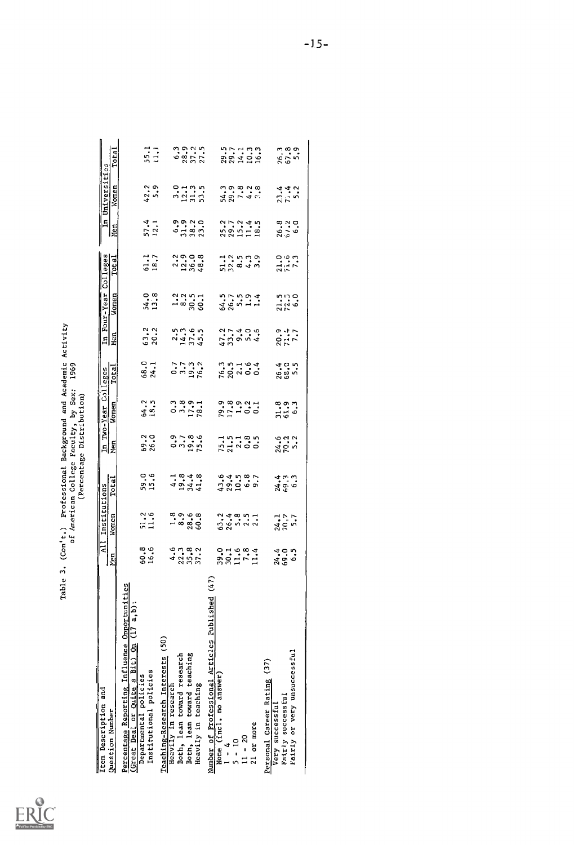| ) Professional Background and Academic Activity<br>ile 3. (Con't.) | of American College Faculty, by Sex: 1969 | (Percentage Distribution) |
|--------------------------------------------------------------------|-------------------------------------------|---------------------------|
|                                                                    |                                           |                           |

| $36.9$<br>$35.9$<br>Total<br>$\frac{1}{2}$<br>n<br>22121<br>42.3<br>Women<br>3.13.5<br>$\begin{array}{c}\n\mathbf{a} \\ \mathbf{b} \\ \mathbf{c} \\ \mathbf{d} \\ \mathbf{d} \\ \mathbf{e} \\ \mathbf{e} \\ \mathbf{e} \\ \mathbf{e} \\ \mathbf{e} \\ \mathbf{e} \\ \mathbf{e} \\ \mathbf{e} \\ \mathbf{e} \\ \mathbf{e} \\ \mathbf{e} \\ \mathbf{e} \\ \mathbf{e} \\ \mathbf{e} \\ \mathbf{e} \\ \mathbf{e} \\ \mathbf{e} \\ \mathbf{e} \\ \mathbf{e} \\ \mathbf{e} \\ \mathbf{e} \\ \mathbf{e} \\ \mathbf{e} \\ \mathbf{e} \\ \mathbf{e} \\ \math$<br>$\frac{44}{25}$ .<br>$3, 3, 5$<br>$-7, 8, 7$<br>57.4<br>$8.30$<br>$8.30$<br>In Four-Year Colleges<br>Men Women Total<br>$61.1$<br>$18.7$<br>$\frac{1}{2}$ $\frac{3}{2}$ $\frac{5}{2}$ $\frac{5}{2}$ $\frac{3}{2}$ $\frac{5}{2}$ $\frac{1}{2}$<br>$\frac{1}{2}$ $\frac{1}{2}$ $\frac{3}{2}$<br>Women<br>$\frac{54.0}{13.8}$<br>1.3, 5.1<br>$\begin{array}{c}\n5.7 \\ \hline\n1.7 \\ \hline\n0.7\n\end{array}$<br>$389 - 1$<br>$63.2$<br>$20.2$<br>$2.5$<br>$14.5.5$<br>$45.5$<br>$27, 40, 4$<br>$7, 7, 9, 0, 4$<br>2.17<br>$68.0$<br>24.1<br>$0.77$<br>$0.79$<br>$0.28$<br>$\begin{array}{c} 4.3 \\ 2.3 \\ 0.3 \end{array}$<br>284000<br>In Two-Year Colleges<br>Men Women Total<br>64.3<br>8.331<br>an<br>Ru<br>$3.0$<br>$26.0$<br>$\frac{3}{2}$ $\frac{3}{2}$ $\frac{3}{2}$ $\frac{3}{2}$<br>$24.2$<br>70.3<br>7.73300<br>$59.0$<br>15.6<br>$49.48$<br>$49.48$<br>389.87<br>$\begin{array}{c} 4.73 \\ 4.25 \end{array}$<br>Total<br>$\frac{3}{11}$ .6<br>$\frac{8}{1}$ $\frac{6}{1}$ $\frac{6}{1}$ $\frac{6}{1}$ $\frac{6}{1}$<br>248.1<br>Women<br>$24.7$<br>$5.7$<br>$60.8$<br>16.6<br>$4.392$<br>$4.397$<br>$7.397$<br>9.7981<br>$\frac{4}{3}$ $\frac{6}{9}$ $\frac{5}{9}$<br>(47)<br>Percentage Reporting Influence Opportunities<br>(Great Deal or Quite a Bit) On (17 a,b):<br>Published<br>$a, b)$ :<br>Teaching-Research Interests (50)<br>Heavily in research<br>Number of Professional Articles<br>Fairly or very unsuccessful<br>Both, lean toward teaching<br>Heavily in teaching<br>Both, lean toward research<br>Personal Career Rating (37)<br>Institutional policies<br>Departmental policies<br>None (incl. no answer)<br>1 - 4<br>11 - 20<br>21 or more<br>Very successful<br>Fairly successful | Item Description and | $\ddot{a}$ | Institutions |  |              |       |  |      | In Universities |  |
|----------------------------------------------------------------------------------------------------------------------------------------------------------------------------------------------------------------------------------------------------------------------------------------------------------------------------------------------------------------------------------------------------------------------------------------------------------------------------------------------------------------------------------------------------------------------------------------------------------------------------------------------------------------------------------------------------------------------------------------------------------------------------------------------------------------------------------------------------------------------------------------------------------------------------------------------------------------------------------------------------------------------------------------------------------------------------------------------------------------------------------------------------------------------------------------------------------------------------------------------------------------------------------------------------------------------------------------------------------------------------------------------------------------------------------------------------------------------------------------------------------------------------------------------------------------------------------------------------------------------------------------------------------------------------------------------------------------------------------------------------------------------------------------------------------------------------------------------------------------------------------------------------------------------------------------------------------------------------------------------------------------------------------------------------------------------------------------------------------------------------------------------------------------------------------------------------------------------------------------------------------------------------|----------------------|------------|--------------|--|--------------|-------|--|------|-----------------|--|
|                                                                                                                                                                                                                                                                                                                                                                                                                                                                                                                                                                                                                                                                                                                                                                                                                                                                                                                                                                                                                                                                                                                                                                                                                                                                                                                                                                                                                                                                                                                                                                                                                                                                                                                                                                                                                                                                                                                                                                                                                                                                                                                                                                                                                                                                            | Question Number      | la<br>Ngj  |              |  | <b>Vomen</b> | Total |  | ءِ ا |                 |  |
|                                                                                                                                                                                                                                                                                                                                                                                                                                                                                                                                                                                                                                                                                                                                                                                                                                                                                                                                                                                                                                                                                                                                                                                                                                                                                                                                                                                                                                                                                                                                                                                                                                                                                                                                                                                                                                                                                                                                                                                                                                                                                                                                                                                                                                                                            |                      |            |              |  |              |       |  |      |                 |  |
|                                                                                                                                                                                                                                                                                                                                                                                                                                                                                                                                                                                                                                                                                                                                                                                                                                                                                                                                                                                                                                                                                                                                                                                                                                                                                                                                                                                                                                                                                                                                                                                                                                                                                                                                                                                                                                                                                                                                                                                                                                                                                                                                                                                                                                                                            |                      |            |              |  |              |       |  |      |                 |  |
|                                                                                                                                                                                                                                                                                                                                                                                                                                                                                                                                                                                                                                                                                                                                                                                                                                                                                                                                                                                                                                                                                                                                                                                                                                                                                                                                                                                                                                                                                                                                                                                                                                                                                                                                                                                                                                                                                                                                                                                                                                                                                                                                                                                                                                                                            |                      |            |              |  |              |       |  |      |                 |  |
|                                                                                                                                                                                                                                                                                                                                                                                                                                                                                                                                                                                                                                                                                                                                                                                                                                                                                                                                                                                                                                                                                                                                                                                                                                                                                                                                                                                                                                                                                                                                                                                                                                                                                                                                                                                                                                                                                                                                                                                                                                                                                                                                                                                                                                                                            |                      |            |              |  |              |       |  |      |                 |  |
|                                                                                                                                                                                                                                                                                                                                                                                                                                                                                                                                                                                                                                                                                                                                                                                                                                                                                                                                                                                                                                                                                                                                                                                                                                                                                                                                                                                                                                                                                                                                                                                                                                                                                                                                                                                                                                                                                                                                                                                                                                                                                                                                                                                                                                                                            |                      |            |              |  |              |       |  |      |                 |  |
|                                                                                                                                                                                                                                                                                                                                                                                                                                                                                                                                                                                                                                                                                                                                                                                                                                                                                                                                                                                                                                                                                                                                                                                                                                                                                                                                                                                                                                                                                                                                                                                                                                                                                                                                                                                                                                                                                                                                                                                                                                                                                                                                                                                                                                                                            |                      |            |              |  |              |       |  |      |                 |  |
|                                                                                                                                                                                                                                                                                                                                                                                                                                                                                                                                                                                                                                                                                                                                                                                                                                                                                                                                                                                                                                                                                                                                                                                                                                                                                                                                                                                                                                                                                                                                                                                                                                                                                                                                                                                                                                                                                                                                                                                                                                                                                                                                                                                                                                                                            |                      |            |              |  |              |       |  |      |                 |  |
|                                                                                                                                                                                                                                                                                                                                                                                                                                                                                                                                                                                                                                                                                                                                                                                                                                                                                                                                                                                                                                                                                                                                                                                                                                                                                                                                                                                                                                                                                                                                                                                                                                                                                                                                                                                                                                                                                                                                                                                                                                                                                                                                                                                                                                                                            |                      |            |              |  |              |       |  |      |                 |  |
|                                                                                                                                                                                                                                                                                                                                                                                                                                                                                                                                                                                                                                                                                                                                                                                                                                                                                                                                                                                                                                                                                                                                                                                                                                                                                                                                                                                                                                                                                                                                                                                                                                                                                                                                                                                                                                                                                                                                                                                                                                                                                                                                                                                                                                                                            |                      |            |              |  |              |       |  |      |                 |  |
|                                                                                                                                                                                                                                                                                                                                                                                                                                                                                                                                                                                                                                                                                                                                                                                                                                                                                                                                                                                                                                                                                                                                                                                                                                                                                                                                                                                                                                                                                                                                                                                                                                                                                                                                                                                                                                                                                                                                                                                                                                                                                                                                                                                                                                                                            |                      |            |              |  |              |       |  |      |                 |  |
|                                                                                                                                                                                                                                                                                                                                                                                                                                                                                                                                                                                                                                                                                                                                                                                                                                                                                                                                                                                                                                                                                                                                                                                                                                                                                                                                                                                                                                                                                                                                                                                                                                                                                                                                                                                                                                                                                                                                                                                                                                                                                                                                                                                                                                                                            |                      |            |              |  |              |       |  |      |                 |  |
|                                                                                                                                                                                                                                                                                                                                                                                                                                                                                                                                                                                                                                                                                                                                                                                                                                                                                                                                                                                                                                                                                                                                                                                                                                                                                                                                                                                                                                                                                                                                                                                                                                                                                                                                                                                                                                                                                                                                                                                                                                                                                                                                                                                                                                                                            |                      |            |              |  |              |       |  |      |                 |  |
|                                                                                                                                                                                                                                                                                                                                                                                                                                                                                                                                                                                                                                                                                                                                                                                                                                                                                                                                                                                                                                                                                                                                                                                                                                                                                                                                                                                                                                                                                                                                                                                                                                                                                                                                                                                                                                                                                                                                                                                                                                                                                                                                                                                                                                                                            |                      |            |              |  |              |       |  |      |                 |  |
|                                                                                                                                                                                                                                                                                                                                                                                                                                                                                                                                                                                                                                                                                                                                                                                                                                                                                                                                                                                                                                                                                                                                                                                                                                                                                                                                                                                                                                                                                                                                                                                                                                                                                                                                                                                                                                                                                                                                                                                                                                                                                                                                                                                                                                                                            |                      |            |              |  |              |       |  |      |                 |  |
|                                                                                                                                                                                                                                                                                                                                                                                                                                                                                                                                                                                                                                                                                                                                                                                                                                                                                                                                                                                                                                                                                                                                                                                                                                                                                                                                                                                                                                                                                                                                                                                                                                                                                                                                                                                                                                                                                                                                                                                                                                                                                                                                                                                                                                                                            |                      |            |              |  |              |       |  |      |                 |  |
|                                                                                                                                                                                                                                                                                                                                                                                                                                                                                                                                                                                                                                                                                                                                                                                                                                                                                                                                                                                                                                                                                                                                                                                                                                                                                                                                                                                                                                                                                                                                                                                                                                                                                                                                                                                                                                                                                                                                                                                                                                                                                                                                                                                                                                                                            |                      |            |              |  |              |       |  |      |                 |  |
|                                                                                                                                                                                                                                                                                                                                                                                                                                                                                                                                                                                                                                                                                                                                                                                                                                                                                                                                                                                                                                                                                                                                                                                                                                                                                                                                                                                                                                                                                                                                                                                                                                                                                                                                                                                                                                                                                                                                                                                                                                                                                                                                                                                                                                                                            |                      |            |              |  |              |       |  |      |                 |  |
|                                                                                                                                                                                                                                                                                                                                                                                                                                                                                                                                                                                                                                                                                                                                                                                                                                                                                                                                                                                                                                                                                                                                                                                                                                                                                                                                                                                                                                                                                                                                                                                                                                                                                                                                                                                                                                                                                                                                                                                                                                                                                                                                                                                                                                                                            |                      |            |              |  |              |       |  |      |                 |  |
|                                                                                                                                                                                                                                                                                                                                                                                                                                                                                                                                                                                                                                                                                                                                                                                                                                                                                                                                                                                                                                                                                                                                                                                                                                                                                                                                                                                                                                                                                                                                                                                                                                                                                                                                                                                                                                                                                                                                                                                                                                                                                                                                                                                                                                                                            |                      |            |              |  |              |       |  |      |                 |  |
|                                                                                                                                                                                                                                                                                                                                                                                                                                                                                                                                                                                                                                                                                                                                                                                                                                                                                                                                                                                                                                                                                                                                                                                                                                                                                                                                                                                                                                                                                                                                                                                                                                                                                                                                                                                                                                                                                                                                                                                                                                                                                                                                                                                                                                                                            |                      |            |              |  |              |       |  |      |                 |  |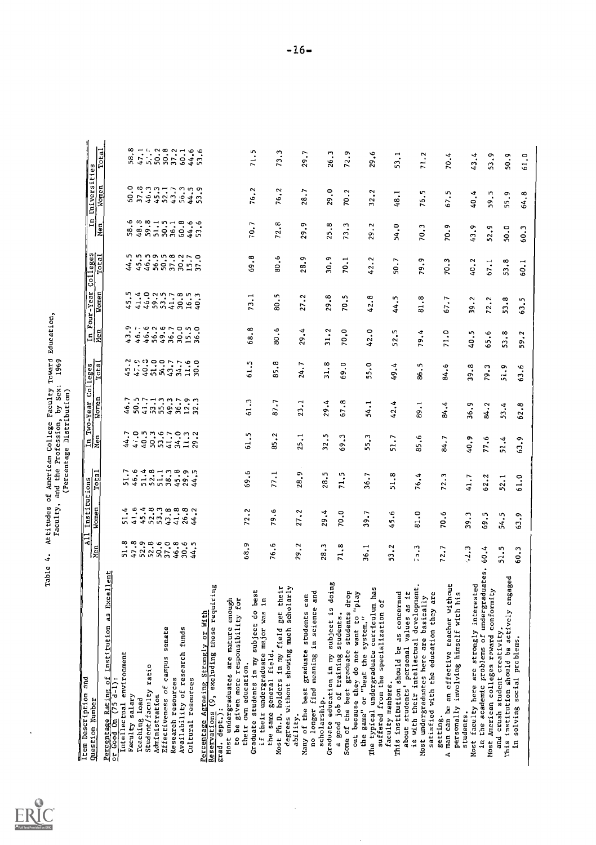

 $\hat{\mathcal{E}}$ 

## Table 4. Attitudes of American College Faculty Toward Education,<br>Faculty, and the Profession, by Sex: 1969<br>(Percentage Distribution)

| Item Description and                                                                          |                               |                           |                                                                                                                                                                                                                                |                      |                                           |                          |                                                                                                                                                                                                                                                                                                                     |                      |                  |                     |                            |                                           |
|-----------------------------------------------------------------------------------------------|-------------------------------|---------------------------|--------------------------------------------------------------------------------------------------------------------------------------------------------------------------------------------------------------------------------|----------------------|-------------------------------------------|--------------------------|---------------------------------------------------------------------------------------------------------------------------------------------------------------------------------------------------------------------------------------------------------------------------------------------------------------------|----------------------|------------------|---------------------|----------------------------|-------------------------------------------|
| Question Number                                                                               | ka<br>Ngj                     | All Institutions<br>Vomen | $\frac{1}{2}$                                                                                                                                                                                                                  | <u>n</u> en          | <b>Women</b><br>In Two-Year               | <b>Total</b><br>Colleges | Nen<br>립                                                                                                                                                                                                                                                                                                            | Four-Year<br>Women   | Colleges         | Ę<br>Įã             | Universities<br>Women      | Total                                     |
| Excellen<br>$\mathbf{a}$<br>Percentage Rating of Institution<br>or Good On (75 d-1):          |                               |                           |                                                                                                                                                                                                                                |                      |                                           |                          |                                                                                                                                                                                                                                                                                                                     |                      |                  |                     |                            |                                           |
| Intellectual environment                                                                      | $\infty$                      | 51.4                      | 1.7                                                                                                                                                                                                                            | 44.7                 | 46.7                                      | 45.2                     |                                                                                                                                                                                                                                                                                                                     | 45.5                 |                  |                     |                            |                                           |
| Faculty salary                                                                                | 47.8                          | 41.6                      | 46.6                                                                                                                                                                                                                           | 4.70                 |                                           |                          | $43.9$<br>$46.7$                                                                                                                                                                                                                                                                                                    |                      | S<br>4.          | 58.6                | 60.0                       | 58.8                                      |
| Teaching load                                                                                 |                               |                           |                                                                                                                                                                                                                                |                      | $50.5$<br>41.7                            | 47.3                     |                                                                                                                                                                                                                                                                                                                     |                      |                  | 48.8                | 37.3                       | 47.1                                      |
| Student/faculty ratio                                                                         | $3.8900$<br>$3.897$           | 45.79999924               | $1, 2, 3, 4, 6, 7, 8, 6, 7, 8, 6, 7, 8, 6, 7, 8, 6, 7, 8, 6, 7, 8, 6, 7, 8, 6, 7, 8, 6, 7, 8, 6, 7, 8, 6, 7, 8, 6, 7, 8, 6, 7, 8, 6, 7, 8, 6, 7, 8, 6, 7, 8, 6, 7, 8, 6, 7, 8, 6, 7, 8, 6, 7, 8, 6, 7, 8, 6, 7, 8, 6, 7, 8, 6$ | $40.5$<br>50.3       | $\frac{7}{3}$ $\frac{3}{9}$ $\frac{3}{9}$ | 51.0                     | $\frac{6}{4}$ $\frac{3}{4}$ $\frac{6}{4}$ $\frac{3}{4}$ $\frac{6}{4}$ $\frac{3}{4}$ $\frac{6}{4}$ $\frac{3}{4}$ $\frac{3}{4}$ $\frac{3}{4}$ $\frac{3}{4}$ $\frac{3}{4}$ $\frac{3}{4}$ $\frac{3}{4}$ $\frac{3}{4}$ $\frac{3}{4}$ $\frac{3}{4}$ $\frac{3}{4}$ $\frac{3}{4}$ $\frac{3}{4}$ $\frac{3}{4}$ $\frac{3}{4}$ | $49.997$<br>$49.004$ |                  | 59.8<br>51.1        |                            | $\begin{array}{c} 5.2 \\ 5.2 \end{array}$ |
| Administration                                                                                |                               |                           |                                                                                                                                                                                                                                | 53.6                 |                                           |                          |                                                                                                                                                                                                                                                                                                                     |                      |                  | 50.5                |                            |                                           |
| Effectiveness of campus senate<br>Research resources                                          |                               |                           |                                                                                                                                                                                                                                | 41.7                 |                                           | 54.7                     |                                                                                                                                                                                                                                                                                                                     |                      |                  | 36.1                | $45.3$<br>$52.1$<br>$43.7$ | 50.8<br>37.2                              |
|                                                                                               | 46.8                          |                           |                                                                                                                                                                                                                                | 34.0                 | 36.7                                      | 34.7                     |                                                                                                                                                                                                                                                                                                                     | 30.8                 |                  | 50.8                | 50.3                       |                                           |
| Availability of research funds                                                                | 30.6                          |                           | 29.9                                                                                                                                                                                                                           |                      | 12.9                                      |                          | 15.5                                                                                                                                                                                                                                                                                                                | 16.5                 |                  | 44.6                | 44.5                       | 60.1                                      |
| Cultural resources                                                                            | 44.5                          |                           | 44.5                                                                                                                                                                                                                           | $\frac{11.3}{29.2}$  | E<br>32.                                  | $11.6$<br>30.0           | 36.0                                                                                                                                                                                                                                                                                                                | $\mathbf{r}$<br>40.  | $30.7$<br>$37.0$ | م<br>$\overline{5}$ | 53.9                       | $44.6$<br>53.6                            |
| Percentage Agreeing Strongly or With                                                          |                               |                           |                                                                                                                                                                                                                                |                      |                                           |                          |                                                                                                                                                                                                                                                                                                                     |                      |                  |                     |                            |                                           |
| requiring<br>Reservations (9, excluding those<br>grad. dept.):                                |                               |                           |                                                                                                                                                                                                                                |                      |                                           |                          |                                                                                                                                                                                                                                                                                                                     |                      |                  |                     |                            |                                           |
|                                                                                               |                               |                           |                                                                                                                                                                                                                                |                      |                                           |                          |                                                                                                                                                                                                                                                                                                                     |                      |                  |                     |                            |                                           |
| ty for<br>daous<br>Most undergraduates are mature<br>to be given more responsibili            |                               |                           |                                                                                                                                                                                                                                |                      |                                           |                          |                                                                                                                                                                                                                                                                                                                     |                      |                  |                     |                            |                                           |
| their own education.                                                                          | 68.9                          | 72.2                      | 69.6                                                                                                                                                                                                                           | 61.5                 | 61.3                                      | 51                       |                                                                                                                                                                                                                                                                                                                     |                      |                  |                     |                            |                                           |
| best<br>å<br>Graduate students in my subject                                                  |                               |                           |                                                                                                                                                                                                                                |                      |                                           | ņ                        | 68.8                                                                                                                                                                                                                                                                                                                | 13.1                 | 69.8             | 70.7                | 76.2                       | 71.5                                      |
| was in<br>if their undergraduate major                                                        |                               |                           |                                                                                                                                                                                                                                |                      |                                           |                          |                                                                                                                                                                                                                                                                                                                     |                      |                  |                     |                            |                                           |
|                                                                                               | 76.6                          | $\ddot{9} \cdot 6$<br>r   | 77.1                                                                                                                                                                                                                           | ઼<br>85              | 87.7                                      |                          |                                                                                                                                                                                                                                                                                                                     |                      |                  |                     |                            |                                           |
| their<br>get<br>the same general field.<br>Most Ph.D. holders in my field                     |                               |                           |                                                                                                                                                                                                                                |                      |                                           | 85.8                     | 80.6                                                                                                                                                                                                                                                                                                                | 80.5                 | 80.6             | 72.8                | 76.2                       | 73.3                                      |
| scholarly<br>degrees without showing much                                                     |                               |                           |                                                                                                                                                                                                                                |                      |                                           |                          |                                                                                                                                                                                                                                                                                                                     |                      |                  |                     |                            |                                           |
| ability.                                                                                      | $\ddot{ }$<br>$\overline{29}$ | 27.2                      | 28.9                                                                                                                                                                                                                           | 25.1                 | 23.1                                      | ľ                        |                                                                                                                                                                                                                                                                                                                     |                      |                  |                     |                            |                                           |
| can<br>Many of the best graduate students                                                     |                               |                           |                                                                                                                                                                                                                                |                      |                                           | 24.                      | 29.4                                                                                                                                                                                                                                                                                                                | 27.2                 | ō<br>28.         | 29.9                | 28.7                       | 29.7                                      |
| ence and<br>no longer find meaning in sci-                                                    |                               |                           |                                                                                                                                                                                                                                |                      |                                           |                          |                                                                                                                                                                                                                                                                                                                     |                      |                  |                     |                            |                                           |
| scholarship.                                                                                  | 28.3                          | 29.4                      | 28.5                                                                                                                                                                                                                           | 32.5                 | 29.4                                      | 31.8                     |                                                                                                                                                                                                                                                                                                                     |                      |                  |                     |                            |                                           |
| doing<br>15<br>Graduate education in my subject                                               |                               |                           |                                                                                                                                                                                                                                |                      |                                           |                          | 31.2                                                                                                                                                                                                                                                                                                                | 29.8                 | 30.9             | 25.8                | 29.0                       | 26.3                                      |
| a good job of training students.                                                              | 71.8                          | 70.0                      | 71.5                                                                                                                                                                                                                           | J.<br>$\overline{6}$ | 67.8                                      | 59.0                     | 70.0                                                                                                                                                                                                                                                                                                                |                      |                  |                     |                            |                                           |
| drop<br>Some of the best graduate students                                                    |                               |                           |                                                                                                                                                                                                                                |                      |                                           |                          |                                                                                                                                                                                                                                                                                                                     | 70.5                 | 70.1             | 73.3                | 70.2                       | 72.9                                      |
| Ve <sub>Td<sub>1</sub></sub><br>ę,<br>out because they do not want                            |                               |                           |                                                                                                                                                                                                                                |                      |                                           |                          |                                                                                                                                                                                                                                                                                                                     |                      |                  |                     |                            |                                           |
|                                                                                               | 36.1                          | 39.7                      | 36.7                                                                                                                                                                                                                           | 55.3                 | 54.1                                      | 55.0                     | 42.0                                                                                                                                                                                                                                                                                                                | 42.8                 |                  |                     |                            |                                           |
| the game" or "beat the system."<br>The typical undergraduate curriculum has                   |                               |                           |                                                                                                                                                                                                                                |                      |                                           |                          |                                                                                                                                                                                                                                                                                                                     |                      | $\sim$<br>42.    | 29.2                | 32.2                       | 29.6                                      |
| suffered from the specialization of                                                           |                               |                           |                                                                                                                                                                                                                                |                      |                                           |                          |                                                                                                                                                                                                                                                                                                                     |                      |                  |                     |                            |                                           |
| faculty members.                                                                              | 53.2                          | 45.6                      | œ.<br>ິລ                                                                                                                                                                                                                       | 51.7                 | 42.4                                      | 49.4                     | 52.5                                                                                                                                                                                                                                                                                                                |                      |                  |                     |                            |                                           |
| This institution should be as concerned<br>about students' personal values as it              |                               |                           |                                                                                                                                                                                                                                |                      |                                           |                          |                                                                                                                                                                                                                                                                                                                     | ŋ.<br>44             | 50.7             | 54.0                | 48.1                       | 53.1                                      |
|                                                                                               |                               |                           |                                                                                                                                                                                                                                |                      |                                           |                          |                                                                                                                                                                                                                                                                                                                     |                      |                  |                     |                            |                                           |
| relopment.<br>is with their intellectual developmen<br>Most undergraduates here are basically | 7.3                           | 81.0                      | 76.4                                                                                                                                                                                                                           | 85.6                 | 89.1                                      | 86.5                     |                                                                                                                                                                                                                                                                                                                     |                      |                  |                     |                            |                                           |
|                                                                                               |                               |                           |                                                                                                                                                                                                                                |                      |                                           |                          | 79.4                                                                                                                                                                                                                                                                                                                | 81.8                 | 79.9             | m<br>ż,             | 76.5                       | 71.2                                      |
| satisfied with the education they are                                                         |                               |                           |                                                                                                                                                                                                                                |                      |                                           |                          |                                                                                                                                                                                                                                                                                                                     |                      |                  |                     |                            |                                           |
| getting.<br>A man can be an effective teacher                                                 | 72.7                          | 70.6                      | c<br>72.                                                                                                                                                                                                                       | 84.7                 | 84.4                                      | 84.6                     | 71.0                                                                                                                                                                                                                                                                                                                | 67.7                 | 70.3             | 70.9                |                            |                                           |
| without                                                                                       |                               |                           |                                                                                                                                                                                                                                |                      |                                           |                          |                                                                                                                                                                                                                                                                                                                     |                      |                  |                     | 67.5                       | 70.4                                      |
| personally involving himself with his<br>students.                                            |                               |                           |                                                                                                                                                                                                                                |                      |                                           |                          |                                                                                                                                                                                                                                                                                                                     |                      |                  |                     |                            |                                           |
| nterested<br>Most faculty here are strongly i                                                 | $-2.3$                        | 39.3                      | 41.7                                                                                                                                                                                                                           | 40.9                 | 36.9                                      | 39.8                     | 40.5                                                                                                                                                                                                                                                                                                                | 39.2                 | 40.2             | 43.9                | 40.4                       | 43.4                                      |
| in the academic problems of undergraduates.                                                   | 60.4                          | 69.5                      |                                                                                                                                                                                                                                |                      |                                           |                          |                                                                                                                                                                                                                                                                                                                     |                      |                  |                     |                            |                                           |
| Most American colleges reward conformity                                                      |                               |                           | 62.2                                                                                                                                                                                                                           | 77.6                 | 84.2                                      | 79.3                     | 65.6                                                                                                                                                                                                                                                                                                                | 72.2                 | 57.1             | 52.9                | 59.5                       | 53.9                                      |
| and crush student creativity.                                                                 | 51.5                          | 54.5                      | 52.1                                                                                                                                                                                                                           | 51.4                 | 53.4                                      | 51.9                     |                                                                                                                                                                                                                                                                                                                     |                      |                  |                     |                            |                                           |
| ely engaged<br>This institution should be activ                                               |                               |                           |                                                                                                                                                                                                                                |                      |                                           |                          | 53.8                                                                                                                                                                                                                                                                                                                | 53.8                 | 53.8             | 50.0                | ۰.<br>ïЯ                   | 50.9                                      |
| in solving social problems.                                                                   | 60.3                          | 63.9                      | 61.0                                                                                                                                                                                                                           | 63.9                 | 62.8                                      | 63.6                     | 59.2                                                                                                                                                                                                                                                                                                                | 63.5                 | 60.1             | 60.3                |                            |                                           |
|                                                                                               |                               |                           |                                                                                                                                                                                                                                |                      |                                           |                          |                                                                                                                                                                                                                                                                                                                     |                      |                  |                     | 64.8                       | 61.0                                      |
|                                                                                               |                               |                           |                                                                                                                                                                                                                                |                      |                                           |                          |                                                                                                                                                                                                                                                                                                                     |                      |                  |                     |                            |                                           |
|                                                                                               |                               |                           |                                                                                                                                                                                                                                |                      |                                           |                          |                                                                                                                                                                                                                                                                                                                     |                      |                  |                     |                            |                                           |
|                                                                                               |                               |                           |                                                                                                                                                                                                                                |                      |                                           |                          |                                                                                                                                                                                                                                                                                                                     |                      |                  |                     |                            |                                           |
|                                                                                               |                               |                           |                                                                                                                                                                                                                                |                      |                                           |                          |                                                                                                                                                                                                                                                                                                                     |                      |                  |                     |                            |                                           |

 $\hat{\mathcal{A}}$ 

 $\hat{\mathcal{A}}$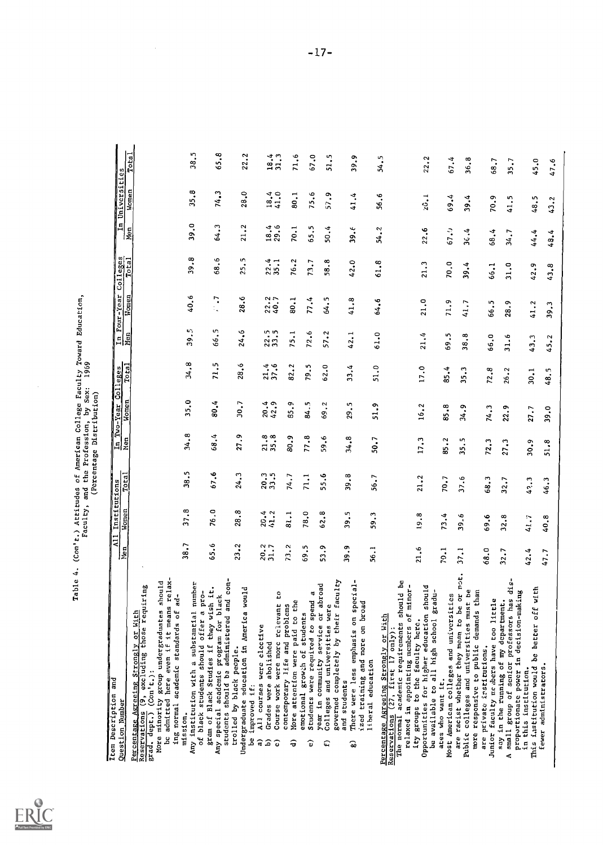E

| Le 4. (Con't.) Attitudes of American College Faculty Toward Education | 1969<br>y, and the Profession, by Sex:<br>culty | ercentage Distribution |
|-----------------------------------------------------------------------|-------------------------------------------------|------------------------|
|                                                                       |                                                 |                        |
|                                                                       |                                                 |                        |
|                                                                       |                                                 |                        |

| Item Description and<br>Question Number                                                                                                                                               | $\overline{41}$<br>as)<br>اقرا | Institutions<br>Women | Total      |                             | <u>In Two-Year Colleges</u><br>Men Women Total |                  |                     | $\begin{tabular}{cc} In Four-Year\\ \hline \textbf{Men} & \textbf{Women} \end{tabular}$ | Colleges         | ۾'<br>ڇا       |                     | In Universities<br>- Universities<br>- Unmen Total |
|---------------------------------------------------------------------------------------------------------------------------------------------------------------------------------------|--------------------------------|-----------------------|------------|-----------------------------|------------------------------------------------|------------------|---------------------|-----------------------------------------------------------------------------------------|------------------|----------------|---------------------|----------------------------------------------------|
| relax-<br>should<br>More minority group undergraduates and the admitted here even if it means<br>Reservations (9, excluding those<br>grad, dept.) (Con't.):                           |                                |                       |            |                             |                                                |                  |                     |                                                                                         | Total            |                |                     |                                                    |
| Any institution with a substantial number<br>ad-<br>$\mathfrak{h}$<br>ing normal academic standards<br>mission.                                                                       | 38.7                           | 37.8                  | 38.5       | 34.8                        | 35.0                                           | 34.8             | 39.5                | 40.6                                                                                    | °.<br>ສຸ         | 39.0           | $\infty$<br>35.     | n<br>$\frac{8}{3}$                                 |
| wish it.<br>of black students should offer a pro-<br>black<br>students should be administered and<br>Any special academic program for<br>gram of Black Studies if they                | 65.6                           | ٩.<br>76.             | 67.6       | 68.4                        | 80.4                                           | 71.5             | 66.5                | $\ddot{\cdot}$                                                                          | 68.6             | 64.3           | c<br>74.            | 65.8                                               |
| con.<br>wou <sub>ld</sub><br>Undergraduate education in America<br>trolled by black people.<br>be improved if:                                                                        | 23.2                           | 28.8                  | 24.3       | $\ddot{\phantom{0}}$<br>27. | 30.7                                           | 28.6             | 24.6                | 28.6                                                                                    | 25.5             | 21.2           | ৾<br>$\overline{a}$ | 22.2                                               |
| å<br>Course work were more relevant<br>All courses were elective<br>Grades were abolished<br>6<br>କ<br>ွ                                                                              | $20.2$<br>$31.7$               | 26.4                  | 20.3       | $\frac{3}{3}$ .8            | 20.4                                           | $21.4$<br>$37.6$ | $22.5$<br>$33.5$    | 22.2                                                                                    | $22.4$<br>$35.1$ | $18.4$<br>29.6 | $18.4$<br>41.0      | $\frac{18.4}{31.3}$                                |
| More attention were paid to the<br>contemporary life and problems<br>ခ                                                                                                                | 73.2                           | 81.1                  | 74.7       | 80.9                        | 85.9                                           | 82.2             | 75.1                | 80.1                                                                                    | 76.2             | 70.1           | 80.1                | 71.6                                               |
| œ<br>spend<br>emotional growth of students<br>Students were required to<br>စ                                                                                                          | 69.5                           | 78.0                  | 71.1       | 77.8                        | 84.5                                           | 79.5             | 72.6                | 77.4                                                                                    | 73.7             | 65.5           | 75.6                | 67.0                                               |
| or abroad<br>vere<br>Colleges and universities<br>year in community service<br>€                                                                                                      | 53.9                           | 62.8                  | 55.6       | 59.6                        | 69.2                                           | 62.0             | 57.2                | 64.5                                                                                    | 58.8             | 50.4           | 57.9                | 51.5                                               |
| governed completely by their faculty<br>on special-<br>broad<br>There were less emphasis c<br>ized training and more on<br>and students<br>್                                          | 39.9                           | m<br>$\ddot{3}$       | œ.<br>ల్లె | 34.8                        | 29.5                                           | 33.4             | 42.1                | 41.8                                                                                    | 42.0             | 39.6           | 41.4                | 39.9                                               |
| liberal education                                                                                                                                                                     | 56.1                           | 59.3                  | 56.7       | 50.7                        | 51.9                                           | 51.0             | 61.0                | 64.6                                                                                    | 61.8             | 54.2           | 56.6                | 54.5                                               |
| å,<br>of minor-<br>should<br><u>Percentage Agreeing Strongly or With</u><br>Reservations (27, first 17 only):<br>The normal academic requirements s!<br>relaxed in appointing mombers |                                |                       |            |                             |                                                |                  |                     |                                                                                         |                  |                |                     |                                                    |
| on should<br>gradu-<br>be available to all high school<br>ity groups to the faculty here<br>Opportunities for higher educati                                                          | 21.6                           | 19.8                  | 21.2       | 17.3                        | 16.2                                           | 17.0             | 21.4                | 21.0                                                                                    | 21.3             | 22.6           | 20.1                | 22.2                                               |
| Most American colleges and universities<br>ates who want it.                                                                                                                          | 70.1                           | 73.4                  | 70.7       | 85.2                        | 85.8                                           | 85.4             | ņ<br>69             | 71.9                                                                                    | 70.0             | 67.7           | 69.4                | 67.4                                               |
| ئە<br>ğ<br>must be<br>more responsive to public demands than<br>are racist whether they mean to be or<br>Public colleges and universities                                             | 37.1                           | 39.6                  | 37.6       | m<br>35.                    | 34.9                                           | 35.3             | ∾.<br>$\frac{8}{2}$ | 41.7                                                                                    | 39.4             | 36.4           | 39.4                | 36.8                                               |
| little<br>Junior faculty members have too<br>are private institutions.                                                                                                                | 68.0                           | 69.6                  | 68.3       | 72.3                        | 74.3                                           | 72.8             | 66.0                | 66.5                                                                                    | 66.1             | 68.4           | 70.9                | 68.7                                               |
| ů<br>$\ddot{a}$<br>proportionate power in decision-making<br>A small group of senior professors has<br>say in the running of my department.                                           | 32.7                           | œ<br>32.              | 32.7       | 27.3                        | 22.9                                           | 26.2             | 31.6                | 28.9                                                                                    | 31.0             | 34, 7          | 41.5                | 35.7                                               |
| vith<br>$\circ \mathbf{ff}$<br>This institution would be better<br>in this institution.                                                                                               | 42.4                           | 41.7                  | 42.3       | 30.9                        | 27.7                                           | 30.1             | 43.3                | 41.2                                                                                    | 42.9             | 44.4           | 48.5                | 45.0                                               |
| fewer administrators.                                                                                                                                                                 | 47.7                           | 40.8                  | 46.3       | 51.8                        | 39.0                                           | 48.5             | $\sim$<br>45.       | 39.3                                                                                    | 43.8             | 48.4           | 43.2                | 47.6                                               |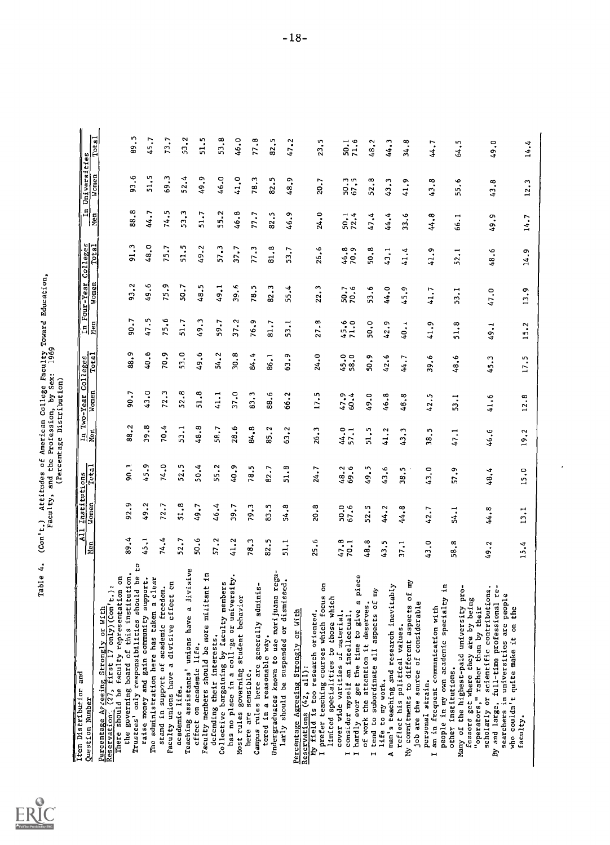

| Item Distribution and                                                                                                                       | $\overline{a}$ | Institutions  |                |                     |                                         |                |                           | In Four-Year | College            |                  |                       |              |
|---------------------------------------------------------------------------------------------------------------------------------------------|----------------|---------------|----------------|---------------------|-----------------------------------------|----------------|---------------------------|--------------|--------------------|------------------|-----------------------|--------------|
| Question Number                                                                                                                             | ∈<br>!ะี       | Women         | Tetal          |                     | In Two-Year Colleges<br>Now Women Total |                | Men                       | Vomen        | Total              | 믻<br>  <u>ទ្</u> | Universities<br>Women | Total        |
| <u>Percentage Agreeing Strongly or With</u><br>Reservation: (27, first 17 only)(Con't.):<br>There should be faculty representation on       |                |               |                |                     |                                         |                |                           |              |                    |                  |                       |              |
| t o<br>the governing board of this institution<br>should be<br>Trustees' only responsibilities                                              | 89.4           | 92.9          | $50 -$         | 88.2                | 5.06                                    | 88.9           | 5.06                      | 93.2         | 91.3               | 88.8             | 93.6                  | 89.5         |
| The administration here has taken a clear<br>support.<br>raise money and gain community                                                     | 45,1           | 49.2          | 45.9           | 39.8                | 43.0                                    | 40.6           | 47.5                      | 49.6         | 48.0               | 44.7             | 51.5                  | 45.7         |
| cffect on<br>freedom.<br>Faculty unions have a divisive<br>stand in support of academic                                                     | 74.4           | 72.7          | 74.0           | 70.4                | 72.3                                    | 70.9           | 75.6                      | 75.9         | 75.7               | 74.5             | 69.3                  | 73,7         |
| a divisive<br>ω<br>Teaching assistants' unions hav<br>academic life.                                                                        | 52.7           | 51.8          | 52.5           | 53.1                | 52.8                                    | 53.0           | 51.7                      | 50.7         | 51,5               | 53,3             | 52.4                  | 53.2         |
| in.<br>militant<br>Faculty members should be more<br>effect on academic life.                                                               | 50.6           | 49.7          | 50.4           | 48.8                | 51.8                                    | 49.6           | 49.3                      | 48.5         | 49.2               | 51.7             | 49.9                  | 5.15         |
| members<br>Collective bargaining by faculty<br>defending their interests.                                                                   | 57.2           | 46.4          | 55.2           | 58.7                | 41.1                                    | 54.2           | 59.7                      | 49.1         | 57.3               | 55.2             | 46.0                  | 53.8         |
| university<br>havior<br>has no place in a collage or<br>Most rules governing student be                                                     | 41.2           | 39.7          | 40.9           | 28.6                | 37.0                                    | 30.8           | 37.2                      | 9.65         | 37.7               | 46.8             | 41.0                  | 46.0         |
| adminis-<br>Campus rules here are generally<br>here are sensible.                                                                           | 78.3           | 79.3          | 78.5           | 84.8                | 83.3                                    | 84.4           | 76.9                      | 78.5         | 77.3               | 77.7             | 78.3                  | 77.8         |
| regu-<br>ijuana<br>Undergraduates known to use mar<br>tered in a reasonable way.                                                            | 82.5           | 83.5          | 82.7           | 85.2                | 88.6                                    | 36.1           | 81.7                      | 82.3         | 81.8               | 82.5             | 82.5                  | 82.5         |
| dismissed.<br>larly should be suspended or                                                                                                  | 51.1           | 54.8          | 51.8           | 63.2                | 66.2                                    | 63.9           | 53.1                      | 55.4         | 53.7               | 46.9             | 48,9                  | 47.2         |
| Percentage Agreeing Strongly or With<br>Rescruations (42, all):<br>Ny field is too research oriented.                                       |                |               |                |                     |                                         |                |                           |              |                    |                  |                       |              |
| 5<br>focus<br>which<br>I prefer teaching courses which<br>limited specialities to those                                                     | 25.6           | 20.8          | 24.7           | 26.3                | 17.5                                    | 24.0           | 27.3                      | m<br>22.     | 26.6               | 24.0             | 20.7                  | 23,5         |
| piece<br>cover wide varities of material.<br>consider myself an intellectual.<br>$\blacksquare$                                             | 47.8<br>70.1   | 50.0<br>67.6  | $48.2$<br>69.6 | $\frac{44.0}{57.1}$ | 47.9<br>60.4                            | $3.0$<br>$3.0$ | $45.6$<br>71.0            | 30.7         | $46.3$<br>70.3     | $50.1$<br>$72.4$ | $\frac{50.3}{67.5}$   | 50.1<br>71.6 |
| È<br>d<br>I tend to subordinate all aspects of<br>I hardly ever get the time to give a first deserves                                       | 48.8           | 52.5          | 49.5           | 51.5                | 49.0                                    | 50.9           | 50.0                      | 53.6         | 50.8               | 47.4             | 52.8                  | 48.2         |
| A man's reaching and research inevitably<br>life to my work.                                                                                | 43.5           | 44.2          | 43.6           | 41.2                | 46.8                                    | 42.6           | 42.9                      | 44.0         | 43,1               | 44.4             | 43.3                  | 44.3         |
| È<br>ð<br>job are the source of considerable<br>My commitments to different aspects<br>reflect his political values.                        | 37.1           | 44.8          | 38.5           | 43.3                | 48.8                                    | 44.7           | 40.4                      | 45.9         | 41.4               | 33.6             | 41.9                  | 34.8         |
| £,<br>people in my own academic specialty<br>I am in frequent communication with<br>personal strain.                                        | 43.0           | 42.7          | 43.0           | 38.5                | 42.5                                    | 39.6           | 41.9                      | 41.7         | 41.9               | 44.8             | 43.8                  | 44,7         |
| Many of the highest-paid university pro-<br>being<br>fessors get where they are by<br>"operators," rather than by th<br>other institutions. | 58, 8          | 54.1          | 57.9           | 47.1                | $\frac{1}{2}$                           | 48.6           | 51.8                      | 53.1         | 52.1               | 66.1             | Φ<br>ະຈ່              | 64.5         |
| $ra-$<br>scholarly or scientific contributions<br>people<br>By and large, full-time professional<br>heir<br>searchers in universities are   | 49.2           | 44.8          | 48.4           | 46.6                | 41.6                                    | 45.3           | 49.1                      | 47.0         | 48.6               | o,<br>Ģ,         | 43.8                  | 49.0         |
| the<br>who couldn't quite make it on<br>faculty.                                                                                            | 15.4           | $\frac{1}{2}$ | 15.0           | 19.2                | 12.8                                    | 17.5           | $\mathbf{\tilde{c}}$<br>ń | 13.9         | ۰.<br>$\mathbf{r}$ | 14.7             | 12.3                  | 14.4         |
|                                                                                                                                             |                |               |                |                     |                                         |                |                           |              |                    |                  |                       |              |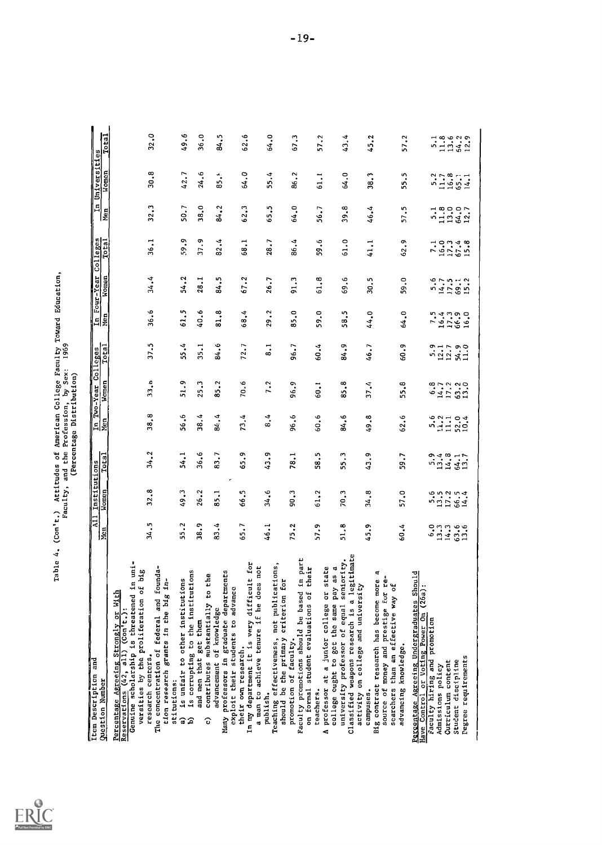

| Item Description and<br>Question Number                                                                                                                                                                     | ≍ן<br>ken<br>Nen                            | Institutions<br>Women<br>╟┉ | $\frac{1}{\sqrt{2}}$     |                            | In Two-Year Colleges<br>Men Women Total<br>Women |                                 |                                          | In Four-Year Colleges<br>Men Women Total<br><b>Women</b> |                            | <b>Ren</b>                                     | In Universities<br>Women            | <b>Total</b>         |      |
|-------------------------------------------------------------------------------------------------------------------------------------------------------------------------------------------------------------|---------------------------------------------|-----------------------------|--------------------------|----------------------------|--------------------------------------------------|---------------------------------|------------------------------------------|----------------------------------------------------------|----------------------------|------------------------------------------------|-------------------------------------|----------------------|------|
| Genuine scholarship is threatened in uni-<br>versities by the proliferation of big<br>Percentage Agreeing Strongly or With<br>Reservations $(42, 41)$ (Con't.):                                             |                                             |                             |                          |                            |                                                  |                                 |                                          |                                                          |                            |                                                |                                     |                      |      |
| The concentration of federal and founda-<br>tion research grants in the big in-<br>research centers.<br>stitutions:                                                                                         | 34.5                                        | 32.8                        | 34.2                     | 38,8                       | 33.5                                             | 37.5                            | 36.6                                     | 34.4                                                     | 36.1                       | 32.3                                           | 30.8                                | 32.0                 |      |
| is corrupting to the institutions<br>is unfair to other institutions<br>€<br>จ                                                                                                                              | 55.2                                        | 49.3                        | 54.1                     | 56.6                       | 51.9                                             | 55.4                            | m<br>$\ddot{\mathfrak{sl}}$              | 54.2                                                     | 59.9                       | 50.7                                           | 42.7                                | 49.6                 |      |
| contributes substantially to the<br>and men that get them<br>ô                                                                                                                                              | 38.9                                        | 26.2                        | 36.6                     | 38.4                       | 25.3                                             | 35.1                            | 40.6                                     | 28.1                                                     | 37.9                       | 38.0                                           | 24.6                                | 36.0                 |      |
| Many professors in graduate departments<br>exploit their students to advance<br>advancement of knowledge                                                                                                    | 83.4                                        | 85,1                        | 83.7                     | 84.4                       | 85.2                                             | 84.6                            | 81.8                                     | 84.5                                                     | 82.4                       | 84.2                                           | 85.3                                | 84.5                 |      |
| In my department it is very difficult for<br>a man to achieve tenure if he does not<br>their own research.                                                                                                  | 65.7                                        | ٠,<br>86                    | 65.9                     | 73.4                       | 70.6                                             | 72.7                            | 68.4                                     | 67.2                                                     | 68.1                       | 62.3                                           | 64.0                                | 62.6                 |      |
| Teaching effectiveness, not publications,<br>should be the primary criterion for<br>publish.                                                                                                                | 46.1                                        | 34.6                        | 43.9                     | 8.4                        | 7.2                                              | $\ddot{3}$                      | 29.2                                     | 26.7                                                     | 28.7                       | ŗ,<br>55                                       | 55.4                                | 64.0                 |      |
| Faculty promotions should be based in part<br>on formal student evaluations of their<br>promotion of faculty.                                                                                               | 75.2                                        | 90.3                        | 78.1                     | 96.6                       | 96.9                                             | 96.7                            | 85.0                                     | 91.3                                                     | 86.4                       | 64.0                                           | 86.2                                | 67.3                 | -19- |
| A professor at a junior college or state<br>college ought to get the same pay as a<br>teachers.                                                                                                             | 57.9                                        | 61.2                        | 58.5                     | 60.6                       | 60.1                                             | 60.4                            | 59.0                                     | 61.8                                                     | 59.6                       | 56.7                                           | 61.1                                | 57.2                 |      |
| Classified weapons research is a legitimate<br>university professor of equal seniority.<br>activity on college and university                                                                               | 51.8                                        | 70.3                        | 55.3                     | 84.6                       | 85.8                                             | 84.9                            | 58.5                                     | 69.6                                                     | 61.0                       | 39.8                                           | 64.0                                | 43.4                 |      |
| Big contract research has become more a<br>source of money and prestige for re-<br>searchers than an effective way of<br>campuses.                                                                          | 45.9                                        | 34.8                        | 43.9                     | °.<br>\$                   | 37.4                                             | 46.7                            | 44.0                                     | 30.5                                                     | 41.1                       | 46.4                                           | 38.3                                | 45.2                 |      |
| advancing knowledge.                                                                                                                                                                                        | 60.4                                        | 57.0                        | 59.7                     | 62.6                       | 55.8                                             | 60.9                            | 64.0                                     | 59.0                                                     | 62.9                       | 57.5                                           | 55.5                                | 57.2                 |      |
| Percentage Agreeing Undergraduates Should<br>Have Control or Voting Power On (26a):<br>Faculty hiring and promotion<br>Degree requirements<br>Curriculum content<br>Student discipline<br>Admissions policy | $\ddot{\bullet}$ .0<br>13.3<br>14.3<br>63.6 | $\frac{5}{13}$ .2<br>66.5   | $3.48$<br>$1.48$<br>64.7 | $\frac{5.6}{11.1}$<br>52.0 | $6.7300$<br>$6.7300$                             | 5.9<br>$12.1$<br>$12.7$<br>34.3 | 7.5<br>$16.3$<br>$17.3$<br>$66.9$<br>6.0 | $5.6$<br>14.7<br>$17.5$<br>$15.2$                        | $16.348$<br>$15.48$<br>7.1 | $11.3$<br>$13.3$<br>$12.7$<br>$\overline{5}$ . | $5.78$<br>$1.28$<br>$1.36$<br>$1.1$ | $-18629$<br>$-19429$ |      |
|                                                                                                                                                                                                             |                                             |                             |                          |                            |                                                  |                                 |                                          |                                                          |                            |                                                |                                     |                      |      |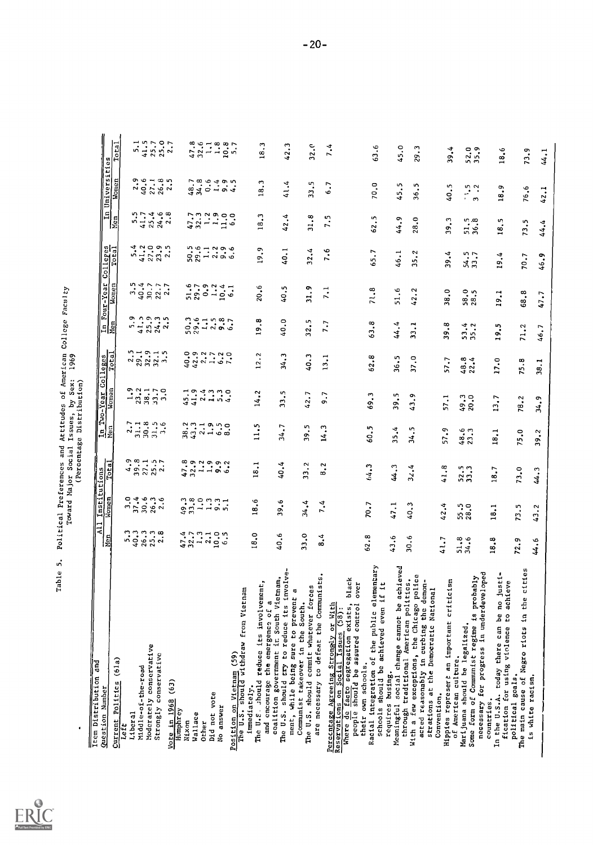

# Table 5. Political Preferences and Attitudes of American College Faculty Toward Major Social Issues, by Sex: 1969 (Percentage Distribution)

| ng<br>Sana<br>Sana<br>$47.3100$<br>$47.3100$<br>len<br>The U.S. should withdraw from Vietnam<br>Moderately conservative<br>Strongly conservative<br>(61a)<br>Middle-of-the-road<br>Current Politics<br>(63)<br>Did not vote<br>Vote in 1968<br>No answer<br>Humphrey<br>Liberal<br>Wallace<br>Nixon<br>Other<br>Left | Women<br>0.4990 | Total                                                                                                           |                                                                                                   |                                                                                                                 |                  |                                                                                                   |                                                                                                                                                                                         |                                                                       |                                                                                                                                      |                                                         |                                                          |
|----------------------------------------------------------------------------------------------------------------------------------------------------------------------------------------------------------------------------------------------------------------------------------------------------------------------|-----------------|-----------------------------------------------------------------------------------------------------------------|---------------------------------------------------------------------------------------------------|-----------------------------------------------------------------------------------------------------------------|------------------|---------------------------------------------------------------------------------------------------|-----------------------------------------------------------------------------------------------------------------------------------------------------------------------------------------|-----------------------------------------------------------------------|--------------------------------------------------------------------------------------------------------------------------------------|---------------------------------------------------------|----------------------------------------------------------|
|                                                                                                                                                                                                                                                                                                                      |                 |                                                                                                                 |                                                                                                   | In Two-Year Colleges<br>Men Women Total                                                                         |                  |                                                                                                   | In Four-Year Colleges<br>Men Women Total                                                                                                                                                |                                                                       | <b>Per</b>                                                                                                                           | In Universities<br>Women                                | <b>Total</b>                                             |
|                                                                                                                                                                                                                                                                                                                      |                 |                                                                                                                 |                                                                                                   |                                                                                                                 |                  |                                                                                                   |                                                                                                                                                                                         |                                                                       |                                                                                                                                      |                                                         |                                                          |
|                                                                                                                                                                                                                                                                                                                      |                 | $49.257$<br>$49.257$                                                                                            | $2.718996$<br>$3.79999$                                                                           |                                                                                                                 |                  | $\frac{1}{2}$ $\frac{3}{2}$ $\frac{3}{2}$ $\frac{3}{2}$ $\frac{3}{2}$ $\frac{3}{2}$ $\frac{3}{2}$ |                                                                                                                                                                                         |                                                                       |                                                                                                                                      |                                                         |                                                          |
| Position on Vietnam (59)                                                                                                                                                                                                                                                                                             |                 |                                                                                                                 |                                                                                                   |                                                                                                                 |                  |                                                                                                   |                                                                                                                                                                                         |                                                                       |                                                                                                                                      |                                                         |                                                          |
|                                                                                                                                                                                                                                                                                                                      |                 |                                                                                                                 |                                                                                                   |                                                                                                                 |                  |                                                                                                   |                                                                                                                                                                                         |                                                                       |                                                                                                                                      |                                                         |                                                          |
|                                                                                                                                                                                                                                                                                                                      |                 |                                                                                                                 |                                                                                                   |                                                                                                                 |                  |                                                                                                   |                                                                                                                                                                                         | $\frac{4}{3}$ $\frac{1}{6}$ $\frac{5}{3}$ $\frac{3}{3}$ $\frac{1}{3}$ | 5.74.98<br>5.74.98                                                                                                                   | 3.4832                                                  | $-1.5$<br>$-1.5$<br>$-1.7$<br>$-1.7$<br>$-1.7$<br>$-1.7$ |
|                                                                                                                                                                                                                                                                                                                      |                 |                                                                                                                 |                                                                                                   |                                                                                                                 |                  |                                                                                                   |                                                                                                                                                                                         |                                                                       |                                                                                                                                      |                                                         |                                                          |
|                                                                                                                                                                                                                                                                                                                      |                 |                                                                                                                 |                                                                                                   |                                                                                                                 |                  |                                                                                                   |                                                                                                                                                                                         |                                                                       |                                                                                                                                      |                                                         |                                                          |
|                                                                                                                                                                                                                                                                                                                      |                 |                                                                                                                 |                                                                                                   |                                                                                                                 |                  |                                                                                                   |                                                                                                                                                                                         |                                                                       |                                                                                                                                      |                                                         |                                                          |
|                                                                                                                                                                                                                                                                                                                      |                 |                                                                                                                 |                                                                                                   |                                                                                                                 |                  |                                                                                                   |                                                                                                                                                                                         |                                                                       |                                                                                                                                      |                                                         |                                                          |
|                                                                                                                                                                                                                                                                                                                      |                 |                                                                                                                 |                                                                                                   |                                                                                                                 |                  |                                                                                                   |                                                                                                                                                                                         |                                                                       |                                                                                                                                      |                                                         |                                                          |
|                                                                                                                                                                                                                                                                                                                      | $33 - 1$ $ -$   | $\frac{3}{4}$ $\frac{3}{2}$ $\frac{3}{4}$ $\frac{3}{4}$ $\frac{3}{4}$ $\frac{3}{4}$ $\frac{3}{4}$ $\frac{3}{4}$ | $\frac{3}{2}$ $\frac{3}{4}$ $\frac{1}{4}$ $\frac{5}{4}$ $\frac{5}{4}$ $\frac{6}{4}$ $\frac{6}{4}$ | $\frac{1}{4}$ $\frac{3}{4}$ $\frac{4}{4}$ $\frac{3}{4}$ $\frac{4}{4}$ $\frac{3}{4}$ $\frac{4}{4}$ $\frac{3}{4}$ |                  | 38.1987                                                                                           | $\frac{1}{5}$<br>$\frac{1}{5}$<br>$\frac{1}{5}$<br>$\frac{1}{5}$<br>$\frac{1}{5}$<br>$\frac{1}{5}$<br>$\frac{1}{5}$<br>$\frac{1}{5}$<br>$\frac{1}{5}$<br>$\frac{1}{5}$<br>$\frac{1}{5}$ | $28 - 29$<br>$29 - 29$                                                | $\frac{1}{2}$<br>$\frac{1}{2}$<br>$\frac{1}{2}$<br>$\frac{1}{2}$<br>$\frac{1}{2}$<br>$\frac{1}{2}$<br>$\frac{1}{6}$<br>$\frac{1}{6}$ | $340 - 94$                                              | $47.8$<br>$37 - 18.8$<br>$10.8$<br>$5.7$                 |
|                                                                                                                                                                                                                                                                                                                      |                 |                                                                                                                 |                                                                                                   |                                                                                                                 |                  |                                                                                                   |                                                                                                                                                                                         |                                                                       |                                                                                                                                      |                                                         |                                                          |
|                                                                                                                                                                                                                                                                                                                      |                 |                                                                                                                 |                                                                                                   |                                                                                                                 |                  |                                                                                                   |                                                                                                                                                                                         |                                                                       |                                                                                                                                      |                                                         |                                                          |
| 18.0<br>The U.S. should reduce its involvement,<br>immediately.                                                                                                                                                                                                                                                      | 18.6            | 18.1                                                                                                            | 11.5                                                                                              | 14.2                                                                                                            | 12.2             | 19.8                                                                                              | 20.6                                                                                                                                                                                    | ۹.<br>ይ                                                               |                                                                                                                                      |                                                         |                                                          |
| $\mathfrak{a}$                                                                                                                                                                                                                                                                                                       |                 |                                                                                                                 |                                                                                                   |                                                                                                                 |                  |                                                                                                   |                                                                                                                                                                                         |                                                                       | 18.3                                                                                                                                 | 18.3                                                    | 18.3                                                     |
| 40.6<br>Vietnam.<br>and encourage the emergence of<br>coalition government it South \                                                                                                                                                                                                                                | 39.6            |                                                                                                                 |                                                                                                   |                                                                                                                 |                  |                                                                                                   |                                                                                                                                                                                         |                                                                       |                                                                                                                                      |                                                         |                                                          |
| The U.S. should try to reduce its involve-                                                                                                                                                                                                                                                                           |                 | 40.4                                                                                                            | 34.7                                                                                              | 33.5                                                                                                            | 34.3             | 40.0                                                                                              | 40.5                                                                                                                                                                                    | 40.1                                                                  | 42.4                                                                                                                                 | 41.4                                                    | 42.3                                                     |
| C)<br>ment, while being sure to prevent                                                                                                                                                                                                                                                                              |                 |                                                                                                                 |                                                                                                   |                                                                                                                 |                  |                                                                                                   |                                                                                                                                                                                         |                                                                       |                                                                                                                                      |                                                         |                                                          |
| 33.0<br>Communist takeover in the South.                                                                                                                                                                                                                                                                             | 34.4            | 33.2                                                                                                            | 39.5                                                                                              | 42.7                                                                                                            |                  | 2.5<br>m                                                                                          |                                                                                                                                                                                         |                                                                       |                                                                                                                                      |                                                         |                                                          |
| forces<br>The U.S. should commit whatever                                                                                                                                                                                                                                                                            |                 |                                                                                                                 |                                                                                                   |                                                                                                                 | 40.3             |                                                                                                   | 31.9                                                                                                                                                                                    | 32.4                                                                  | 31.8                                                                                                                                 | 33.5                                                    | 32.0                                                     |
| $\frac{4}{3}$<br>are necessary to defeat the Communists                                                                                                                                                                                                                                                              | 7.4             | N<br>္တ                                                                                                         | 14.3                                                                                              | 9.7                                                                                                             | 13.1             | 7.7                                                                                               | 7.1                                                                                                                                                                                     | 7.6                                                                   | 7.5                                                                                                                                  | 6.7                                                     |                                                          |
| Percentage Agreeing Strongly or With<br>Reservations on Social Issues (58):                                                                                                                                                                                                                                          |                 |                                                                                                                 |                                                                                                   |                                                                                                                 |                  |                                                                                                   |                                                                                                                                                                                         |                                                                       |                                                                                                                                      |                                                         | 7.4                                                      |
|                                                                                                                                                                                                                                                                                                                      |                 |                                                                                                                 |                                                                                                   |                                                                                                                 |                  |                                                                                                   |                                                                                                                                                                                         |                                                                       |                                                                                                                                      |                                                         |                                                          |
| black<br>over<br>$5\overline{6}$<br>Where de facto segregation exist<br>people should be assured contr                                                                                                                                                                                                               |                 |                                                                                                                 |                                                                                                   |                                                                                                                 |                  |                                                                                                   |                                                                                                                                                                                         |                                                                       |                                                                                                                                      |                                                         |                                                          |
| their own schools.                                                                                                                                                                                                                                                                                                   |                 |                                                                                                                 |                                                                                                   |                                                                                                                 |                  |                                                                                                   |                                                                                                                                                                                         |                                                                       |                                                                                                                                      |                                                         |                                                          |
| 62.8<br>Racial integration of the public                                                                                                                                                                                                                                                                             | 70.7            | 64.3                                                                                                            | 60.5                                                                                              | 69.3                                                                                                            | 62.8             | 63.8                                                                                              | 71.8                                                                                                                                                                                    | 65.7                                                                  | 62.5                                                                                                                                 | 70.0                                                    | 63.6                                                     |
| elementary<br>nifit<br>schools should be achieved even                                                                                                                                                                                                                                                               |                 |                                                                                                                 |                                                                                                   |                                                                                                                 |                  |                                                                                                   |                                                                                                                                                                                         |                                                                       |                                                                                                                                      |                                                         |                                                          |
| 43.6<br>requires busing.                                                                                                                                                                                                                                                                                             | 47.1            | 4.3                                                                                                             | 35.4                                                                                              | 39.5                                                                                                            |                  |                                                                                                   |                                                                                                                                                                                         |                                                                       |                                                                                                                                      |                                                         |                                                          |
| achieved<br>through traditional American politics.<br>ر<br>م<br>Meaningful social change cannot                                                                                                                                                                                                                      |                 |                                                                                                                 |                                                                                                   |                                                                                                                 | 36.5             | 44.4                                                                                              | 51.6                                                                                                                                                                                    | 46.1                                                                  | 44.9                                                                                                                                 | 45.5                                                    | 45.0                                                     |
| 30.6                                                                                                                                                                                                                                                                                                                 | 40.3            | 32.4                                                                                                            | 34.5                                                                                              | 43.9                                                                                                            | 37.0             | 33.1                                                                                              | 42.2                                                                                                                                                                                    | 35.2                                                                  | 28.0                                                                                                                                 |                                                         |                                                          |
|                                                                                                                                                                                                                                                                                                                      |                 |                                                                                                                 |                                                                                                   |                                                                                                                 |                  |                                                                                                   |                                                                                                                                                                                         |                                                                       |                                                                                                                                      | ņ.<br>36                                                | 29.3                                                     |
| With a few exceptions, the Chicago police<br>acted reasonably in curbing the demon-<br>strations at the Democratic National                                                                                                                                                                                          |                 |                                                                                                                 |                                                                                                   |                                                                                                                 |                  |                                                                                                   |                                                                                                                                                                                         |                                                                       |                                                                                                                                      |                                                         |                                                          |
| 41.7<br>Convention.                                                                                                                                                                                                                                                                                                  | 42.4            | 41.8                                                                                                            | 57.9                                                                                              | 57.1                                                                                                            | 57.7             | 39.8                                                                                              | 38.0                                                                                                                                                                                    |                                                                       |                                                                                                                                      |                                                         |                                                          |
| Hippies represert an important criticism<br>of American culture.                                                                                                                                                                                                                                                     |                 |                                                                                                                 |                                                                                                   |                                                                                                                 |                  |                                                                                                   |                                                                                                                                                                                         | 39.4                                                                  | 39.3                                                                                                                                 | 40.5                                                    | 39.4                                                     |
| $\frac{51.8}{34.6}$<br>Marijuana should be legalized.                                                                                                                                                                                                                                                                | <br>ភន្ត        | $\frac{5}{3}$ .                                                                                                 | $48.6$<br>23.3                                                                                    | $49.3$<br>20.0                                                                                                  | $48.8$<br>$22.4$ | $\frac{3}{35}$ . 2                                                                                |                                                                                                                                                                                         |                                                                       |                                                                                                                                      |                                                         |                                                          |
| probably<br>rdeveloped<br>Some form of Communist regime is                                                                                                                                                                                                                                                           |                 |                                                                                                                 |                                                                                                   |                                                                                                                 |                  |                                                                                                   | 58.5<br>28.5                                                                                                                                                                            | $54.5$<br>33.7                                                        | 51.3                                                                                                                                 | $\begin{array}{c} 5 \\ 3 \end{array}$<br>$\mathfrak{m}$ | $52.0$<br>$35.9$                                         |
| necessary for progress in under<br>countries.                                                                                                                                                                                                                                                                        |                 |                                                                                                                 |                                                                                                   |                                                                                                                 |                  |                                                                                                   |                                                                                                                                                                                         |                                                                       |                                                                                                                                      |                                                         |                                                          |
| 18.8<br>no justi-<br>In the U.S.A. today there can be                                                                                                                                                                                                                                                                | 3.1             | 18.7                                                                                                            | 18.1                                                                                              | 13, 7                                                                                                           | 17.0             | 19.5                                                                                              | 19.1                                                                                                                                                                                    | 19.4                                                                  | m<br>18.                                                                                                                             |                                                         |                                                          |
| achieve<br>fication for using violence to                                                                                                                                                                                                                                                                            |                 |                                                                                                                 |                                                                                                   |                                                                                                                 |                  |                                                                                                   |                                                                                                                                                                                         |                                                                       |                                                                                                                                      | 18.9                                                    | 18.6                                                     |
| 72.9<br>the<br>The main cause of Negro riots in<br>political goals.                                                                                                                                                                                                                                                  | 73.5            | 73.0                                                                                                            | 75.0                                                                                              | 78.2                                                                                                            | 75.8             | 71.2                                                                                              | 68.8                                                                                                                                                                                    | 70.7                                                                  |                                                                                                                                      |                                                         |                                                          |
| cities<br>is white racism.                                                                                                                                                                                                                                                                                           |                 |                                                                                                                 |                                                                                                   |                                                                                                                 |                  |                                                                                                   |                                                                                                                                                                                         |                                                                       | 73.5                                                                                                                                 | 76.6                                                    | 73.9                                                     |
| 44.6                                                                                                                                                                                                                                                                                                                 | 43.2            | 44.3                                                                                                            | 39.2                                                                                              | 34.9                                                                                                            | 38.1             | 46.7                                                                                              | 47.7                                                                                                                                                                                    | 46.9                                                                  | 44.4                                                                                                                                 | 42.1                                                    | 44.1                                                     |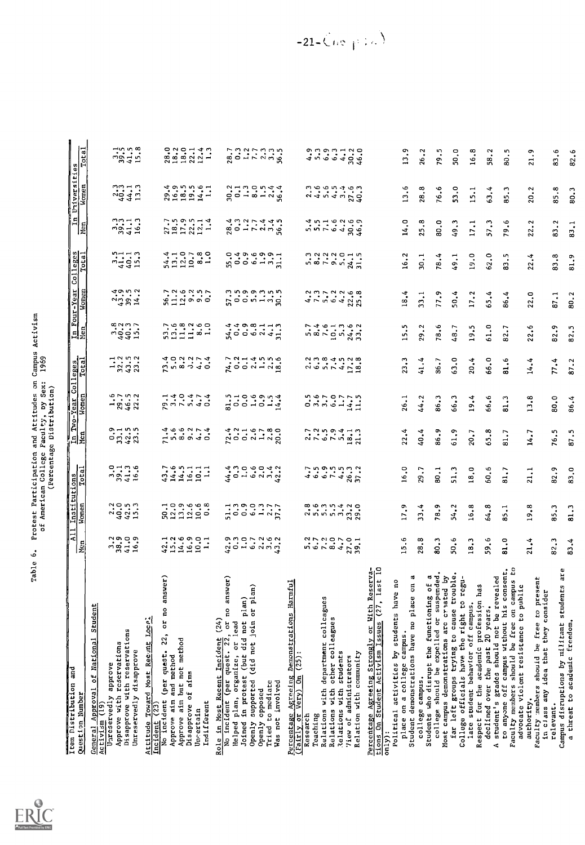

| Item Distribution and<br>Question Number                                                                                        | $\frac{11}{2}$<br>len<br>Ne | Institutions<br>Women                                                                                                                                                                                                                                                                                               | $\overline{\text{Total}}$ |                     | <u>In Two-Year Colleges</u><br>Men Women Total |                                                          |                                                                                                                                                                                                                                                                                                                     | In Four-Year Colleges<br>Nen Women Total             |                                                                                                                                                                                                                                                                                                                     |                                         | <u>. In Universities</u><br>Men Women To                                                                                                                                                                                                                                                                            | Total                                                                 |
|---------------------------------------------------------------------------------------------------------------------------------|-----------------------------|---------------------------------------------------------------------------------------------------------------------------------------------------------------------------------------------------------------------------------------------------------------------------------------------------------------------|---------------------------|---------------------|------------------------------------------------|----------------------------------------------------------|---------------------------------------------------------------------------------------------------------------------------------------------------------------------------------------------------------------------------------------------------------------------------------------------------------------------|------------------------------------------------------|---------------------------------------------------------------------------------------------------------------------------------------------------------------------------------------------------------------------------------------------------------------------------------------------------------------------|-----------------------------------------|---------------------------------------------------------------------------------------------------------------------------------------------------------------------------------------------------------------------------------------------------------------------------------------------------------------------|-----------------------------------------------------------------------|
| <u>ent</u><br><u>General Approval of National Stud</u><br>Activism (19)                                                         |                             |                                                                                                                                                                                                                                                                                                                     |                           |                     |                                                |                                                          |                                                                                                                                                                                                                                                                                                                     |                                                      |                                                                                                                                                                                                                                                                                                                     |                                         |                                                                                                                                                                                                                                                                                                                     |                                                                       |
| Unreservedly approve                                                                                                            |                             |                                                                                                                                                                                                                                                                                                                     |                           |                     |                                                |                                                          |                                                                                                                                                                                                                                                                                                                     |                                                      |                                                                                                                                                                                                                                                                                                                     |                                         |                                                                                                                                                                                                                                                                                                                     |                                                                       |
| Disapprove with reservations<br>Approve with reservations<br>Unreservedly disapprove                                            | $3.9999$<br>$7.9999$        | 3.0053                                                                                                                                                                                                                                                                                                              | ada<br>Sada               | 0.15.25             | $-3.5.2$<br>$-3.5.2$                           | $\frac{1}{3}$ $\frac{3}{4}$ $\frac{5}{3}$ $\frac{3}{4}$  | $33.7$<br>$39.7$<br>$15.7$                                                                                                                                                                                                                                                                                          | $2, 3, 5, 7$<br>$2, 3, 4$<br>$3, 5, 7$               | 3:15:3                                                                                                                                                                                                                                                                                                              | ngila<br>ngila                          | $3.13$<br>$3.41$<br>$3.1$                                                                                                                                                                                                                                                                                           | $\frac{1}{3}$ $\frac{1}{3}$ $\frac{1}{4}$ $\frac{3}{1}$ $\frac{3}{1}$ |
| Attitude Toward Most Recunt Local<br>Incident (23)                                                                              |                             |                                                                                                                                                                                                                                                                                                                     |                           |                     |                                                |                                                          |                                                                                                                                                                                                                                                                                                                     |                                                      |                                                                                                                                                                                                                                                                                                                     |                                         |                                                                                                                                                                                                                                                                                                                     |                                                                       |
| answer)<br>å<br>ä<br>No incident (per quest. 22,<br>Approve aim and method                                                      |                             |                                                                                                                                                                                                                                                                                                                     |                           |                     |                                                |                                                          |                                                                                                                                                                                                                                                                                                                     |                                                      |                                                                                                                                                                                                                                                                                                                     |                                         |                                                                                                                                                                                                                                                                                                                     |                                                                       |
| Approve aim but not method                                                                                                      |                             |                                                                                                                                                                                                                                                                                                                     |                           |                     |                                                |                                                          |                                                                                                                                                                                                                                                                                                                     |                                                      |                                                                                                                                                                                                                                                                                                                     |                                         |                                                                                                                                                                                                                                                                                                                     |                                                                       |
| Disapprove of aims<br>Uncertain                                                                                                 | 31.399901                   | $\frac{1}{5}$ $\frac{3}{5}$ $\frac{3}{5}$ $\frac{3}{5}$ $\frac{3}{5}$ $\frac{3}{5}$ $\frac{3}{5}$ $\frac{3}{5}$ $\frac{3}{5}$ $\frac{3}{5}$ $\frac{3}{5}$ $\frac{3}{5}$ $\frac{3}{5}$ $\frac{3}{5}$ $\frac{3}{5}$ $\frac{3}{5}$ $\frac{3}{5}$ $\frac{3}{5}$ $\frac{3}{5}$ $\frac{3}{5}$ $\frac{3}{5}$ $\frac{3}{5}$ | $3.4.11$<br>$3.4.11$      | 1.5.5.7.4           | 0.40474                                        | 10.87.1                                                  | $7.68$<br>$0.113$<br>$0.113$<br>$0.1$                                                                                                                                                                                                                                                                               |                                                      | $\frac{4}{3}$ $\frac{1}{1}$ $\frac{0}{2}$ $\frac{0}{2}$ $\frac{0}{2}$ $\frac{0}{2}$ $\frac{0}{2}$ $\frac{0}{2}$ $\frac{0}{2}$ $\frac{0}{2}$ $\frac{0}{2}$ $\frac{0}{2}$ $\frac{0}{2}$ $\frac{0}{2}$ $\frac{0}{2}$ $\frac{0}{2}$ $\frac{0}{2}$ $\frac{0}{2}$ $\frac{0}{2}$ $\frac{0}{2}$ $\frac{0}{2}$ $\frac{0}{2}$ | $7.5.34$<br>$7.3.31$<br>$7.31$<br>$1.4$ | $3.9.5.9.4.1$<br>$3.9.9.9.4.1$                                                                                                                                                                                                                                                                                      | 0.0001479                                                             |
| Indifferent                                                                                                                     |                             |                                                                                                                                                                                                                                                                                                                     |                           |                     |                                                |                                                          |                                                                                                                                                                                                                                                                                                                     |                                                      |                                                                                                                                                                                                                                                                                                                     |                                         |                                                                                                                                                                                                                                                                                                                     |                                                                       |
| answer)<br>å<br>Role in Most Recent Incident (24)<br>No incident (per quest. 22, or                                             |                             |                                                                                                                                                                                                                                                                                                                     |                           |                     |                                                |                                                          |                                                                                                                                                                                                                                                                                                                     |                                                      |                                                                                                                                                                                                                                                                                                                     |                                         |                                                                                                                                                                                                                                                                                                                     |                                                                       |
| or plan)<br>$_{\rm plam}$<br>Helped plan, organize, or lead<br>Joined in protest (but did not<br>Openly supported (did not join |                             |                                                                                                                                                                                                                                                                                                                     |                           |                     |                                                |                                                          |                                                                                                                                                                                                                                                                                                                     |                                                      |                                                                                                                                                                                                                                                                                                                     |                                         |                                                                                                                                                                                                                                                                                                                     |                                                                       |
| Tried to mediate<br>Openly opposed                                                                                              |                             | 1.3300777                                                                                                                                                                                                                                                                                                           | $4000042$<br>$4000042$    |                     |                                                | いっしょうこう しょうしょう しょうしょう しょうしょう                             | $\frac{1}{2}$ $\frac{1}{2}$ $\frac{1}{2}$ $\frac{1}{2}$ $\frac{1}{2}$ $\frac{1}{2}$ $\frac{1}{2}$ $\frac{1}{2}$ $\frac{1}{2}$ $\frac{1}{2}$                                                                                                                                                                         |                                                      |                                                                                                                                                                                                                                                                                                                     | an 21 - 445<br>80 - 11 22 23            | $20 - 8 - 128$                                                                                                                                                                                                                                                                                                      |                                                                       |
| Was not involved                                                                                                                |                             |                                                                                                                                                                                                                                                                                                                     |                           |                     |                                                |                                                          |                                                                                                                                                                                                                                                                                                                     |                                                      |                                                                                                                                                                                                                                                                                                                     |                                         |                                                                                                                                                                                                                                                                                                                     |                                                                       |
| Harmful<br>v, I<br>Percentage Agreeing Demonstration<br>(Fairly or Very) On (25):                                               |                             |                                                                                                                                                                                                                                                                                                                     |                           |                     |                                                |                                                          |                                                                                                                                                                                                                                                                                                                     |                                                      |                                                                                                                                                                                                                                                                                                                     |                                         |                                                                                                                                                                                                                                                                                                                     |                                                                       |
| Research<br>Teaching                                                                                                            |                             |                                                                                                                                                                                                                                                                                                                     |                           |                     |                                                |                                                          |                                                                                                                                                                                                                                                                                                                     |                                                      |                                                                                                                                                                                                                                                                                                                     |                                         |                                                                                                                                                                                                                                                                                                                     |                                                                       |
| Relations with department collcagues<br>Relations with other colleagues                                                         | 3.5000001                   |                                                                                                                                                                                                                                                                                                                     |                           | 2.309413            |                                                |                                                          |                                                                                                                                                                                                                                                                                                                     |                                                      |                                                                                                                                                                                                                                                                                                                     |                                         |                                                                                                                                                                                                                                                                                                                     |                                                                       |
| Relations with students                                                                                                         |                             |                                                                                                                                                                                                                                                                                                                     |                           |                     |                                                |                                                          |                                                                                                                                                                                                                                                                                                                     |                                                      |                                                                                                                                                                                                                                                                                                                     |                                         |                                                                                                                                                                                                                                                                                                                     |                                                                       |
| Relation with community<br>View of administrators                                                                               |                             |                                                                                                                                                                                                                                                                                                                     | 1.9999992                 |                     |                                                | $2.58$<br>$2.58$<br>$2.58$<br>$2.58$<br>$2.58$<br>$2.58$ | $\frac{1}{3}$ $\frac{1}{3}$ $\frac{1}{3}$ $\frac{1}{3}$ $\frac{1}{3}$ $\frac{1}{3}$ $\frac{1}{3}$ $\frac{1}{3}$ $\frac{1}{3}$ $\frac{1}{3}$ $\frac{1}{3}$ $\frac{1}{3}$ $\frac{1}{3}$ $\frac{1}{3}$ $\frac{1}{3}$ $\frac{1}{3}$ $\frac{1}{3}$ $\frac{1}{3}$ $\frac{1}{3}$ $\frac{1}{3}$ $\frac{1}{3}$ $\frac{1}{3}$ | $4 - 1$<br>$4 - 1$<br>$4 - 2$<br>$20$<br>$7$<br>$20$ | $\frac{1}{2}$ $\frac{1}{2}$ $\frac{1}{2}$ $\frac{1}{2}$ $\frac{1}{2}$ $\frac{1}{2}$ $\frac{1}{2}$ $\frac{1}{2}$ $\frac{1}{2}$ $\frac{1}{2}$ $\frac{1}{2}$ $\frac{1}{2}$ $\frac{1}{2}$                                                                                                                               | $10100000$<br>$10100000$                | $\frac{1}{2}$ $\frac{1}{4}$ $\frac{1}{4}$ $\frac{1}{4}$ $\frac{1}{4}$ $\frac{1}{2}$ $\frac{1}{2}$ $\frac{1}{2}$ $\frac{1}{2}$ $\frac{1}{2}$ $\frac{1}{2}$ $\frac{1}{2}$ $\frac{1}{2}$ $\frac{1}{2}$ $\frac{1}{2}$ $\frac{1}{2}$ $\frac{1}{2}$ $\frac{1}{2}$ $\frac{1}{2}$ $\frac{1}{2}$ $\frac{1}{2}$ $\frac{1}{2}$ | $4.0.0.71.20$<br>$4.0.0.71.20$                                        |
| Percentage Agreeing Strongly or With Reserva-<br>tions On Student Activism Issues (27, last 10                                  |                             |                                                                                                                                                                                                                                                                                                                     |                           |                     |                                                |                                                          |                                                                                                                                                                                                                                                                                                                     |                                                      |                                                                                                                                                                                                                                                                                                                     |                                         |                                                                                                                                                                                                                                                                                                                     |                                                                       |
| $min(y)$ :                                                                                                                      |                             |                                                                                                                                                                                                                                                                                                                     |                           |                     |                                                |                                                          |                                                                                                                                                                                                                                                                                                                     |                                                      |                                                                                                                                                                                                                                                                                                                     |                                         |                                                                                                                                                                                                                                                                                                                     |                                                                       |
| å<br>have<br><b>in</b><br>Political activities by student<br>place on a college campus.                                         | 5.6                         | 17.9                                                                                                                                                                                                                                                                                                                | 6.0                       | 22.4                | 26.1                                           | 23.3                                                     | s.5                                                                                                                                                                                                                                                                                                                 | 18.4                                                 | 16.2                                                                                                                                                                                                                                                                                                                | 14.0                                    | $\frac{6}{1}$                                                                                                                                                                                                                                                                                                       | 13.9                                                                  |
| œ<br>place on<br>Student demonstrations have no<br>college campus.                                                              | 28.8                        | 33.4                                                                                                                                                                                                                                                                                                                | 29.7                      | 40.4                | 44.2                                           |                                                          |                                                                                                                                                                                                                                                                                                                     | 33.1                                                 |                                                                                                                                                                                                                                                                                                                     |                                         |                                                                                                                                                                                                                                                                                                                     |                                                                       |
| ď<br>oning<br>Students who disrupt the functi                                                                                   |                             |                                                                                                                                                                                                                                                                                                                     |                           |                     |                                                | 41.4                                                     | 29.2                                                                                                                                                                                                                                                                                                                |                                                      | $\frac{1}{20}$                                                                                                                                                                                                                                                                                                      | 25.8                                    | 28.8                                                                                                                                                                                                                                                                                                                | 26.2                                                                  |
| oning of a<br>suspended.<br>created by<br>college should be expelled or<br>Most campus demonstrations are                       | $\ddot{3}$                  | 78.9                                                                                                                                                                                                                                                                                                                | 50.1                      | 86.9                | 86.3                                           | S6.7                                                     | 78.6                                                                                                                                                                                                                                                                                                                | 77.9                                                 | 78.4                                                                                                                                                                                                                                                                                                                | 80.0                                    | $\frac{6}{9}$                                                                                                                                                                                                                                                                                                       | 79.5                                                                  |
| trouble<br>regu-<br>£<br>far left groups trying to cause<br>College officials have the right                                    | 50,6                        | 54.2                                                                                                                                                                                                                                                                                                                | 51.3                      | 6.19                | 66.3                                           | 63.0                                                     | 48.7                                                                                                                                                                                                                                                                                                                | 50.4                                                 | 49.1                                                                                                                                                                                                                                                                                                                | 49.3                                    | $\frac{0}{2}$                                                                                                                                                                                                                                                                                                       | 50,0                                                                  |
| late student behavior off campus.                                                                                               | 18.3                        | 16.8                                                                                                                                                                                                                                                                                                                | $\overline{\phantom{0}}$  | 20.7                | 9.4                                            | 20.4                                                     | 19.5                                                                                                                                                                                                                                                                                                                | 17.2                                                 | 19.0                                                                                                                                                                                                                                                                                                                | 17,1                                    | $\frac{1}{2}$                                                                                                                                                                                                                                                                                                       | 16.8                                                                  |
| has<br>Respect for the academic profession<br>declined over the past 20 years.                                                  | 59.6                        | 64.8                                                                                                                                                                                                                                                                                                                | 60.6                      | 65.8                | 66.6                                           | 66.0                                                     | 61.0                                                                                                                                                                                                                                                                                                                | 65.4                                                 | 62.0                                                                                                                                                                                                                                                                                                                | 57.3                                    | ෑ<br>$\ddot{3}$ .                                                                                                                                                                                                                                                                                                   | 58.2                                                                  |
| consent.<br>revealed<br>his<br>A student's grades should not be<br>to anyone off campus without                                 | $\ddot{5}$                  | 85.1                                                                                                                                                                                                                                                                                                                | 81.7                      | $\frac{1}{2}$       | $\frac{3}{5}$                                  | $\frac{6}{16}$                                           | 2.7                                                                                                                                                                                                                                                                                                                 | 86.4                                                 | 83.5                                                                                                                                                                                                                                                                                                                | ؋<br>o,                                 | <br>ი                                                                                                                                                                                                                                                                                                               | 80.5                                                                  |
| $\mathbf{r}$<br>campus<br>public<br>ã<br>advocate violent resistance to<br>Faculty members should be tree                       |                             |                                                                                                                                                                                                                                                                                                                     |                           |                     |                                                |                                                          |                                                                                                                                                                                                                                                                                                                     |                                                      |                                                                                                                                                                                                                                                                                                                     |                                         |                                                                                                                                                                                                                                                                                                                     |                                                                       |
| authority.                                                                                                                      | 21.4                        | 19.8                                                                                                                                                                                                                                                                                                                | 21.1                      | 14.7                | 3.8                                            | 14.4                                                     | 22.6                                                                                                                                                                                                                                                                                                                | 22.0                                                 | 22.4                                                                                                                                                                                                                                                                                                                | 22.2                                    | 20.2                                                                                                                                                                                                                                                                                                                | 21.9                                                                  |
| present<br>in class any idea that they consider<br>ğ<br>Faculty members should be free                                          |                             |                                                                                                                                                                                                                                                                                                                     |                           |                     |                                                |                                                          |                                                                                                                                                                                                                                                                                                                     |                                                      |                                                                                                                                                                                                                                                                                                                     |                                         |                                                                                                                                                                                                                                                                                                                     |                                                                       |
| Φ<br>đ<br>tudents<br>Campus disruptions by militant s<br>relevant.                                                              | 82.3                        | 85.3                                                                                                                                                                                                                                                                                                                | 82.9                      | 76.5                | 6.08                                           | 77.4                                                     | 2.9                                                                                                                                                                                                                                                                                                                 | ≓<br>55                                              | 83.8                                                                                                                                                                                                                                                                                                                | 83.2                                    | 85.8                                                                                                                                                                                                                                                                                                                | 83,6                                                                  |
| a threat to academic freedom.                                                                                                   | 83.4                        | 81.3                                                                                                                                                                                                                                                                                                                | 83,0                      | ņ<br>$\overline{a}$ | 86.4                                           | ^.<br>5                                                  | 82.5                                                                                                                                                                                                                                                                                                                | 80.2                                                 | 81.9                                                                                                                                                                                                                                                                                                                | 83.1                                    | 80.3                                                                                                                                                                                                                                                                                                                | 82.6                                                                  |
|                                                                                                                                 |                             |                                                                                                                                                                                                                                                                                                                     |                           |                     |                                                |                                                          |                                                                                                                                                                                                                                                                                                                     |                                                      |                                                                                                                                                                                                                                                                                                                     |                                         |                                                                                                                                                                                                                                                                                                                     |                                                                       |
|                                                                                                                                 |                             |                                                                                                                                                                                                                                                                                                                     |                           |                     |                                                |                                                          |                                                                                                                                                                                                                                                                                                                     |                                                      |                                                                                                                                                                                                                                                                                                                     |                                         |                                                                                                                                                                                                                                                                                                                     |                                                                       |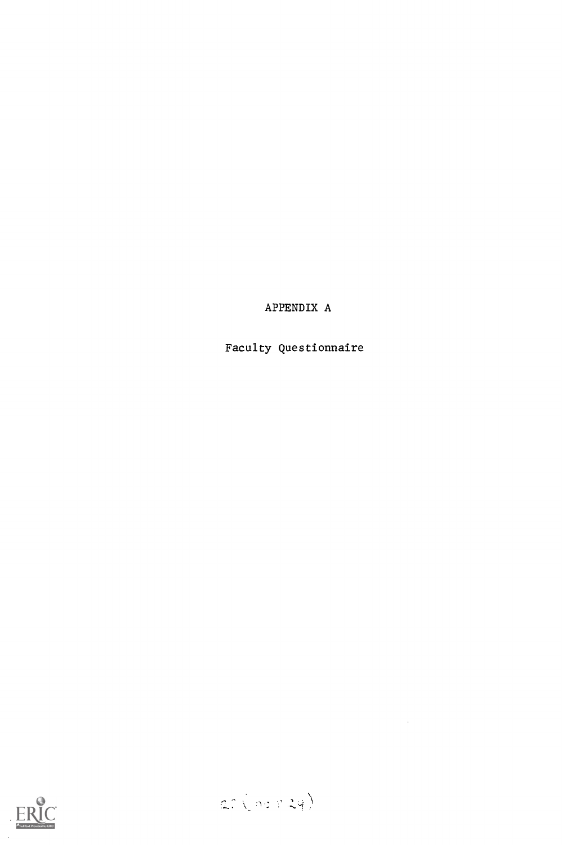APPENDIX A

Faculty Questionnaire



 $\sim$   $\sim$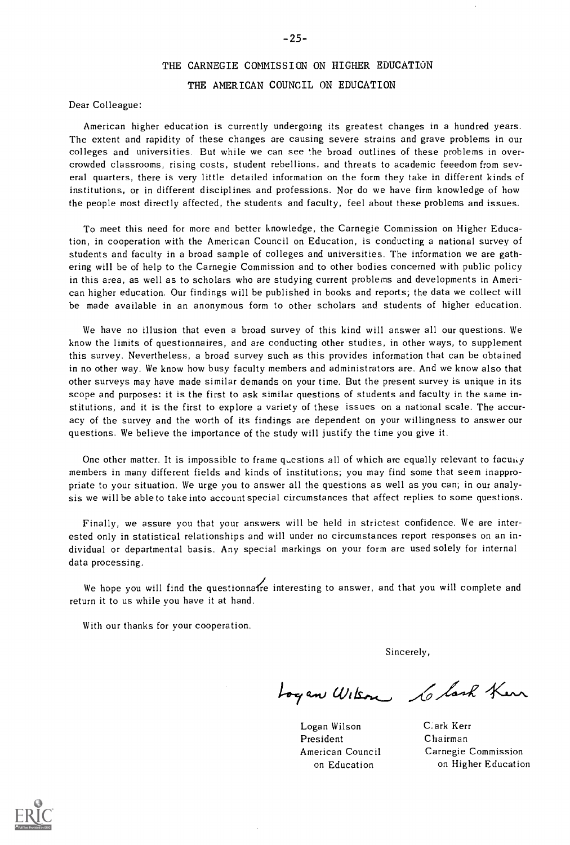## THE CARNEGIE COMMISSION ON HIGHER EDUCATION

THE AMERICAN COUNCIL ON EDUCATION

## Dear Colleague:

American higher education is currently undergoing its greatest changes in a hundred years. The extent and rapidity of these changes are causing severe strains and grave problems in our colleges and universities. But while we can see the broad outlines of these problems in overcrowded classrooms, rising costs, student rebellions, and threats to academic feeedom from several quarters, there is very little detailed information on the form they take in different kinds of institutions, or in different disciplines and professions. Nor do we have firm knowledge of how the people most directly affected, the students and faculty, feel about these problems and issues.

To meet this need for more and better knowledge, the Carnegie Commission on Higher Education, in cooperation with the American Council on Education, is conducting a national survey of students and faculty in a broad sample of colleges and universities. The information we are gathering will be of help to the Carnegie Commission and to other bodies concerned with public policy in this area, as well as to scholars who are studying current problems and developments in American higher education. Our findings will be published in books and reports; the data we collect will be made available in an anonymous form to other scholars and students of higher education.

We have no illusion that even a broad survey of this kind will answer all our questions. We know the limits of questionnaires, and are conducting other studies, in other ways, to supplement this survey. Nevertheless, a broad survey such as this provides information that can be obtained in no other way. We know how busy faculty members and administrators are. And we know also that other surveys may have made similar demands on your time. But the present survey is unique in its scope and purposes: it is the first to ask similar questions of students and faculty in the same institutions, and it is the first to explore a variety of these issues on a national scale. The accuracy of the survey and the worth of its findings are dependent on your willingness to answer our questions. We believe the importance of the study will justify the time you give it.

One other matter. It is impossible to frame questions all of which are equally relevant to faculty members in many different fields and kinds of institutions; you may find some that seem inappropriate to your situation. We urge you to answer all the questions as well as you can; in our analysis we will be able to take into account special circumstances that affect replies to some questions.

Finally, we assure you that your answers will be held in strictest confidence. We are interested only in statistical relationships and will under no circumstances report responses on an individual or departmental basis. Any special markings on your form are used solely for internal data processing.

We hope you will find the questionnatre interesting to answer, and that you will complete and return it to us while you have it at hand.

With our thanks for your cooperation.

Sincerely,

Loyan Wilson 10 lash Ken

Logan Wilson C.ark Kerr President Chairman

American Council Carnegie Commission on Education on Higher Education

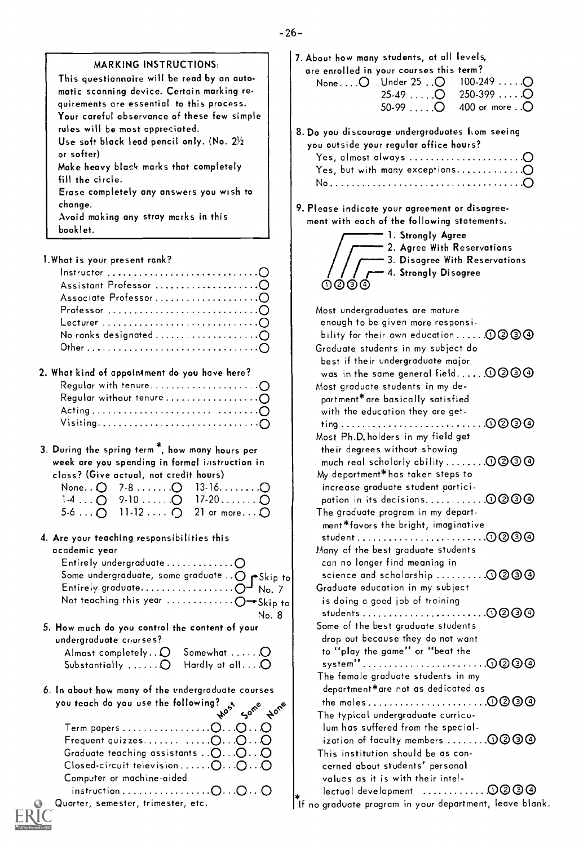-26-

## MARKING INSTRUCTIONS:

This questionnaire will be read by an automatic scanning device. Certain marking requirements are essential to this process. Your careful observance of these few simple rules will be most appreciated. Use soft black lead pencil only. (No.  $2\frac{1}{2}$ or softer) Make heavy black marks that completely fill the circle. Erase completely any answers you wish to change. Avoid making any stray marks in this booklet.

1.What is your present rank?

|                                                                                     | 111               |
|-------------------------------------------------------------------------------------|-------------------|
|                                                                                     | $(1)$ $(2)$ $(3)$ |
|                                                                                     |                   |
|                                                                                     | Most unde         |
| Lecturer $\ldots \ldots \ldots \ldots \ldots \ldots \ldots \ldots \ldots \l\bigcap$ | enough t          |
| No ranks designated $\dots\dots\dots\dots\dots\dots\dots$                           | bility for        |
|                                                                                     | Graduate          |

## 2. What kind of appointment do you have here?

|                                                                                         | Most gradu      |
|-----------------------------------------------------------------------------------------|-----------------|
|                                                                                         | partment*       |
| $\mathsf{Acting}\ldots\ldots\ldots\ldots\ldots\ldots\ldots\ldots\ldots\ldots\mathsf{O}$ | with the e      |
|                                                                                         | $ting \ldots$ . |
|                                                                                         |                 |

3. During the spring term\*, how many hours per week are you spending in formal instruction in class? (Give actual, not credit hours)

|  |                                                                                   | $1117 - 999 - 999$ |
|--|-----------------------------------------------------------------------------------|--------------------|
|  | None. . $\bigcirc$ 7-8 $\bigcirc$ 13-16 $\bigcirc$                                | increase g         |
|  |                                                                                   | pation in i        |
|  | $5.6 \ldots \bigcap \quad 11.12 \ldots \bigcap \quad 21 \text{ or more } \bigcap$ | The gradua         |

4. Are your teaching responsibilities this academic year Entirely undergraduate  $\dots\dots\dots\dots\bigcirc$ Some undergraduate, some graduate  $\overline{O}$  reskip to Entirely graduate 0 No. 7 Not teaching this year  $\dots\dots\dots\dots\bigcirc$  + Skip to No. 8 5. How much do you control the content of your undergraduate courses? Almost completely 0 Somewhat

| Almost completely Somewhat  O                            |       |
|----------------------------------------------------------|-------|
| Substantially $\ldots \ldots$ Hardly at all . $\bigcirc$ | syste |
|                                                          | ma c  |

6. In about how many of the endergraduate courses you teach do you use the following? which is a code the thing of the season of thing of the season of the seas<br>The season of the season of the season of the season of the season of the season of the season of the season o

|                                                               | $\blacksquare$ |
|---------------------------------------------------------------|----------------|
| Term papers $Q \cdot . Q \cdot . Q$                           | lum has suf    |
|                                                               | ization of f   |
| Graduate teaching assistants $\bigcirc$ $\bigcirc$ $\bigcirc$ | This institut  |
|                                                               | cerned abou    |
| Computer or machine-aided                                     | values as it   |
|                                                               | lectual devi   |
|                                                               |                |

| Quorter, semester, trimester, etc. |  |
|------------------------------------|--|
|------------------------------------|--|

|                 | 7. About how many students, at all levels,                                          |  |
|-----------------|-------------------------------------------------------------------------------------|--|
|                 | are enrolled in your courses this term?                                             |  |
|                 | NoneO Under 25 O 100-249 O                                                          |  |
|                 | $25-49$ O $250-399$ O                                                               |  |
|                 | 50-99  O 400 or more O                                                              |  |
|                 |                                                                                     |  |
|                 |                                                                                     |  |
|                 | 8. Do you discourage undergraduates from seeing                                     |  |
|                 | you outside your regular office hours?                                              |  |
|                 | Yes, almost always $\dots\dots\dots\dots\dots\dots\dots\bigcirc$                    |  |
|                 |                                                                                     |  |
|                 |                                                                                     |  |
|                 |                                                                                     |  |
|                 | 9. Please indicate your agreement or disagree-                                      |  |
|                 | ment with each of the following statements.                                         |  |
|                 | — 1. Strongly Agree                                                                 |  |
|                 | $-$ 2. Agree With Reservations                                                      |  |
|                 | - 3. Disagree With Reservations                                                     |  |
|                 | - 4. Strongly Disogree                                                              |  |
|                 | 0000                                                                                |  |
|                 |                                                                                     |  |
|                 | Most undergraduates are mature                                                      |  |
|                 | enough to be given more responsi-                                                   |  |
|                 |                                                                                     |  |
| JOOOOOC         | bility for their own education $\mathbb{O} \mathfrak{O} \mathfrak{O} \Phi$          |  |
|                 | Graduate students in my subject do                                                  |  |
|                 | best if their undergraduate major                                                   |  |
|                 | was in the same general field $\mathfrak{O} \mathfrak{O} \mathfrak{O} \mathfrak{O}$ |  |
|                 | Most graduate students in my de-                                                    |  |
|                 | partment* are basically satisfied                                                   |  |
| UOO<br>O        | with the education they are get-                                                    |  |
|                 |                                                                                     |  |
|                 | Most Ph.D. holders in my field get                                                  |  |
|                 | their degrees without showing                                                       |  |
| n               | much real scholarly ability $0@@@$                                                  |  |
|                 | My department*has taken steps to                                                    |  |
|                 |                                                                                     |  |
|                 | increase graduate student partici-                                                  |  |
| O<br>O<br>O     |                                                                                     |  |
|                 | The graduate program in my depart-                                                  |  |
|                 | ment*favors the bright, imaginative                                                 |  |
|                 | .0@@@                                                                               |  |
|                 | Many of the best graduate students                                                  |  |
|                 | can no longer find meaning in                                                       |  |
| Skip to         | science and scholarship $0@@@$                                                      |  |
| No. 7           | Graduate education in my subject                                                    |  |
| Skip to         | is doing a good job of training                                                     |  |
| √ه. 8           | ಄಄಄                                                                                 |  |
|                 | Some of the best graduate students                                                  |  |
|                 | drop out because they do not want                                                   |  |
|                 | to "play the game" or "beat the                                                     |  |
| $\bigcirc$<br>O |                                                                                     |  |
|                 | The female graduate students in my                                                  |  |
|                 |                                                                                     |  |
| ses             | department*are not as dedicated as                                                  |  |
|                 |                                                                                     |  |
|                 | The typical undergraduate curricu-                                                  |  |
|                 | lum has suffered from the special-                                                  |  |
| <b>Hone</b>     | ization of faculty members $\ldots \ldots \oplus \textcircled{3} \textcircled{4}$   |  |
|                 | This institution should be as con-                                                  |  |
|                 | cerned about students' personal                                                     |  |
|                 | values as it is with their intel-                                                   |  |
| $\circ$         | lectual development $\ldots \ldots \ldots \oplus \textcircled{3} \textcircled{4}$   |  |
|                 | If no graduate program in your department, leave blank.                             |  |
|                 |                                                                                     |  |

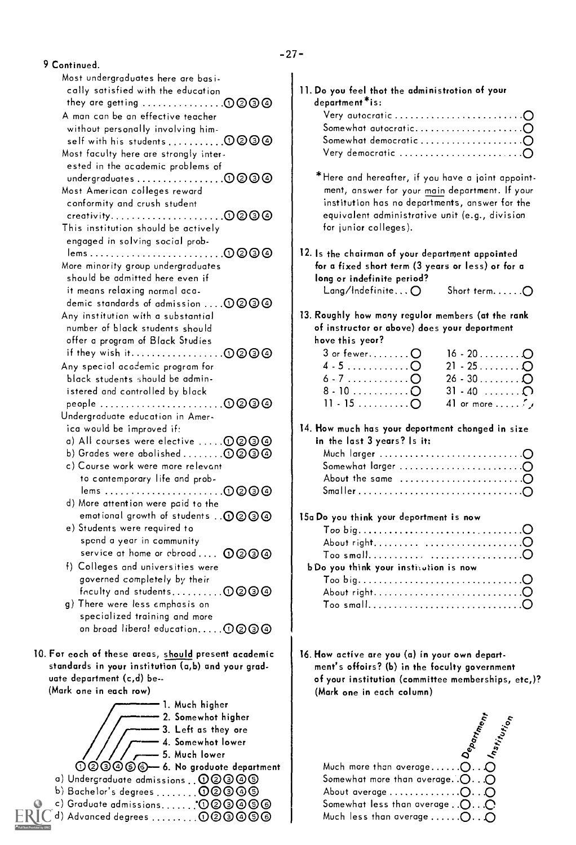|  | 9 Continued. |  |
|--|--------------|--|
|--|--------------|--|

d by ERIC

| Continued.                                                                            |                     |
|---------------------------------------------------------------------------------------|---------------------|
| Most undergraduates here are basi-                                                    |                     |
| cally satisfied with the education                                                    | 11. Do you feel the |
| they are getting $\ldots \ldots \ldots \ldots \oplus \textcircled{3} \textcircled{4}$ | department*is       |
| A man can be an effective teacher                                                     | Very autocra        |
| without personally involving him-                                                     | Somewhat au         |
|                                                                                       | Somewhat de         |
|                                                                                       |                     |
| Most faculty here are strongly inter-                                                 | Very democre        |
| ested in the academic problems of                                                     |                     |
| undergraduates $\mathbb{O} \textcircled{3} \textcircled{4}$                           | *Here and her       |
| Most American colleges reward                                                         | ment, answe         |
| conformity and crush student                                                          | institution h       |
|                                                                                       | equivalent a        |
| This institution should be actively                                                   | for junior co       |
| engaged in solving social prob-                                                       |                     |
|                                                                                       | 12. Is the chairma  |
|                                                                                       | for a fixed sho     |
| More minority group undergraduates                                                    |                     |
| should be admitted here even if                                                       | long or indefin     |
| it means relaxing normal aca-                                                         | Lang/Indefir        |
| demic standards of admission  . $0@@@$                                                |                     |
| Any institution with a substantial                                                    | 13. Roughly how n   |
| number of black students should                                                       | of instructor o     |
| offer a program of Black Studies                                                      | hove this yeor      |
|                                                                                       | 3 or fewer          |
| Any special academic program for                                                      | $4 - 5 $            |
| black students should be admin-                                                       | $6 - 7 $            |
| istered and controlled by black                                                       | $8 - 10 $           |
|                                                                                       | $11 - 15 $          |
|                                                                                       |                     |
| Undergraduate education in Amer-                                                      |                     |
| ica would be improved if:                                                             | 14. How much has    |
| a) All courses were elective $\ldots . \mathbb{O} \mathbb{Q} \mathbb{Q} \mathbb{Q}$   | in the last 3 y     |
| b) Grades were abolished $\ldots \ldots \oplus \textcircled{3} \, \textcircled{4}$    | Much larger         |
| c) Course work were more relevant                                                     | Somewhat Iai        |
| to contemporary life and prob-                                                        | About the sa        |
|                                                                                       | Smaller             |
| d) More attention were paid to the                                                    |                     |
| emotional growth of students $\mathbb{O} \mathbb{O} \mathbb{O} \mathbb{O}$            | 15a Do you think y  |
| e) Students were required to                                                          | Too big             |
| spend a year in community                                                             | About right.        |
| service at home or $c$ broad $\mathbb{O} \mathfrak{O} \mathfrak{O} \mathfrak{O}$      |                     |
|                                                                                       | Too small. .        |
| f) Colleges and universities were                                                     | b Do you think y    |
| governed completely by their                                                          | Too big             |
| faculty and students $0@@@$                                                           | About right.        |
| g) There were less emphasis on                                                        | Too small           |
| specialized training and more                                                         |                     |
| on broad libera! education 0000                                                       |                     |
|                                                                                       |                     |
| 10. For eoch of these areas, should present academic                                  | 16. How active are  |
| standards in your institution (a,b) and your grad-                                    | ment's offoirs?     |
| uate department (c,d) be--                                                            | of your institut    |
| (Mark one in each row)                                                                | (Mark one in e      |
| – 1. Much higher                                                                      |                     |
|                                                                                       |                     |
| 2. Somewhot higher                                                                    |                     |
| - 3. Left as they ore                                                                 |                     |
| 4. Somewhot lower                                                                     |                     |
| - 5. Much lower                                                                       |                     |
| 000066-6. No groduote department                                                      | Much more tl        |
| a) Undergraduate admissions $\mathbb{O} \mathfrak{O} \mathfrak{O} \mathfrak{O}$       | Somewhat mo         |

| as i -<br>tion<br>$\ldots 0$ ©಄                                              | 11. Do you feel thot the administrotion of your<br>department*is:                                                                                     |
|------------------------------------------------------------------------------|-------------------------------------------------------------------------------------------------------------------------------------------------------|
| her<br>im-<br>….O@@@<br>nter-<br>s of                                        |                                                                                                                                                       |
| $\dots$ ①②③④                                                                 | *Here and hereafter, if you have a joint appoint-<br>ment, answer for your main department. If your<br>institution has no departments, answer for the |
| $\ldots$ 0000<br>ely:                                                        | equivalent administrative unit (e.g., division<br>for junior colleges).                                                                               |
| j.<br>$\ldots @ @ @ @$<br>ates<br>if                                         | 12. Is the chairman of your department appointed<br>for a fixed short term (3 years or less) or for a<br>long or indefinite period?                   |
| ၜၜၜၜ<br>$\ddotsc$<br>۱a                                                      | $Lang/Indefinite$ $\bigcirc$<br>Short term. $\ldots$ . O<br>13. Roughly how many regulor members (at the rank                                         |
| ld<br>e s                                                                    | of instructor or above) does your deportment<br>hove this yeor?                                                                                       |
| 0000<br>.<br>≀or<br>n-<br>¢<br>$\mathbb{O} \mathbb{O} \mathbb{O} \mathbb{O}$ | $3$ or fewer $O$<br>$4 - 5    0$<br>$6 - 7 - \dots - \dots - Q$<br>$8 - 10$ O<br>$31 - 40$ $\Omega$<br>$11 - 15    Q$<br>41 or more $\mathcal{F}_{J}$ |
| er -                                                                         | 14. How much has your deportment chonged in size                                                                                                      |
| $\ldots 0$ 000<br>$\dots @ @ @ @$<br>vant<br>- dc                            | in the last 3 years? Is it:                                                                                                                           |
| $\ldots 0$ @@@<br>the                                                        |                                                                                                                                                       |
| \$0@@@<br>$\mathbb{O} \mathbb{O} \mathbb{O} \mathbb{O}$                      | 15a Do you think your deportment is now                                                                                                               |
| ere<br>ir                                                                    | b Do you think your institution is now                                                                                                                |
| 0000<br>n<br>re<br>ၜၜၜၜ                                                      |                                                                                                                                                       |
| esent academic                                                               | 16. How active are you (a) in your own depart-                                                                                                        |
| and your grad-                                                               | ment's offoirs? (b) in the foculty government<br>of your institution (committee memberships, etc,)?<br>(Mark one in each column)                      |
| iigher<br>hot higher<br>s they ore<br>hot lower                              | <sup>) Deportment</sup><br>O <sup>Institution</sup>                                                                                                   |
| ower<br>duote department<br>いのののの                                            | Much more than average $O$ .                                                                                                                          |

b) Bachelor's degrees 00000 c) Graduate admissions ........ 00000000 Somewhat le d) Advanced degrees 000000 Somewhat more than average..0-0 About average 0-0 Somewhat less than average . .O. . .C<br>Much less than average . . . . . .O . . .O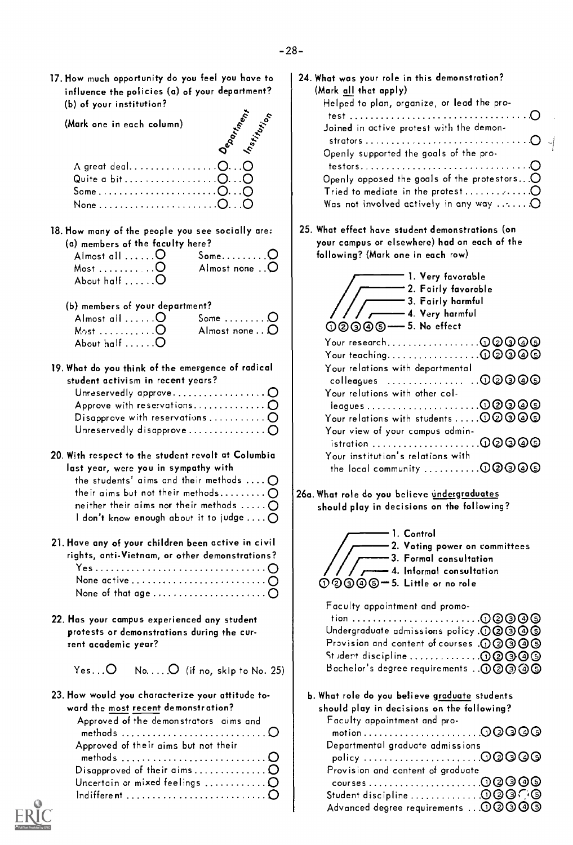- 17. How much opportunity do you feel you have to influence the policies (a) of your department? (b) of your institution? (Mark one in each column) A great deal 0...0 0...0 Quite a bit Some None  $\delta$  .  $\delta$  . 18. How many of the people you see socially are (a) members of the faculty here? Almost all 0 Some 0  $Most \ldots \ldots \ldots \ldots$ About half ......O (b) members of your department? Almost all .......O Some ...........O<br>Most ...............O Almost none ...O  $M$ ost  $\dots \dots \dots$  .  $O$ About half  $\dots \dots$ 19. What do you think of the emergence of radical student activism in recent years? Unreservedly approve Approve with reservations Disapprove with reservations . . . . . . . . . .  $\bigcirc$ Unreservedly disapprove 20, With respect to the student revolt at Columbia last year, were you in sympathy with the students' aims and their methods  $\dots$  .  $\bigcirc$ their aims but not their methods......... $\bigcirc$ neither their aims nor their methods ..... O I don't know enough about it to judge  $\dots$  0 21. Have any of your children been active in civil rights, anti-Vietnam, or other demonstrations? Yes None active  $\dots\dots\dots\dots\dots\dots\dots\bigcirc$ None of that age 22. Has your campus experienced any student protests or demonstrations during the current academic year?  $Yes...O$  No.  $\dots$  O (if no, skip to No. 25) 23. How would you characterize your attitude toward the most recent demonstration? Approved of the demonstrators aims and methods  $\dots \dots \dots \dots \dots \dots \dots \dots \dots \dots \dots \dots \dots$ 
	- Approved of their aims but not their methods Disapproved of their aims Uncertain or mixed feelings .............. O indifferent
- 24. What was your role in this demonstration? (Mark all that apply) Helped to plan, organize, or lead the protest Joined in active protest with the demonstrators 0 Openly supported the goals of the protestors 0 Openly opposed the goals of the protestors... $O$ Tried to mediate in the protest  $\dots \dots \dots \dots \dots$ Was not involved actively in any way  $\dots \dots$  O  $\overline{O}$
- 25. What effect have student demonstrations (on your campus or elsewhere) had on each of the

|                  | your campus or elsewhere) had on each of the                                             |
|------------------|------------------------------------------------------------------------------------------|
| O<br>O           | following? (Mark one in each row)                                                        |
|                  |                                                                                          |
|                  | 1. Very favorable                                                                        |
|                  | = 2. Fairly favorable                                                                    |
|                  | - 3. Fairly harmful                                                                      |
|                  | - 4. Very harmful                                                                        |
| $\rm\frac{O}{O}$ | ①②③④⑤--5. No effect                                                                      |
|                  |                                                                                          |
|                  |                                                                                          |
| ıl               | Your relations with departmental                                                         |
|                  |                                                                                          |
|                  | Your relations with other col-                                                           |
| 0000             |                                                                                          |
|                  | Your relations with students  . $\mathbb{O} \mathbb{Q} \mathbb{Q} \mathbb{Q} \mathbb{G}$ |
|                  | Your view of your campus admin-                                                          |
|                  |                                                                                          |
| ia               | Your institution's relations with                                                        |
|                  | the local community $0@@@@$                                                              |
|                  |                                                                                          |

 $\mathsf{Q}$   $\left($  26a. What role do you believe <u>undergraduates</u> should play in decisions on the following?



Faculty appointment and promo-

| <b>Tacony appointment and promo-</b>                                         |
|------------------------------------------------------------------------------|
|                                                                              |
| Undergraduate admissions policy . 00000                                      |
| Provision and content of courses .00000                                      |
|                                                                              |
| Bachelor's degree requirements $\bigcirc$ 2 $\bigcirc$ $\bigcirc$ $\bigcirc$ |
|                                                                              |

0 motion 00004 0 policy 00004 O Provision and content of graduate 0 courses 00000  $\overline{O}$  Student discipline  $\overline{O}$   $\overline{O}$   $\overline{O}$   $\overline{O}$   $\overline{O}$ b. What role do you believe graduate students should play in decisions on the following? Faculty appointment and pro-Departmental graduate admissions Advanced degree requirements ... 000000

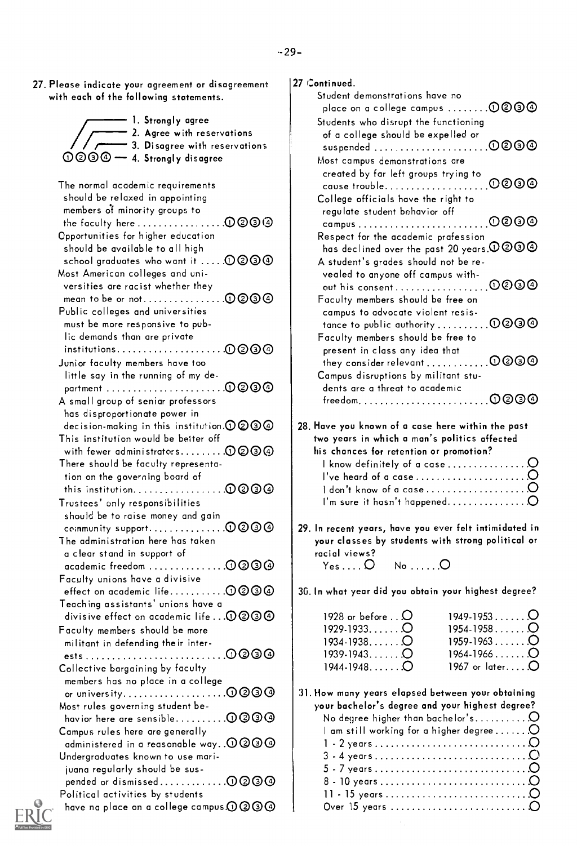27. Please indicate your agreement or disagreement with each of the following statements.

| 1. Strongly agree                                                   |  |
|---------------------------------------------------------------------|--|
| 2. Agree with reservations                                          |  |
| 3. Disagree with reservations                                       |  |
| $\mathbb{O} \textcircled{3} \textcircled{4}$ - 4. Strongly disagree |  |

The normal academic requirements should be relaxed in appointing members Of minority groups to the faculty here  $\dots\dots\dots\dots\oplus$  200 Opportunities for higher education should be available to all high school graduates who want it ....  $0@@@$ Most American colleges and universities are racist whether they mean to be or not.  $\dots\dots\dots\dots\oplus$  200 Public colleges and universities must be more responsive to public demands than are private institutions Junior faculty members have too little say in the running of my department  $\dots\dots\dots\dots\dots\dots\oplus$ A small group of seniar professors has disproportionate power in decision-making in this institution  $0@@@$ This institution would be better off with fewer administrators.........  $\Omega$   $\Omega$   $\Omega$ There should be faculty representation on the governing board of this institution Trustees' only responsibilities should be to raise money and gain community support 0000 The administration here has taken a clear stand in support of academic freedom 000() Faculty unions have a divisive effect on academic life Teaching assistants' unions have a divisive effect on academic life  $\ldots$   $\mathbb{O} \circledcirc \circledcirc$  | 1928 or before  $\ldots$  O Faculty members should be more militant in defending their interests 0000 Collective bargaining by faculty members has no place in a college or university.  $\dots\dots\dots\dots\dots\oplus$  @ @ @ Most rules governing student behavior here are sensible...........  $0@@@$ Campus rules here are generally administered in a reasonable way.  $0@@@$ Undergraduates known to use marijuana regularly should be suspended or dismissed................. $\odot$   $\odot$   $\odot$   $\odot$ Political activities by students have na place on a college campus. $0@@@$ 

0000 campus 0000 0000 A student's grades should not be re-OOOO Faculty members should be free on 0000 present in class any idea that OOOO dents are a threat to academic OOOO his chances for retention or promotion?  $\overline{0}$   $\overline{0}$   $\overline{0}$   $\overline{0}$   $\overline{0}$   $\overline{0}$   $\overline{0}$   $\overline{0}$   $\overline{1}$  don't know of a case ..........  $\mathbb{O} \mathfrak{O} \mathfrak{O} \mathfrak{O} \quad \Big| \,$  30. In what year did you obtain your highest degree? 0000 No degree higher than bachelor's 27 Continued. Student demonstrations have no place on a college campus  $\ldots \ldots \oplus \textcircled{0}$ Students who disrupt the functioning of a college should be expelled or suspended  $\dots\dots\dots\dots\dots\dots\oplus$  @ @ @ Most campus demonstrations are created by far left groups trying to cause trouble 0000 College officials have the right to regulate student behavior off Respect for the academic prafession has declined over the past 20 years.  $0@@@$ vealed to anyone off campus withvealed to anyone ott campus with-<br>out his consent................................ ①②③④ campus to advocate violent resiscampus to advocate violent resis-<br>tance to public authority . . . . . . . . . . . . 0000 Faculty members should be free to present in class any idea that<br>they consider relevant . . . . . . . . . . . . . . 0 © © © Campus disruptions by militant stufreedom. 0000 28. Have you known of a case here within the past two years in which a man's politics affected I know definitely of a case  $\dots\dots\dots\dots\bigcirc$ l've heard of a case  $\dots\dots\dots\dots\dots\dots\dots$ I'm sure it hasn't happened 29. In recent years, have you ever felt intimidated in your classes by students with strong political or racial views?  $Yes... O$  No  $... O$ 1949-1953 . . . . . . .O<br>1954-1958 . . . . . . .O 1929-1933.......O 1954-1958.......O<br>1934-1938.......O 1959-1963.......O 1934-1938 1959-1963  $1964 - 1966 \ldots$  . 1944-1948....... $O$  1967 or later..... $O$ 31. How many years elapsed between your obtaining your bachelor's degree and your highest degree? I am still working for a higher degree  $\dots \dots \text{O}$  $\overline{Q}$ <sup>1</sup> - 2 years 0 3 - 4 years

> 5 - 7 years 0 8 - 10 years 11- 1.5 years Over '15 years

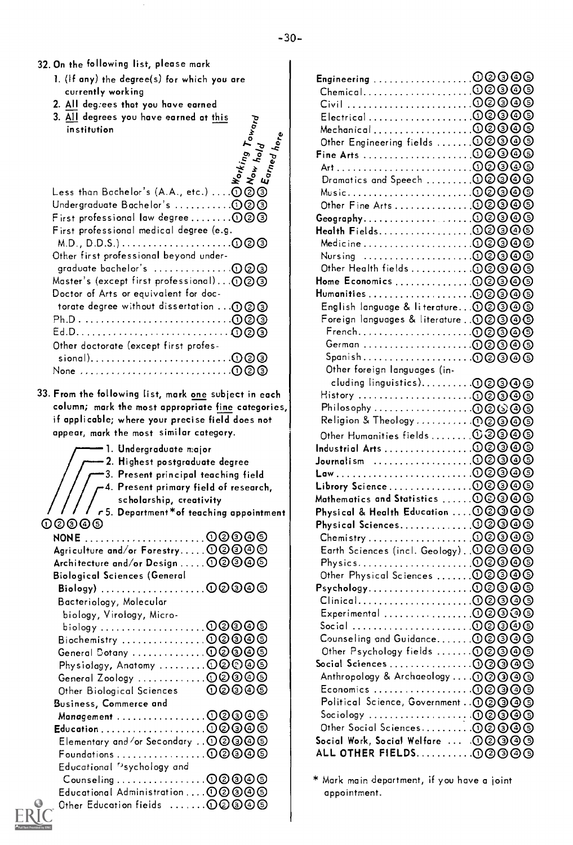| 32. On the following list, please mark                                                             |                                       |
|----------------------------------------------------------------------------------------------------|---------------------------------------|
| 1. (If any) the degree(s) for which you are                                                        | Engineering.                          |
| currently working                                                                                  | Chemical                              |
| 2. All degrees that you have earned                                                                | $Civil$                               |
| 3. All degrees you have earned at this                                                             | Electrical                            |
| JWorking Toward<br>∪© Now hold<br>institution<br>$J$ Earned here                                   | Mechanical                            |
|                                                                                                    | Other Engine                          |
|                                                                                                    | Fine Arts                             |
|                                                                                                    | Art                                   |
|                                                                                                    | Dramatics an                          |
| Less than Bachelor's $(A.A., etc.) \dots \oplus \textcircled{3}$<br>Undergraduate Bachelor's  0000 | $M$ usic<br>Other Fine A              |
| First professional law degree $0@@$                                                                |                                       |
| First professional medical degree (e.g.                                                            | $Geography. \ldots$<br>Health Fields. |
|                                                                                                    | Medicine                              |
| Other first professional beyond under-                                                             | Nursing                               |
| graduate bachelor's $\ldots \ldots \ldots \ldots \oplus \textcircled{3}$                           | Other Health                          |
| Master's (except first professional) 1000                                                          | Home Economi                          |
| Doctor of Arts or equivalent for doc-                                                              | Humanities                            |
| torate degree without dissertation 10 2 3                                                          | English lange                         |
|                                                                                                    | Foreign lange                         |
|                                                                                                    | French                                |
| Other doctorate (except first profes-                                                              | German                                |
|                                                                                                    | Spanish<br>Other foreig               |
| None $\ldots \ldots \ldots \ldots \ldots \ldots \ldots \ldots \oplus \textcircled{3}$              | cluding lin                           |
| 33. From the following list, mark <u>one</u> subject in each                                       | History                               |
| column; mark the most appropriate fine categories,                                                 | Philosophy.                           |
| if applicable; where your precise field does not                                                   | Religion & T!                         |
| appear, mark the most similar category.                                                            | Other Humani                          |
| — 1. Undergraduate major                                                                           | Industrial Arts                       |
| -2. Highest postgraduate degree                                                                    | Journalism                            |
| 3. Present principal teaching field                                                                | Law                                   |
| .4. Present primary field of research ہم                                                           | Librory Scienc                        |
| scholarship, creativity                                                                            | Mathematics a                         |
| r 5. Department*of teaching appointment<br>00000                                                   | Physical & He                         |
| 00006<br><b>NONE</b>                                                                               | <b>Physical Scier</b><br>Chemistry    |
| . <i>.</i><br>Agriculture and/or Forestry $\mathbb{O} \mathbb{O} \mathbb{O} \mathbb{O}$            | Earth Science                         |
| Architecture and/or Design $\mathbb{O} \textcircled{3} \textcircled{4} \textcircled{5}$            | Physics                               |
| <b>Biological Sciences (General</b>                                                                | Other Physic                          |
|                                                                                                    | Psychology                            |
| Bacteriology, Molecular                                                                            | Clinical                              |
| biology, Virology, Micro-                                                                          | Experimental                          |
|                                                                                                    | Social $\ldots$                       |
|                                                                                                    | Counseling a                          |
|                                                                                                    |                                       |
| General Dotany  000005                                                                             | Other Psycho                          |
| Physiolagy, Anatomy $\ldots \ldots \ldots \mathbb{O} \mathbb{O} \mathbb{O} \mathbb{O}$             | Social Science                        |
| General Zoology $\ldots \ldots \ldots \oplus \textcircled{0} \textcircled{0}$                      | Anthropology                          |
| 00000<br>Other Biological Sciences                                                                 | Economics                             |
| Business, Commerce and                                                                             | Political Sci<br>Sociology            |
| $M$ anagement $\ldots \ldots \ldots \ldots \ldots \oplus \textcircled{0} \oplus \textcircled{0}$   | Other Social                          |
| ${\sf Education}\ldots\ldots\ldots\ldots\ldots\ldots\oplus$<br>Elementary and/or Secondary $0@@@@$ | Social Work, S                        |
| $\mathsf{Foundations}\dots\dots\dots\dots\dots\mathsf{OQQQQ}$                                      | ALL OTHER                             |
| Educational Dsychology and                                                                         |                                       |
| $\mathsf{C}$ ounseling $\ldots\ldots\ldots\ldots\ldots\mathbb{O}$ @ ③ ④ ⑤                          | * Mark main de                        |
| Educational Administration  . 00000                                                                | appointment.                          |
| 0<br>Other Education fields $\ldots \ldots \oplus \textcircled{1} \oplus \textcircled{5}$          |                                       |

32. On the following list, please mark

| Engineering $\ldots\ldots\ldots\ldots\ldots\ldots\oplus$ @ @ @ @                               |  |
|------------------------------------------------------------------------------------------------|--|
|                                                                                                |  |
|                                                                                                |  |
|                                                                                                |  |
|                                                                                                |  |
| Other Engineering fields  000005                                                               |  |
|                                                                                                |  |
|                                                                                                |  |
| Dramatics and Speech $\ldots \ldots \oplus \textcircled{0} \oplus \textcircled{0}$             |  |
|                                                                                                |  |
|                                                                                                |  |
| ${\sf Geography.}\dots\dots\dots\dots\dots\dots\oplus\mathbb{Q}\,\mathsf{O}\,\mathsf{O}$       |  |
|                                                                                                |  |
|                                                                                                |  |
|                                                                                                |  |
| Other Health fields $\dots \dots \dots \oplus \textcircled{0} \oplus \textcircled{6}$          |  |
| Home Economics $\ldots\ldots\ldots\ldots\cup\mathbb{O}$ ③③④⑤                                   |  |
|                                                                                                |  |
| English language & literature $\mathbb{O} \mathfrak{O} \mathfrak{O} \mathfrak{O} \mathfrak{O}$ |  |
| Foreign languages & literature000005                                                           |  |
|                                                                                                |  |
|                                                                                                |  |
|                                                                                                |  |
| Other foreign languages (in-                                                                   |  |
|                                                                                                |  |
|                                                                                                |  |
|                                                                                                |  |
|                                                                                                |  |
| Other Humanities fields $\mathbb{O} \mathfrak{D} \mathfrak{D} \mathfrak{D}$                    |  |
| Industrial Arts $\ldots\ldots\ldots\ldots\ldots\mathbb{O}$ @@@G                                |  |
|                                                                                                |  |
| Law…………………………O②③④⑤                                                                             |  |
|                                                                                                |  |
| Mathematics and Statistics $\ldots \ldots \mathbb{O} \textcircled{9} \textcircled{9}$          |  |
| Physical & Health Education $\ldots$ $\mathbb{O} \mathbb{O} \mathbb{O} \mathbb{O} \mathbb{O}$  |  |
| Physical Sciences. 00000                                                                       |  |
|                                                                                                |  |
| Earth Sciences (incl. Geology). . 00000                                                        |  |
|                                                                                                |  |
| Other Physical Sciences  000006                                                                |  |
|                                                                                                |  |
|                                                                                                |  |
|                                                                                                |  |
|                                                                                                |  |
| Counseling and Guidance 000006                                                                 |  |
| Other Psychology fields  1000005                                                               |  |
|                                                                                                |  |
| Anthropology & Archaeology 000005                                                              |  |
| $\mathsf{E}\mathsf{conomics}\dots\mathsf{S}\dots\mathsf{S}\mathsf{S}\mathsf{S}\mathsf{S}$      |  |
| Political Science, Government. . 00000                                                         |  |
|                                                                                                |  |
| Other Social Sciences 00000                                                                    |  |
| Social Work, Social Welfare $\,\dots\,$ .(D ② ③ ④ ⑤                                            |  |
|                                                                                                |  |
|                                                                                                |  |

00000 \* Mark main department, if you have a joint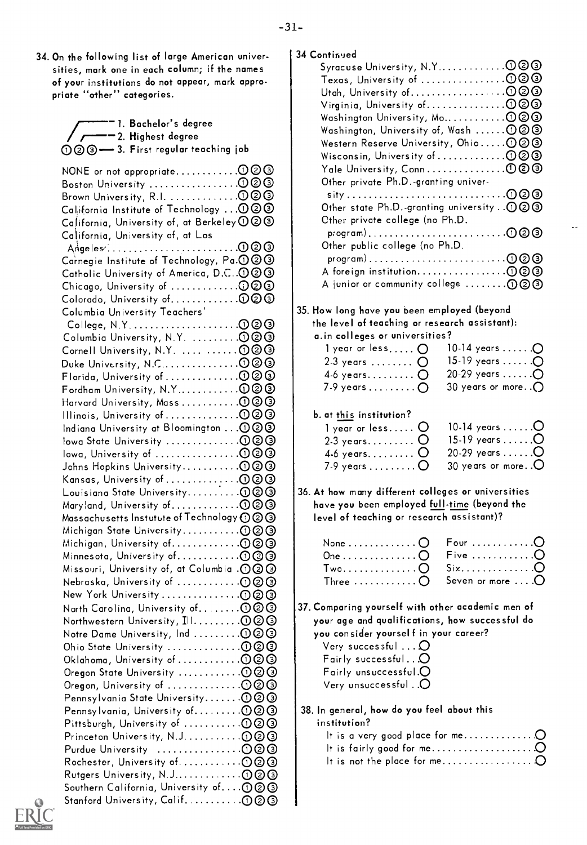34. On the following list of large American universities, mark one in each column; if the names of your institutions do not appear, mark appropriate "other" categories.

> <mark>– 1. Bachelor'</mark>s degree<br><del>–</del> 2. Highest degree C)OC) 3. First regular teaching job

| NONE or not appropriate 000                                                             | Yale University, Conn                            |  |
|-----------------------------------------------------------------------------------------|--------------------------------------------------|--|
|                                                                                         | Other private Ph.D. granting univer-             |  |
| Brown University, R.I.  000                                                             |                                                  |  |
| California Institute of Technology $\mathbb{O} \circledcirc$                            | Other state Ph.D.-granting universit             |  |
| California, University of, at Berkeley $\mathbb{O} \, \mathbb{O} \, \mathbb{O}$         | Cther private college (no Ph.D.                  |  |
| California, University of, at Los                                                       |                                                  |  |
|                                                                                         | Other public college (no Ph.D.                   |  |
| Carnegie Institute of Technology, Pa. $\mathbb{O} \, \mathbb{O} \, \mathbb{O}$          |                                                  |  |
| Catholic University of America, D.C. O 23                                               | A foreign institution                            |  |
| Chicago, University of $\ldots \ldots \ldots \oplus \mathcal{Q} \circledS$              | A junior or community college                    |  |
|                                                                                         |                                                  |  |
| Colorado, University of. $\mathbb{O} \mathfrak{D} \mathfrak{D}$                         | 35. How long have you been employed (be          |  |
| Columbia University Teachers'                                                           | the level of teaching or research assi           |  |
| College, $N, Y, \ldots, \ldots, \ldots, \ldots, \ldots$ . $\mathbb{O} \circledcirc$     | a. in colleges or universities?                  |  |
| Columbia University, N.Y. $\ldots \ldots \oplus \textcircled{3}$                        | $10-14$ yeo<br>1 year or less $\bigcirc$         |  |
| Cornell University, N.Y. $\ldots \ldots \ldots \oplus \textcircled{3}$                  | $15-19$ yeo                                      |  |
|                                                                                         | $2-3$ years $\bigcirc$                           |  |
| Florida, University of $\ldots \ldots \ldots \ldots \mathbb{O} \circledcirc \mathbb{O}$ | 20-29 yea<br>4-6 years $\bigcirc$                |  |
| Fordham University, N.Y $\ldots \ldots \ldots \oplus \textcircled{3}$                   | 7-9 years $\dots\dots\odot$<br>30 years          |  |
|                                                                                         |                                                  |  |
|                                                                                         | b. at this institution?                          |  |
| Indiana University at Bloomington $\ldots$ 000                                          | $10-14$ yes<br>$1$ year or less $O$              |  |
| lowa State University $\ldots \ldots \ldots \ldots \oplus \textcircled{3}$              | 15-19 ye<br>$2-3$ years $O$                      |  |
| lowa, University of $\dots\dots\dots\dots\oplus \textcircled{3}$                        | 20-29 ye<br>4-6 years $\bigcirc$                 |  |
|                                                                                         | 30 years<br>7-9 years $\dots\dots\dots$          |  |
| Kansas, University of  ①②③                                                              |                                                  |  |
| Louisiana State University 0000                                                         | 36. At how many different colleges or uni        |  |
|                                                                                         | have you been employed full-time (be             |  |
| Massachusetts Instutute of Technology $\odot$ $\odot$ $\odot$                           | level of teaching or research assistar           |  |
| Michigan State University $0@@$                                                         |                                                  |  |
|                                                                                         | None $\dots\dots\dots\dots\odot$<br>Four $\dots$ |  |
| Minnesota, University of $0@@$                                                          | One $\dots\dots\dots\dots\dots$<br>Five          |  |
| Missouri, University of, at Columbia $.000$                                             | $Two \ldots  \ldots O$<br>Six.                   |  |
| Nebraska, University of $\ldots \ldots \ldots \oplus \textcircled{3}$                   | Seven or<br>Three $\dots\dots\dots\dots\bigcirc$ |  |
|                                                                                         |                                                  |  |
| North Carolina, University of. $0@@$                                                    | 37. Comparing yourself with other academ         |  |
| Northwestern University, $1    \ldots \ldots \ldots \oplus \textcircled{3}$             | your age and qualifications, how suck            |  |
| Notre Dame University, Ind  000                                                         | you consider yourself in your career?            |  |
| Ohio State University  000                                                              | Very successful $\ldots$ $\bigcirc$              |  |
| Oklahoma, University of $\mathbb{O} \circ \mathbb{S}$                                   | Fairly successful $O$                            |  |
| Oregon State University $0@@$                                                           | Fairly unsuccessful.O                            |  |
| Oregon, University of $\ldots \ldots \ldots \ldots \oplus \textcircled{3}$              | Very unsuccessfulO                               |  |
| Pennsylvania State University $0@@$                                                     |                                                  |  |
|                                                                                         | 38. In general, how do you feel about thi        |  |
| Pennsylvania, University of. $\mathbb{O} \circledcirc$                                  | institution?                                     |  |
| Pittsburgh, University of $\ldots \ldots \ldots \mathbb{O} \circledcirc \mathbb{O}$     |                                                  |  |
| Princeton University, N.J. $\mathbb{O} \, \textcircled{3}$                              | It is a very good place for me                   |  |
| Purdue University $\ldots \ldots \ldots \ldots \oplus \textcircled{3}$                  | It is fairly good for me                         |  |
| Rochester, University of $\dots\dots\dots\oplus\textcircled{3}$                         | It is not the place for me                       |  |
| Rutgers University, N.J. $\ldots \ldots \ldots \oplus \textcircled{3}$                  |                                                  |  |
| Southern California, University of. $\bigcirc$ 23                                       |                                                  |  |
| Stanford University, Calif.  . 000                                                      |                                                  |  |

-31-

Syracuse University, N.Y. 00® Texas, University of  $\dots\dots\dots\dots\ldots\oplus$  20 Utah, University of  $\dots\dots\dots\dots\dots\cdots\oplus\textcircled{3}$ Virginia, University of  $\dots\dots\dots\ldots\oplus\textcircled{3}$ Washington University, Mo............. $0@@$ Washington, University of, Wash  $\ldots \ldots \mathbb{O} \circledcirc \mathbb{O}$ Western Reserve University, Ohio..... $\mathbb{O} \mathfrak{O}$   $\mathbb{O}$ Wisconsin, University of . . . . . . . . . . . .  $0@@$ Yale University, Conn 000 Other private Ph.D.-granting university 000 Other state Ph.D.-granting university . .  $\bigcirc \mathcal{O} \bigcirc$ Other private college (no Ph.D. program) 000 program) 00® A foreign institution 000 A junior or community college  $\ldots \ldots \oplus \textcircled{3}$ 

## 35. How long have you been employed (beyond the level of teaching or research assistant):

|                                       | <u>ss. How folly have you been employed (beyond</u> |                                   |  |
|---------------------------------------|-----------------------------------------------------|-----------------------------------|--|
| . .೦೦೦                                | the level of teaching or research assistant):       |                                   |  |
| . .೦೦೦                                | a. in colleges or universities?                     |                                   |  |
| .೦೦೦                                  | 1 year or less $\bigcirc$                           | 10-14 years $\dots$ . O           |  |
| . .೦೦೦                                | $2-3$ years $\bigcirc$                              | 15-19 years $\ldots$ . $\bigcirc$ |  |
| . .O@@                                | $4-6$ years $\bigcirc$                              | $20-29$ years $O$                 |  |
| . .000                                | $7-9$ years $\bigcirc$                              | 30 years or more. $\Omega$        |  |
| . .೦೦೦                                |                                                     |                                   |  |
| . .000                                | b. at this institution?                             |                                   |  |
| . .①②③                                | $1$ year or less $O$                                | $10-14$ years  O                  |  |
| . .①②③                                | $2-3$ years $\bigcirc$                              | $15-19$ years $O$                 |  |
| . .O@@                                | 4-6 years $O$                                       | $20-29$ years  O                  |  |
| . .000                                | $7-9$ years $\bigcirc$                              | $30$ years or more. . $O$         |  |
| $\mathcal{A} \mathcal{A} \mathcal{A}$ |                                                     |                                   |  |

 $\bigcirc \circ \circ$  36. At how many different colleges or universities<br> $\bigcirc \circ \circ$  have you been employed <u>full-time</u> (beyond the have you been employed full-time (beyond the level of teaching or research assistant)?

| $\sim$ $\sim$ $\sim$ |                                                                           |  |
|----------------------|---------------------------------------------------------------------------|--|
| $O$ ©                | None $\bigcirc$ Four $\bigcirc$                                           |  |
| .000                 | One $O$ Five $O$                                                          |  |
| .000                 | $Two$ $O$ $Six$ $O$                                                       |  |
| .000                 | Three $\dots \dots \dots \dots$ $\bigcirc$ Seven or more $\dots \bigcirc$ |  |
| $\sim$ $\sim$ $\sim$ |                                                                           |  |

- 37. Comparing yourself with other academic men of your age and qualifications, how successful do you consider yoursel f in your career?
	- Very successful  $\ldots$  O Fairly successful... $O$ Fairly unsuccessful.<sup>O</sup> Very unsuccessful ..0
- 38. In general, how do you feel about this institution?
	- It is a very good place for me 0 It is fairly good for me 0 It is not the place for me .0

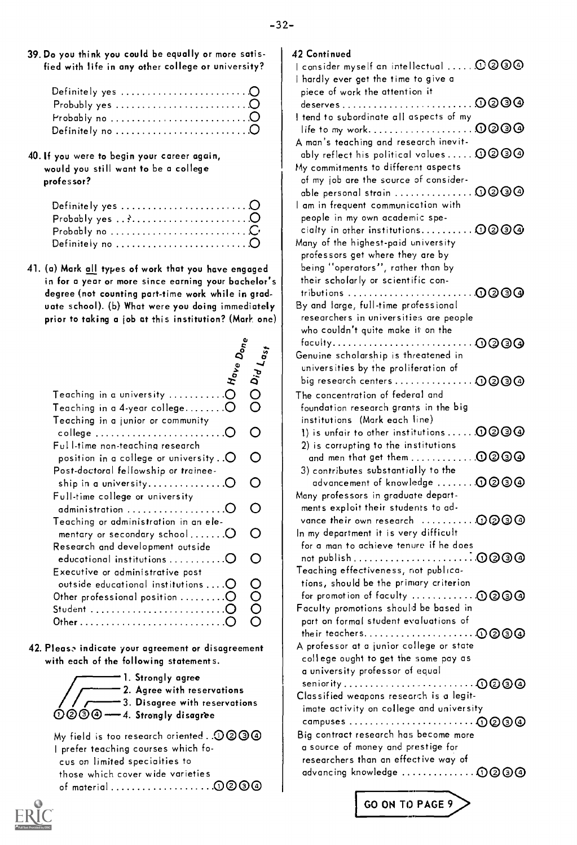39. Do you think you could be equally or more satisfied with life in any other college or university?

|                                                               | piece of wor   |
|---------------------------------------------------------------|----------------|
|                                                               | deserves       |
| Probably no $\dots \dots \dots \dots \dots \dots \dots \dots$ | I tend to subc |
| Definitely no $\dots\dots\dots\dots\dots\dots\dots\dots\dots$ | life to my wo  |

40. If you were to begin your career again, would you still want to be a college professor?

|                                                                    | I am in freque |
|--------------------------------------------------------------------|----------------|
|                                                                    | people in m    |
| Probably no $\dots\dots\dots\dots\dots\dots\dots\dots\dots\dots$   | cialty in oth  |
| Definitely no $\dots\dots\dots\dots\dots\dots\dots\dots\dots\dots$ | Many of the h  |
|                                                                    |                |

41. (a) Mark all types of work that you have engaged in for a year or more since earning your bachelor's degree (not counting part-time work while in graduate school). (6) What were you doing immediately prior to taking a job at this institution? (Mark one)

|                                                                                                 |                    | G.      |
|-------------------------------------------------------------------------------------------------|--------------------|---------|
| Have Do                                                                                         | Did                | l<br>Ŀ  |
| Teaching in a university $\ldots \ldots \ldots$                                                 | $\circ$            | Τ۱      |
| Teaching in a 4-year college $O$                                                                |                    | f       |
| Teaching in a junior or community                                                               | ີ                  | j<br>ļ  |
| Full-time non-teaching research                                                                 |                    |         |
| position in a college or university $\bigcirc$                                                  | ∩                  |         |
| Post-doctoral fellowship or trainee-<br>ship in a university. $\dots\dots\dots\dots\mathcal{O}$ | ( )                | 3       |
| Full-time college or university                                                                 |                    | M٥      |
| administration $\ldots \ldots \ldots \ldots \ldots \cup$                                        | $\left( \ \right)$ | r       |
| Teaching or administration in an ele-<br>mentary or secondary school $O$                        | ∩                  | ÿ<br>In |
| Research and development outside                                                                |                    | f       |
| educational institutions $O$                                                                    | O                  | r       |
| Executive or administrative post<br>outside educational institutions $\dots$ . $\bigcirc$       |                    | T,<br>t |
| Other professional position $\dots\dots\dots$                                                   | Ō                  |         |
|                                                                                                 |                    | F۰      |
|                                                                                                 |                    | ŗ       |



My field is too research oriented .  $\mathcal{O} \mathcal{O} \mathcal{O}$ <sup>I</sup> prefer teaching courses which focus on limited specialties to those which cover wide varieties of material  $\dots\dots\dots\dots\dots\dots\oplus$ 

## 42 Continued

| iy or more satis-                                             | 42 Continuea                                                                                                                                     |
|---------------------------------------------------------------|--------------------------------------------------------------------------------------------------------------------------------------------------|
| e or university?                                              | I consider myself an intellectual $\ldots$ . $\mathbb{O} \mathfrak{O} \mathfrak{O}$                                                              |
|                                                               | I hardly ever get the time to give a                                                                                                             |
| . 0                                                           | piece of work the attention it                                                                                                                   |
| . 0                                                           |                                                                                                                                                  |
| . 0                                                           | I tend to subordinate all aspects of my                                                                                                          |
| . 0                                                           |                                                                                                                                                  |
|                                                               | A man's teaching and research inevit-                                                                                                            |
| again,                                                        | ably reflect his political values $\ldots$ . $\mathop{\textcircled{\footnotesize{1}}\mathbb{Q}}\mathop{\textcircled{\footnotesize{1}}\mathbb{Q}$ |
| eg e                                                          | My commitments to different aspects                                                                                                              |
|                                                               | of my job are the source of consider-                                                                                                            |
|                                                               | able personal strain $\mathbb{O} \mathsf{Q} \mathsf{Q} \mathsf{Q}$                                                                               |
| . 0                                                           | I am in frequent communication with                                                                                                              |
| . 0                                                           | people in my own academic spe-                                                                                                                   |
| . 0                                                           | cialty in other institutions. $\mathbb{O} \mathfrak{O} \mathfrak{O}$                                                                             |
| . 0                                                           | Many of the highest-paid university                                                                                                              |
|                                                               | professors get where they are by                                                                                                                 |
| ou have engaged                                               | being "operators", rather than by                                                                                                                |
| ng your bachelor's                                            | their scholarly or scientific con-                                                                                                               |
| ork while in grad-                                            | tributions                                                                                                                                       |
| doing immediately                                             | By and large, full-time professional                                                                                                             |
| itution? (Mark. one)                                          | researchers in universities are people                                                                                                           |
|                                                               | who couldn't quite make it on the                                                                                                                |
| ) O Ha <sub>ve Done</sub>                                     |                                                                                                                                                  |
|                                                               | Genuine scholarship is threatened in                                                                                                             |
|                                                               | universities by the proliferation of                                                                                                             |
| $O$ $O$ $\mathcal{D}_{id}$ $\mathcal{L}_{\mathfrak{a}_{S_f}}$ | big research centers<br>0000                                                                                                                     |
|                                                               | The concentration of federal and                                                                                                                 |
|                                                               | foundation research grants in the big                                                                                                            |
| nity                                                          | institutions (Mark each line)                                                                                                                    |
| .O<br>O                                                       | 1) is unfair to other institutions $0@@@$                                                                                                        |
| :h                                                            | 2) is corrupting to the institutions                                                                                                             |
| rsity $\bigcirc$<br>Ő                                         | .0@@@<br>and men that get them                                                                                                                   |
| inee-                                                         | 3) contributes substantially to the                                                                                                              |
| .O<br>O                                                       | advancement of knowledge $\ldots \ldots \oplus \textcircled{3} \oplus \textcircled{4}$                                                           |
|                                                               | Many professors in graduate depart-                                                                                                              |
|                                                               | ments exploit their students to ad-                                                                                                              |
| ( )                                                           |                                                                                                                                                  |
| an ele-                                                       | vance their own research $\ldots \ldots \ldots \oplus \mathcal{Q} \mathcal{Q} \mathcal{Q}$<br>In my department it is very difficult              |
| . 0                                                           |                                                                                                                                                  |
| side                                                          | for a man to achieve tenure if he does                                                                                                           |
| .                                                             |                                                                                                                                                  |
| ıst                                                           | Teaching effectiveness, not publica-                                                                                                             |
| ns $\rm O$                                                    | tions, should be the primary criterion                                                                                                           |
| $\frac{0}{0}$<br>.O                                           | for promotion of faculty $\ldots \ldots \ldots \oplus \textcircled{3} \textcircled{4}$                                                           |
| .O                                                            | Faculty promotions should be based in                                                                                                            |
|                                                               | part on formal student evaluations of                                                                                                            |
|                                                               |                                                                                                                                                  |
| or disagreement                                               | A professor at a junior college or state                                                                                                         |
| nents.                                                        | college ought to get the same pay as                                                                                                             |
| e                                                             | a university professor of equal                                                                                                                  |
| eservations                                                   |                                                                                                                                                  |
| h reservations:                                               | Classified weapons research is a legit-                                                                                                          |
| ıgree                                                         | imate activity on college and university                                                                                                         |
|                                                               |                                                                                                                                                  |
|                                                               | Big contract research has become more                                                                                                            |
| h fo-                                                         | a source of money and prestige for                                                                                                               |
|                                                               | researchers than an effective way of                                                                                                             |
| ties.                                                         | advancing knowledge $\ldots \ldots \ldots \ldots \mathbb{O} \textcircled{3} \textcircled{4}$                                                     |
| $\ldots 0$ 000                                                |                                                                                                                                                  |



GO ON TO PAGE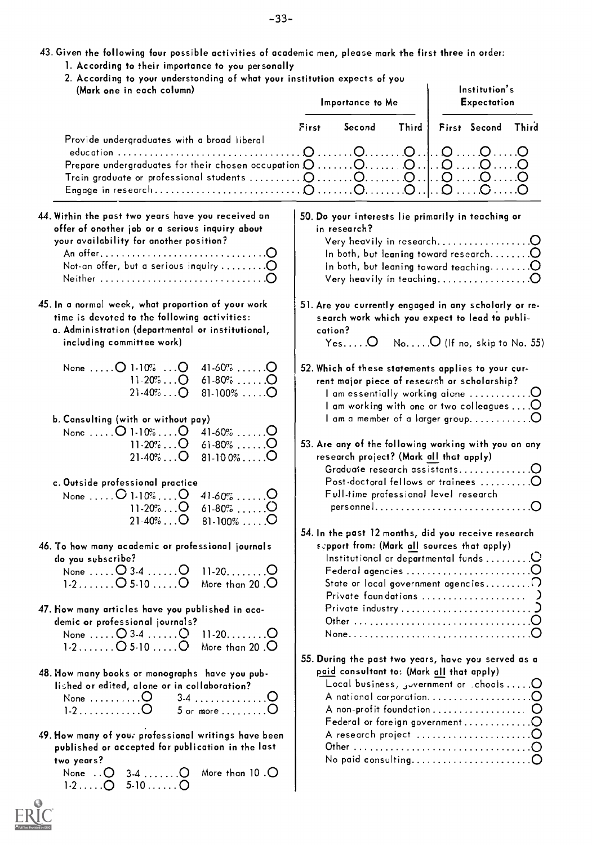- 43. Given the following four possible activities of academic men, please mark the first three in order: 1. According to their importance to you personally
	- 2. According to your understonding of what your institution expects of you

| (Mark one in each column)                                                                                                                                                                                                                                                                | Importance to Me                                                                                                                                                                                | Institution's<br><b>Expectation</b>                                                                                                                                                |
|------------------------------------------------------------------------------------------------------------------------------------------------------------------------------------------------------------------------------------------------------------------------------------------|-------------------------------------------------------------------------------------------------------------------------------------------------------------------------------------------------|------------------------------------------------------------------------------------------------------------------------------------------------------------------------------------|
| Provide undergraduates with a broad liberal<br>Prepare undergraduates for their chosen occupation $\mathsf{O}$ $\mathsf{O}$ $\mathsf{O}$ $\mathsf{O}$ $\mathsf{O}$                                                                                                                       | Third<br>First<br>Second                                                                                                                                                                        | First Second<br>Third                                                                                                                                                              |
| 44. Within the past two years have you received an<br>offer of onother job or a serious inquiry about<br>your availability for another position?<br>Not-an offer, but a serious inquiry $O$                                                                                              | 50. Do your interests lie primarily in teaching or<br>in research?                                                                                                                              | In both, but leaning toward research $O$<br>In both, but leaning toward teaching $O$                                                                                               |
| 45. In a normal week, what proportion of your work<br>time is devoted to the following activities:<br>a. Administration (departmental or institutional,<br>including committee work)                                                                                                     | 51. Are you currently engaged in any scholarly or re-<br>search work which you expect to lead to publi-<br>cation?                                                                              | $Yes$ O $No$ O $(If no, skip to No. 55)$                                                                                                                                           |
| None $O 1-10$ $O$<br>$41.60\% \dots .0$<br>$11 - 20\% \dots$ O<br>61-80% O<br>$21 - 40\% \dots$ O<br>$81-100\% \dots$ . O<br>b. Cansulting (with or without pay)                                                                                                                         | 52. Which of these statements applies to your cur-<br>rent major piece of research or scholarship?                                                                                              | I am essentially working alone $\,\dots\ldots\ldots\ldots$<br>I am working with one or two colleagues $\dots$ . $O$<br>I am a member of a larger group. $\ldots \ldots \ldots$     |
| None $\dots$ . O 1-10% $\dots$ O<br>$41.60\% \dots$ . O<br>$11-20\%$ O<br>61-80% O<br>$21-40\%$ O<br>$81-100\%$ O<br>c. Outside professional practice<br>None $O$ 1-10% $O$ 41-60% $O$<br>$11 - 20%$ O<br>61-80% O<br>$21 - 40\%$ O<br>81-100% O                                         | 53. Are any of the following working with you on any<br>research project? (Mark all that apply)<br>Full-time professional level research<br>54. In the past 12 months, did you receive research | Graduate research assistants $O$<br>Post-doctoral fellows or trainees $\ldots \ldots \ldots$<br>$personnel. \ldots \ldots \ldots \ldots \ldots \ldots \ldots \ldots \ldots \ldots$ |
| 46. To how many academic or professional journals<br>do you subscribe?<br>None  O 3-4  O<br>$1.2 \ldots \ldots$ . O 5-10 $\ldots$ . O<br>More than $20$ . $O$<br>47. How many articles have you published in aca-<br>demic or professional journals?<br>None $\dots$ . O 3-4 $\dots$ . O | sepport from: (Mark all sources that apply)                                                                                                                                                     | Institutional or departmental funds $O$                                                                                                                                            |
| $1.2$ O 5-10  O<br>More than 20 .O<br>48. How many books or monographs have you pub-<br>lished or edited, alone or in collaboration?<br>None $\dots \dots \dots$ . O<br>$3-4$ O<br>$1.2$ O<br>$5$ or more $O$                                                                            | 55. During the past two years, have you served as a<br><u>paid</u> consultant to: (Mark <u>all</u> that apply)                                                                                  | Local business, jovernment or chools $\dots$ . O<br>A non-profit foundation $\bigcirc$<br>Federal or foreign government 0                                                          |
| 49. How many of your professional writings have been<br>published or accepted for publication in the last<br>two years?<br>More than $10 \cdot O$<br>None $\ldots$ $\bigcirc$<br>$3.4 \ldots 0$<br>$1.2 \ldots$ . O $5.10 \ldots$ . O                                                    |                                                                                                                                                                                                 | A research project $\dots\dots\dots\dots\dots\dots\dots\dots$                                                                                                                      |

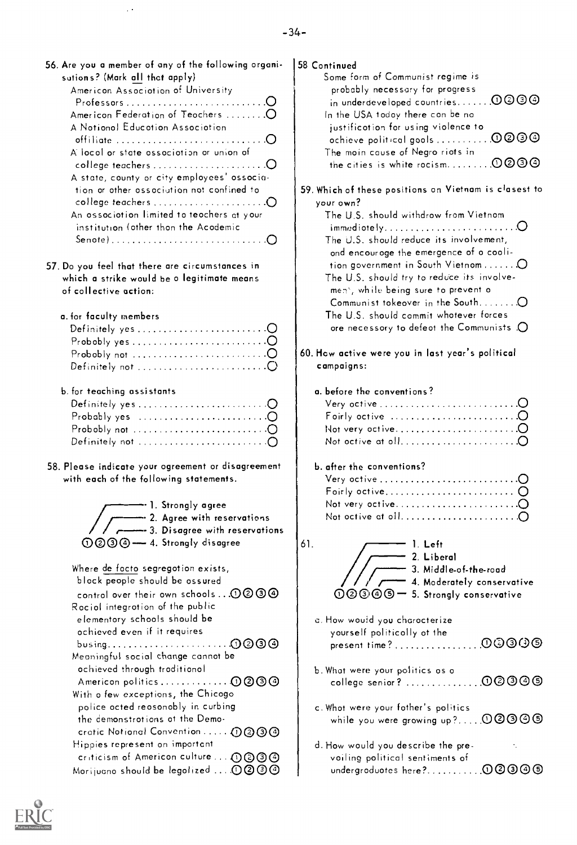$\frac{1}{2}$  .

| 56. Are you a member of any of the following organi-<br>sations? (Mark all that apply)<br>Americon Association of University<br>$Professor: \ldots, \ldots, \ldots, \ldots, \ldots, \ldots, \ldots, O$<br>Americon Federation of Teochers O<br>A Notional Education Association<br>A locol or state ossociation or union of<br>A state, county or city employees' ossocia- | 58 Continued<br>Some form of Communist regime is<br>probably necessary for progress<br>$\odot$ $\odot$ $\odot$ $\odot$<br>in underdeveloped countries<br>In the USA today there can be no<br>justification for using violence to<br>$O$ $O$ $O$ $O$<br>ochieve political gools<br>The moin cause of Negro riots in<br>಄಄಄<br>the cities is white rocism |
|----------------------------------------------------------------------------------------------------------------------------------------------------------------------------------------------------------------------------------------------------------------------------------------------------------------------------------------------------------------------------|---------------------------------------------------------------------------------------------------------------------------------------------------------------------------------------------------------------------------------------------------------------------------------------------------------------------------------------------------------|
| tion or other ossociation not confined to                                                                                                                                                                                                                                                                                                                                  | 59. Which of these positions on Vietnam is clasest to                                                                                                                                                                                                                                                                                                   |
|                                                                                                                                                                                                                                                                                                                                                                            | your own?                                                                                                                                                                                                                                                                                                                                               |
| An ossociotion limited to teochers at your                                                                                                                                                                                                                                                                                                                                 | The U.S. should withdrow from Vietnom                                                                                                                                                                                                                                                                                                                   |
| institution (other thon the Acodemic                                                                                                                                                                                                                                                                                                                                       | The U.S. should reduce its involvement,                                                                                                                                                                                                                                                                                                                 |
|                                                                                                                                                                                                                                                                                                                                                                            | ond encourage the emergence of a cooli-                                                                                                                                                                                                                                                                                                                 |
| 57. Do you feel that there are circumstances in                                                                                                                                                                                                                                                                                                                            | tion government in South VietnomO                                                                                                                                                                                                                                                                                                                       |
| which a strike would be a legitimate means                                                                                                                                                                                                                                                                                                                                 | The U.S. should try to reduce its involve-                                                                                                                                                                                                                                                                                                              |
| of collective action:                                                                                                                                                                                                                                                                                                                                                      | ment, while being sure to prevent o<br>Communist tokeover in the SouthO                                                                                                                                                                                                                                                                                 |
| a. for faculty members                                                                                                                                                                                                                                                                                                                                                     | The U.S. should commit whotever forces                                                                                                                                                                                                                                                                                                                  |
|                                                                                                                                                                                                                                                                                                                                                                            | ore necessory to defect the Communists .Q                                                                                                                                                                                                                                                                                                               |
| $Probability yes \ldots \ldots \ldots \ldots \ldots \ldots \ldots \ldots \ldots \ldots$                                                                                                                                                                                                                                                                                    |                                                                                                                                                                                                                                                                                                                                                         |
| Probobly not $\dots \dots \dots \dots \dots \dots \dots \dots \dots$                                                                                                                                                                                                                                                                                                       | 60. How active were you in last year's political                                                                                                                                                                                                                                                                                                        |
|                                                                                                                                                                                                                                                                                                                                                                            | campaigns:                                                                                                                                                                                                                                                                                                                                              |
| b. for teaching assistants                                                                                                                                                                                                                                                                                                                                                 | a. before the conventions?                                                                                                                                                                                                                                                                                                                              |
|                                                                                                                                                                                                                                                                                                                                                                            |                                                                                                                                                                                                                                                                                                                                                         |
| Probably yes $\ldots \ldots \ldots \ldots \ldots \ldots \ldots$                                                                                                                                                                                                                                                                                                            | Foirly octive $\ldots \ldots \ldots \ldots \ldots \ldots \ldots$                                                                                                                                                                                                                                                                                        |
| Probobly not $\dots\dots\dots\dots\dots\dots\dots\dots\dots\bigcirc$<br>Definitely not $\ldots \ldots \ldots \ldots \ldots \ldots \ldots$                                                                                                                                                                                                                                  | Not octive at $0$ ! $1, \ldots, \ldots, \ldots, \ldots, \ldots, \ldots$                                                                                                                                                                                                                                                                                 |
|                                                                                                                                                                                                                                                                                                                                                                            |                                                                                                                                                                                                                                                                                                                                                         |
| 58. Please indicate your ogreement or disagreement<br>with each of the following statements.                                                                                                                                                                                                                                                                               | b. after the conventions?                                                                                                                                                                                                                                                                                                                               |
|                                                                                                                                                                                                                                                                                                                                                                            |                                                                                                                                                                                                                                                                                                                                                         |
| -- 1. Strongly agree                                                                                                                                                                                                                                                                                                                                                       |                                                                                                                                                                                                                                                                                                                                                         |
| - 2. Agree with reservations                                                                                                                                                                                                                                                                                                                                               |                                                                                                                                                                                                                                                                                                                                                         |
| -- 3. Disagree with reservations<br>$\textcircled{12} \oplus \textcircled{4}$ - 4. Strongly disagree                                                                                                                                                                                                                                                                       |                                                                                                                                                                                                                                                                                                                                                         |
|                                                                                                                                                                                                                                                                                                                                                                            | 61.<br>1. Left<br>2. Liberal                                                                                                                                                                                                                                                                                                                            |
| Where de focto segregotion exists,                                                                                                                                                                                                                                                                                                                                         | 3. Middle-of-the-road                                                                                                                                                                                                                                                                                                                                   |
| block people should be ossured                                                                                                                                                                                                                                                                                                                                             | 4. Moderately conservative                                                                                                                                                                                                                                                                                                                              |
| control over their own schools $0000$                                                                                                                                                                                                                                                                                                                                      | 00000- 5. Strongly conservative                                                                                                                                                                                                                                                                                                                         |
| Rociol integration of the public<br>elementory schools should be                                                                                                                                                                                                                                                                                                           | a. How would you characterize                                                                                                                                                                                                                                                                                                                           |
| ochieved even if it requires                                                                                                                                                                                                                                                                                                                                               | yourself politically at the                                                                                                                                                                                                                                                                                                                             |
| busing                                                                                                                                                                                                                                                                                                                                                                     | .00000<br>present time?                                                                                                                                                                                                                                                                                                                                 |
| Meaningful social change cannot be                                                                                                                                                                                                                                                                                                                                         |                                                                                                                                                                                                                                                                                                                                                         |
| ochieved through troditional<br>Americon politics 00000                                                                                                                                                                                                                                                                                                                    | b. What were your politics as a                                                                                                                                                                                                                                                                                                                         |
| With o few exceptions, the Chicogo                                                                                                                                                                                                                                                                                                                                         |                                                                                                                                                                                                                                                                                                                                                         |
| police octed reosonobly in curbing                                                                                                                                                                                                                                                                                                                                         | c. Whot were your fother's politics                                                                                                                                                                                                                                                                                                                     |
| the demonstrations at the Demo-                                                                                                                                                                                                                                                                                                                                            | while you were growing up? $0@@@@$                                                                                                                                                                                                                                                                                                                      |
| cratic Notional Convention<br>OOO<br>Hippies represent on important                                                                                                                                                                                                                                                                                                        |                                                                                                                                                                                                                                                                                                                                                         |
| criticism of Americon culture<br>$\mathbb{O} \mathbb{O} \mathbb{O} \mathbb{O}$                                                                                                                                                                                                                                                                                             | d. How would you describe the pre-<br>voiling political sentiments of                                                                                                                                                                                                                                                                                   |
|                                                                                                                                                                                                                                                                                                                                                                            |                                                                                                                                                                                                                                                                                                                                                         |
| Morijuano should be legolized $\mathbb{O} \mathfrak{O} \mathfrak{O} \mathfrak{O}$                                                                                                                                                                                                                                                                                          | ಄಄಄಄<br>undergroduotes here?                                                                                                                                                                                                                                                                                                                            |

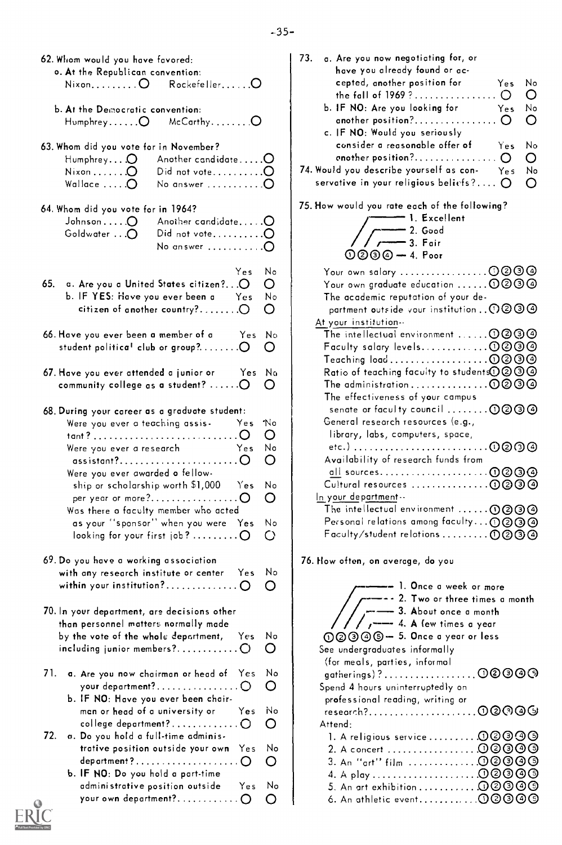| 62. Whom would you have favored:<br>o. At the Republican convention:<br>$N$ ixon. $O$ Rockefeller. $O$<br>b. At the Democratic convention:<br>Humphrey $O$ McCarthy $O$<br>63. Whom did you vote for in November?<br>$H$ umphrey $Q$<br>Another candidateO<br>Did not vote $O$<br>$N$ ixon $\dots$ $\overline{O}$<br>Wallace $\ldots$ . $\bigcirc$<br>No answer $\dots\dots\dots\dots$<br>64. Whom did you vote for in 1964? | 73.<br>a. Are you now n<br>have you alrea<br>cepted, anothe<br>the fall of 1969<br>b. IF NO: Are yo<br>another positic<br>c. IF NO: Would<br>consider a rea-<br>enother positic<br>74. Would you describe<br>servative in your re<br>75. How would you rate |
|------------------------------------------------------------------------------------------------------------------------------------------------------------------------------------------------------------------------------------------------------------------------------------------------------------------------------------------------------------------------------------------------------------------------------|-------------------------------------------------------------------------------------------------------------------------------------------------------------------------------------------------------------------------------------------------------------|
| Johnson $\dots$ . $O$<br>Another candidate $O$<br>Goldwater $\ldots$ O<br>Did not vote $O$<br>No answer $\dots\dots\dots\dots$<br>Yes<br>No                                                                                                                                                                                                                                                                                  | 0000 -<br>Your own salary.                                                                                                                                                                                                                                  |
| 65.<br>a. Are you a United States citizen? O<br>O<br>b. IF YES: Have you ever been a<br>Yes<br>No<br>citizen of another country? $\bigcirc$<br>O                                                                                                                                                                                                                                                                             | Your own graduat<br>The academic rep<br>partment outside<br>At your institution-<br>The intellectual                                                                                                                                                        |
| 66. Have you ever been a member of a Yes<br>Nο<br>student political club or group? $O$<br>O                                                                                                                                                                                                                                                                                                                                  | Faculty salary le<br>Teaching load<br>Ratio of teaching                                                                                                                                                                                                     |
| 67. Have you ever attended a junior or Yes<br>No<br>community college as a student?  O<br>Ő                                                                                                                                                                                                                                                                                                                                  | The administratio<br>The effectivenes:<br>senate or facult                                                                                                                                                                                                  |
| 68. During your career as a graduate student:<br>Were you ever a teaching assis. Yes<br>'No<br>O<br>Were you ever a research Yes<br>No<br>O<br>Were you ever awarded o fellow-<br>ship or scholarship worth \$1,000 Yes<br>No<br>O<br>Was there a faculty member who acted<br>as your "sponsor" when you were Yes<br>No<br>looking for your first $\mathsf{job?}\dots\dots\mathsf{.}\mathsf{.}\mathsf{0}$<br>$\bigcirc$      | General research<br>library, labs, co<br>$etc.)$<br>Availability of re<br>all sources<br>Cultural resource<br>In your department-<br>The intellectual<br>Personal relation<br>Faculty/student                                                               |
| 69. Do you have a working association<br>No<br>with any research institute or center<br>Yes<br>( )                                                                                                                                                                                                                                                                                                                           | 76. How often, on aver                                                                                                                                                                                                                                      |
| 70. In your department, are decisions other<br>than personnel matters normally made<br>by the vote of the whole department, Yes<br>No<br>including junior members? $\bigcirc$<br>Ő                                                                                                                                                                                                                                           | See undergraduate<br>(for meals, partie                                                                                                                                                                                                                     |
| 71.<br>No<br>a. Are you now chairman or head of Yes<br>O<br>b. IF NO: Have you ever been chair-<br>No<br>man or head of a university or<br>Yes<br>$\mathsf{college}\ \mathsf{department?}\dots\dots\dots\bigcirc$<br>O                                                                                                                                                                                                       | $g$ atherings)? $\ldots$ .<br>Spend 4 hours unit<br>pr <b>o</b> fessional read<br>research?<br>Attend:                                                                                                                                                      |
| 72.<br>a. Do you hold a full-time adminis-<br>trative position outside your own Yes<br>No<br>$\mathsf{department?}\dots\dots\dots\dots\dots\dots\mathsf{O}$<br>O<br>b. IF NO: Do you hold a part-time<br>No<br>administrative position outside Yes                                                                                                                                                                           | 1. A religious se<br>$2.$ A concert $\dots$<br>3. An "art" film<br>4. A play<br>5. An art exhibit                                                                                                                                                           |
| O                                                                                                                                                                                                                                                                                                                                                                                                                            | 6. An athletic ev                                                                                                                                                                                                                                           |

| Full Text Provided by ERIC |
|----------------------------|

|   | 73. | a. Are you now negotiating for, or             |      |
|---|-----|------------------------------------------------|------|
|   |     | have you already found or ac-                  |      |
|   |     | cepted, another position for<br>Yes            | - No |
|   |     |                                                |      |
|   |     | b. IF NO: Are you looking for<br>Yes           | No   |
|   |     |                                                |      |
|   |     | c. IF NO: Would you seriously                  |      |
|   |     | consider a reasonable offer of<br>Yes          | - No |
| O |     |                                                |      |
| O |     | 74. Would you describe yourself as con- Yes No |      |
| O |     | servative in your religious beliefs? O         |      |
|   |     |                                                |      |

## 75. How would you rate each of the following?

| . 0                    | - 1. Excellent                                                                              |
|------------------------|---------------------------------------------------------------------------------------------|
| .O                     | 2. Good                                                                                     |
| $\ldots$ . $\Omega$    | - 3. Fair                                                                                   |
|                        | $\mathbb{O} \textcircled{s} \textcircled{s} \rightarrow 4$ . Poor                           |
| Yes<br>No              | Your own salary $\ldots \ldots \ldots \ldots \ldots \oplus \textcircled{3} \textcircled{4}$ |
| $\Omega$<br>O          | Your own graduate education $\ldots \ldots \mathbb{O} \mathbb{O} \mathbb{O} \mathbb{O}$     |
| Yes<br>No              | The academic reputation of your de-                                                         |
| .O                     | partment outside your institution $\mathbb{O} \mathbb{O} \mathbb{O}$                        |
|                        | At your institution --                                                                      |
| Yes<br>Nο              | The intellectual environment $\ldots \ldots \mathbb{O} \otimes \mathbb{O} \otimes$          |
| Ω                      | Faculty salary levels. $\dots\dots\dots\oplus \textcircled{3}\textcircled{4}$               |
|                        | Teaching load $\ldots \ldots \ldots \ldots \ldots \oplus \textcircled{3} \textcircled{9}$   |
| Yes<br>No              | Ratio of teaching faculty to students 10000                                                 |
|                        |                                                                                             |
|                        | The effectiveness of your campus                                                            |
| nt:                    | senate or faculty council $0@@@$                                                            |
| Yes<br>*lo             | General research resources (e.g.,                                                           |
| .O<br>$\left( \right)$ | library, labs, computers, space,                                                            |
| No<br>Yes              |                                                                                             |
| . O<br>O               | Availability of research funds from                                                         |
|                        |                                                                                             |
| $Y_{es}$<br>No         |                                                                                             |
| . O<br>( )             | In your department --                                                                       |
| H                      | The intellectual environment  0000                                                          |
| Yes<br>No              | Personal relations among faculty 0000                                                       |
| . O<br>O               | Faculty/student relations $0@@@$                                                            |
|                        |                                                                                             |

## 76. How often, on average, do you

| Yes. | No  |                                                                            |
|------|-----|----------------------------------------------------------------------------|
|      |     | ———— 1. Once a week or more                                                |
|      |     | --- 2. Two or three times a month                                          |
|      |     | ---- 3. About once a month                                                 |
|      |     | $\sqrt{$ $\rightarrow$ $\rightarrow$ 4. A few times a year                 |
| Yes  | No  | ①②③④9-5. Once a year or less                                               |
|      |     | See undergraduates informally                                              |
|      |     | (for meals, parties, informal                                              |
| Yes  | No  |                                                                            |
|      |     | Spend 4 hours uninterruptedly on                                           |
|      |     | professional reading, writing or                                           |
| Yes  | No. |                                                                            |
|      |     | Attend :                                                                   |
|      |     | 1. A religious service  000906                                             |
| Yes  | No  |                                                                            |
|      |     |                                                                            |
|      |     |                                                                            |
| Yes  | No  | 5. An art exhibition $\mathcal{0} \otimes \mathcal{0} \otimes \mathcal{C}$ |
|      |     |                                                                            |
|      |     |                                                                            |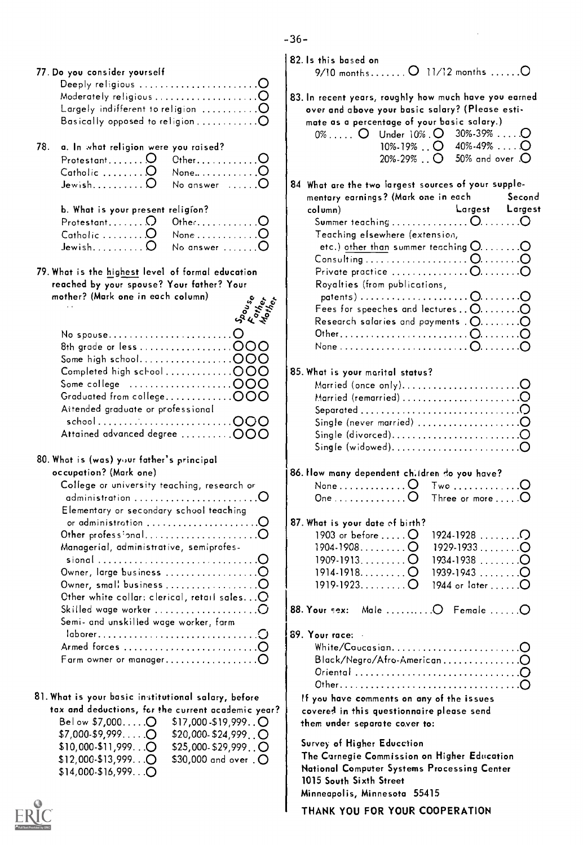$\bar{z}$ 

|     |                                                                     | 82. Is this based on                                                   |
|-----|---------------------------------------------------------------------|------------------------------------------------------------------------|
|     | 77. Do you consider yourself                                        | $9/10$ months $O$ 11/12 months $O$                                     |
|     | Deeply religious $\ldots \ldots \ldots \ldots \ldots \ldots \ldots$ |                                                                        |
|     | Moderately religious $\ldots \ldots \ldots \ldots \ldots \ldots$    | 83. In recent years, roughly how much have you earned                  |
|     |                                                                     |                                                                        |
|     |                                                                     | over and above your basic salary? (Please esti-                        |
|     | Basically opposed to religion $\mathsf{O}$                          | mate as a percentage of your basic salary.)                            |
|     |                                                                     | $0\%$ O Under 10% O 30%-39%O                                           |
| 78. | a. In what religion were you raised?                                | $10\% - 19\%$ . 0 $40\% - 49\%$ . O                                    |
|     | $Protestant$ $O$                                                    | 20%-29% O 50% and over . O                                             |
|     | Catholic $\ldots \ldots \ldots$                                     |                                                                        |
|     | $J$ ewish $O$<br>No answer $\dots$                                  | 84 What are the two largest sources of your supple-                    |
|     |                                                                     |                                                                        |
|     |                                                                     | mentary earnings? (Mark one in each<br>Second                          |
|     | b. What is your present religion?                                   | Largest<br>$column$ )<br>Largest                                       |
|     | $Protestant. \ldots. Q$<br>Other $O$                                | Summer teaching  OO                                                    |
|     | Catholic $\ldots \ldots \ldots$<br>None $\dots \dots \dots$         | Teaching elsewhere (extension,                                         |
|     | Jewish $\mathsf{O}$<br>No answer $\dots \dots$                      | etc.) other than summer teaching $\mathsf{O}\dots\ldots\mathsf{O}$     |
|     |                                                                     |                                                                        |
|     | 79. What is the highest level of formal education                   | Private practice $\ldots \ldots \ldots \ldots \ldots$                  |
|     | reached by your spouse? Your father? Your                           | Royalties (from publications,                                          |
|     |                                                                     |                                                                        |
|     | mother? (Mark one in each column)<br>Spou <sub>lse</sub><br>Fortier |                                                                        |
|     |                                                                     |                                                                        |
|     |                                                                     | Research salaries and payments $, \bigcirc, \ldots, \ldots$            |
|     |                                                                     |                                                                        |
|     |                                                                     |                                                                        |
|     |                                                                     |                                                                        |
|     | $Completed$ high school $OOO$                                       | 85. What is your marital status?                                       |
|     |                                                                     |                                                                        |
|     | Some college $\ldots \ldots \ldots \ldots \ldots \ldots \text{OOO}$ |                                                                        |
|     | Graduated from collegeOOO                                           | Married (remarried) $\ldots \ldots \ldots \ldots \ldots \ldots \ldots$ |
|     | Attended graduate or professional                                   |                                                                        |
|     |                                                                     | Single (never married) $\dots\dots\dots\dots\dots\dots\dots$           |
|     | Attained advanced degree OOO                                        |                                                                        |
|     |                                                                     |                                                                        |
|     | 80. What is (was) your father's principal                           |                                                                        |
|     |                                                                     |                                                                        |
|     | occupation? (Mark one)                                              | 86. How many dependent children do you have?                           |
|     | College or university teaching, research or                         | None $O$ Two 0                                                         |
|     |                                                                     | One $\dots \dots \dots \dots$ O Three or more $\dots \dots$ O          |
|     | Elementary or secondary school teaching                             |                                                                        |
|     |                                                                     | 87. What is your date of birth?                                        |
|     |                                                                     | $1924 - 1928$<br>1903 or before $\ldots$ . O                           |
|     | Managerial, administrative, semiprofes-                             | $1904 - 1908 \ldots$                                                   |
|     |                                                                     |                                                                        |
|     |                                                                     | $1909 - 1913 \ldots$<br>$1934 - 1938$ O                                |
|     |                                                                     | $1939 - 1943$                                                          |
|     |                                                                     | 1919.19230<br>1944 or later $\dots$ . O                                |
|     | Other white collar: clerical, retail sales $O$                      |                                                                        |
|     | Skilled wage worker $\dots\dots\dots\dots\dots\dots\dots$           | 88. Your sex: Male  O Female  O                                        |
|     | Semi- and unskilled wage worker, farm                               |                                                                        |
|     |                                                                     | 89. Your race:                                                         |
|     |                                                                     |                                                                        |
|     |                                                                     |                                                                        |
|     |                                                                     | Black/Negro/Afro-AmericanO                                             |
|     |                                                                     |                                                                        |
|     |                                                                     |                                                                        |
|     | 81. What is your basic institutional salary, before                 | If you have comments on any of the issues                              |
|     | tax and deductions, for the current academic year?                  | covered in this questionnaire please send                              |
|     | $$17,000 - $19,999$ . . O<br>Below $$7,000$ $O$                     |                                                                        |
|     |                                                                     | them under separate cover to:                                          |
|     | $$7,000-$9,999$<br>$$20,000-S24,999.$ O                             | Survey of Higher Educction                                             |
|     | $$25,000 - $29,999$ . O<br>$$10,000 - $11,999$ O                    |                                                                        |
|     | $$12,000 - $13,999$<br>\$30,000 and over . $\bigcirc$               | The Carnegie Commission on Higher Education                            |
|     | $$14,000-16,999$ O                                                  | National Computer Systems Processing Center                            |
|     |                                                                     |                                                                        |
|     |                                                                     | 1015 South Sixth Street<br>Minneapolis, Minnesota 55415                |

 $\overline{\phantom{a}}$ 

THANK YOU FOR YOUR COOPERATION

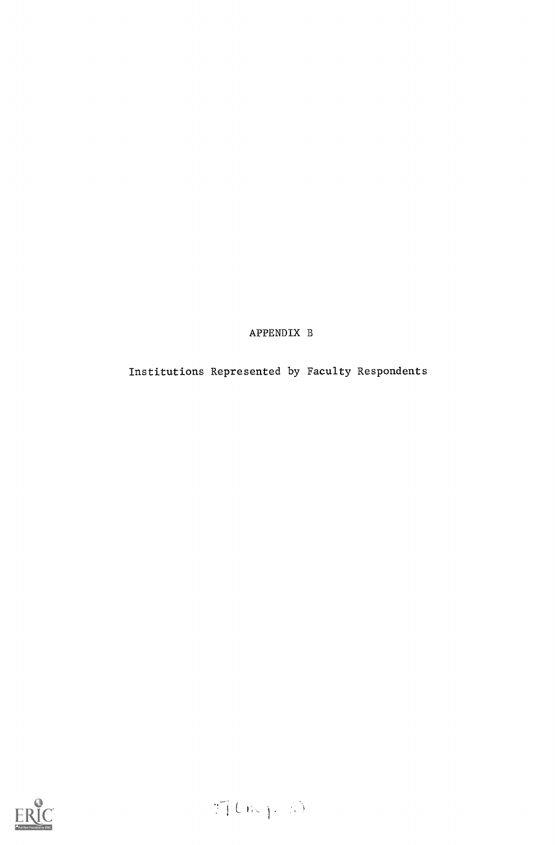APPENDIX B

Institutions Represented by Faculty Respondents

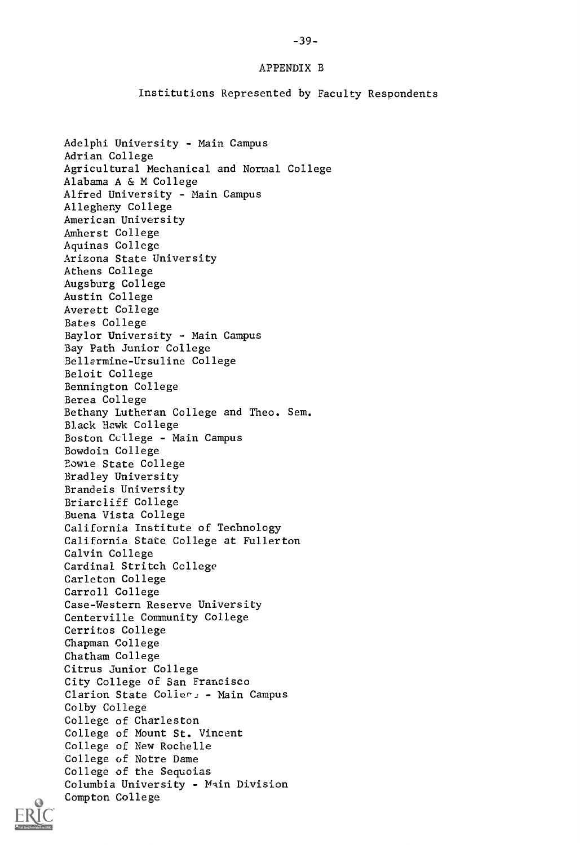## APPENDIX B

## Institutions Represented by Faculty Respondents

Adelphi University - Main Campus Adrian College Agricultural Mechanical and Normal College Alabama A & M College Alfred University - Main Campus Allegheny College American University Amherst College Aquinas College Arizona State University Athens College Augsburg College Austin College Averett College Bates College Baylor University - Main Campus Bay Path Junior College Bellarmine-Ursuline College Beloit College Bennington College Berea College Bethany Lutheran College and Theo. Sem. Black Hcwk College Boston Ccllege - Main Campus Bowdoin College Bowie State College Bradley University Brandeis University Briarcliff College Buena Vista College California Institute of Technology California State College at Fullerton Calvin College Cardinal Stritch College Carleton College Carroll College Case-Western Reserve University Centerville Community College Cerritos College Chapman College Chatham College Citrus Junior College City College of San Francisco Clarion State Coller: - Main Campus Colby College College of Charleston College of Mount St. Vincent College of New Rochelle College of Notre Dame College of the Sequoias Columbia University - Main Division Compton College

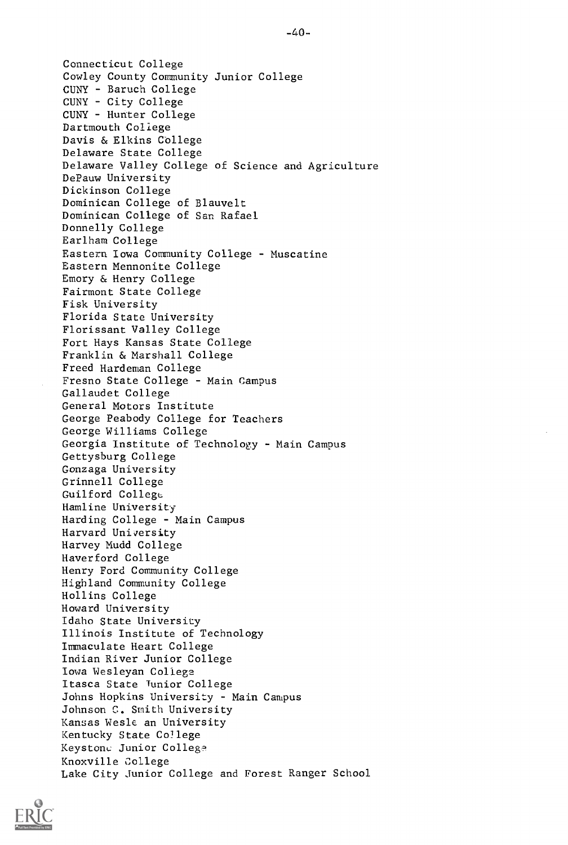Connecticut College Cowley County Community Junior College CUNY - Baruch College CUNY - City College CUNY - Hunter College Dartmouth College Davis & Elkins College Delaware State College Delaware Valley College of Science and Agriculture DePauw University Dickinson College Dominican College of Blauvelt Dominican College of San Rafael Donnelly College Earlham College Eastern Iowa Community College - Muscatine Eastern Mennonite College Emory & Henry College Fairmont State College Fisk University Florida State University Florissant Valley College Fort Hays Kansas State College Franklin & Marshall College Freed Hardeman College Fresno State College - Main Campus Gallaudet College General Motors Institute George Peabody College for Teachers George Williams College Georgia Institute of Technology - Main Campus Gettysburg College Gonzaga University Grinnell College Guilford College Hamline University Harding College - Main Campus Harvard University Harvey Mudd College Haverford College Henry Ford Community College Highland Community College Hollins College Howard University Idaho State University Illinois Institute of Technology Immaculate Heart College Indian River Junior College Iowa Wesleyan College Itasca State Junior College Johns Hopkins University - Main Campus Johnson C. Smith University Kansas Wesle an University Kentucky State College Keystone Junior College Knoxville College Lake City Junior College and Forest Ranger School

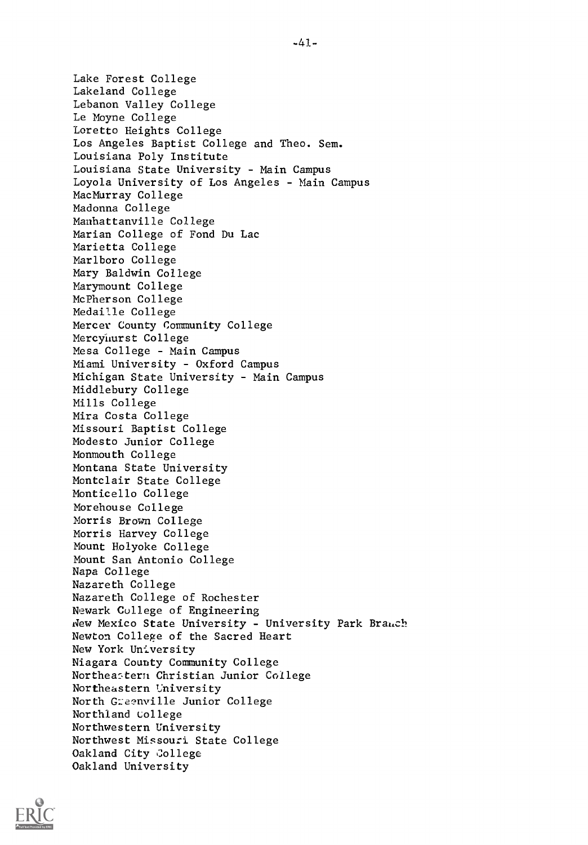Lake Forest College Lakeland College Lebanon Valley College Le Moyne College Loretto Heights College Los Angeles Baptist College and Theo. Sem. Louisiana Poly Institute Louisiana State University - Main Campus Loyola University of Los Angeles - Main Campus MacMurray College Madonna College Manhattanville College Marian College of Fond Du Lac Marietta College Marlboro College Mary Baldwin College Marymount College McPherson College Medaille College Mercer County Community College Mercyllurst College Mesa College - Main Campus Miami University - Oxford Campus Michigan State University - Main Campus Middlebury College Mills College Mira Costa College Missouri Baptist College Modesto Junior College Monmouth College Montana State University Montclair State College Monticello College Morehouse College Morris Brown College Morris Harvey College Mount Holyoke College Mount San Antonio College Napa College Nazareth College Nazareth College of Rochester Newark College of Engineering New Mexico State University - University Park Branch Newton College of the Sacred Heart New York University Niagara County Community College Northeastern Christian Junior College Northeastern University North Greenville Junior College Northland college Northwestern University Northwest Missouri State College Oakland City College Oakland University

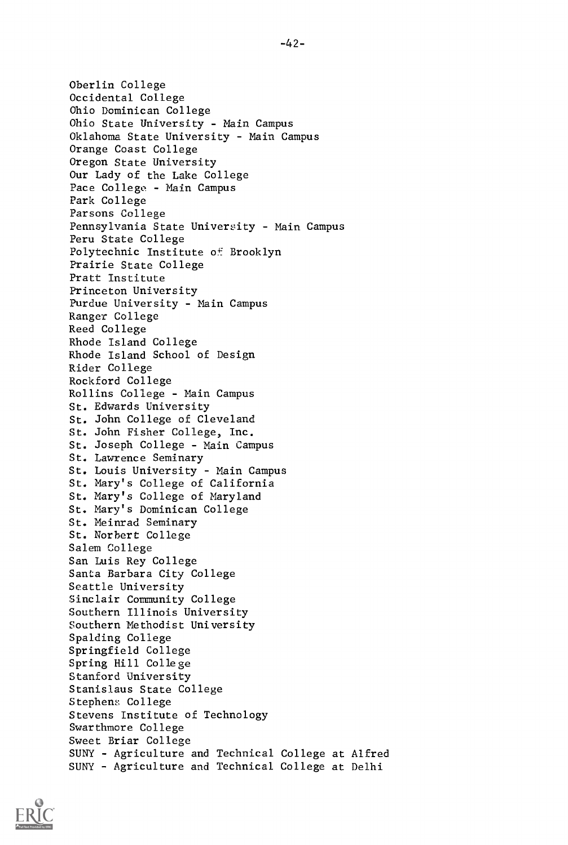Oberlin College Occidental College Ohio Dominican College Ohio State University - Main Campus Oklahoma State University - Main Campus Orange Coast College Oregon State University Our Lady of the Lake College Pace College - Main Campus Park College Parsons College Pennsylvania State University - Main Campus Peru State College Polytechnic Institute of Brooklyn Prairie State College Pratt Institute Princeton University Purdue University - Main Campus Ranger College Reed College Rhode Island College Rhode Island School of Design Rider College Rockford College Rollins College - Main Campus St. Edwards University St. John College of Cleveland St. John Fisher College, Inc. St. Joseph College - Main Campus St. Lawrence Seminary St. Louis University - Main Campus St. Mary's College of California St. Mary's College of Maryland St. Mary's Dominican College St. Meinrad Seminary St. Norbert College Salem College San Luis Rey College Santa Barbara City College Seattle University Sinclair Community College Southern Illinois University Southern Methodist University Spalding College Springfield College Spring Hill College Stanford University Stanislaus State College Stephens College Stevens Institute of Technology Swarthmore College Sweet Briar College SUNY - Agriculture and Technical College at Alfred SUNY - Agriculture and Technical College at Delhi

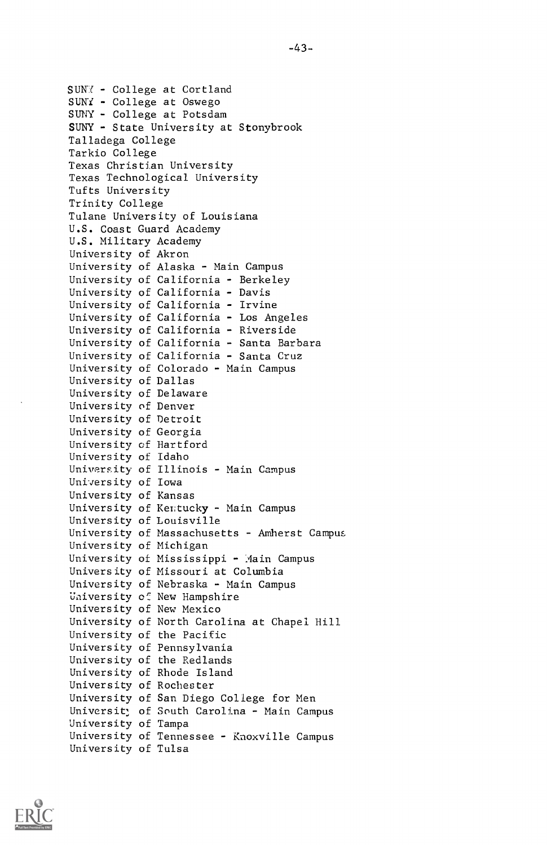SUNI - College at Cortland SUN/ - College at Oswego SUNY - College at Potsdam SUNY - State University at Stonybrook Talladega College Tarkio College Texas Christian University Texas Technological University Tufts University Trinity College Tulane University of Louisiana U.S. Coast Guard Academy U.S. Military Academy University of Akron University of Alaska - Main Campus University of California - Berkeley University of California - Davis University of California - Irvine University of California - Los Angeles University of California - Riverside University of California - Santa Barbara University of California - Santa Cruz University of Colorado - Main Campus University of Dallas University of Delaware University of Denver University of Detroit University of Georgia University of Hartford University of Idaho University of Illinois - Main Campus University of Iowa University of Kansas University of Kentucky - Main Campus University of Louisville University of Massachusetts - Amherst Campus University of Michigan University of Mississippi - Main Campus University of Missouri at Columbia University of Nebraska - Main Campus University of New Hampshire University of New Mexico University of North Carolina at Chapel Hill University of the Pacific University of Pennsylvania University of the Redlands University of Rhode Island University of Rochester University of San Diego College for Men Universit: of South Carolina - Main Campus University of Tampa University of Tennessee - Knoxville Campus University of Tulsa

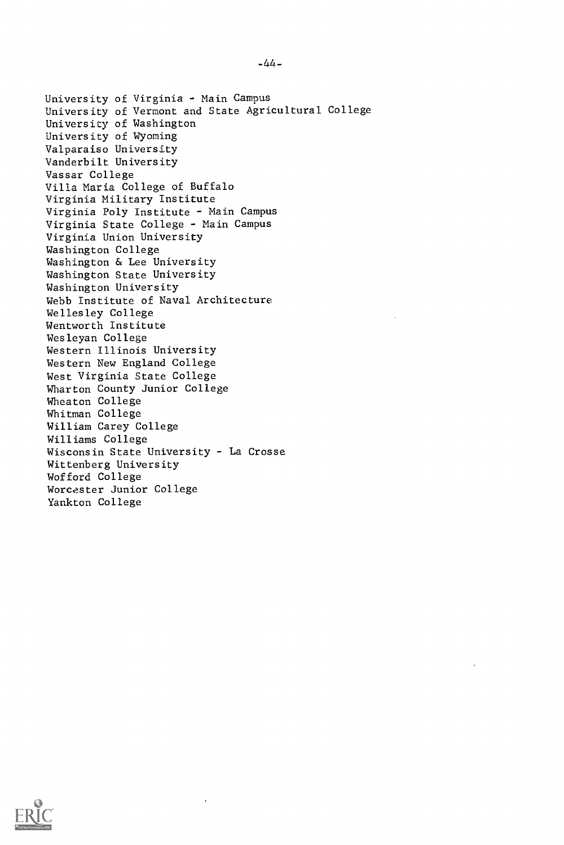University of Virginia - Main Campus University of Vermont and State Agricultural College University of Washington University of Wyoming Valparaiso University Vanderbilt University Vassar College Villa Maria College of Buffalo Virginia Military Institute Virginia Poly Institute - Main Campus Virginia State College - Main Campus Virginia Union University Washington College Washington & Lee University Washington State University Washington University Webb Institute of Naval Architecture Wellesley College Wentworth Institute Wesleyan College Western Illinois University Western New England College West Virginia State College Wharton County Junior College Wheaton College Whitman College William Carey College Williams College Wisconsin State University - La Crosse Wittenberg University Wofford College Worcester Junior College Yankton College

 $\mathbf{r}$ 

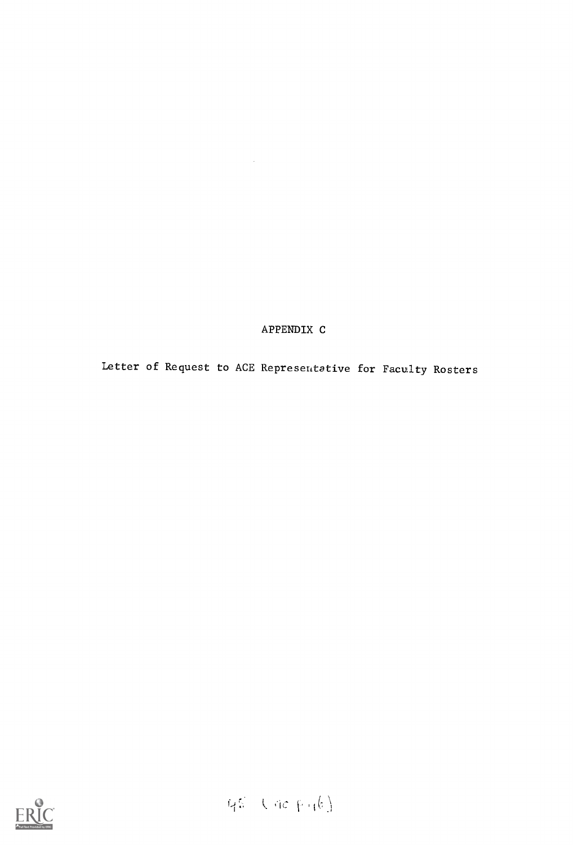## APPENDIX C

 $\sim 10^{-1}$ 

Letter of Request to ACE Representative for Faculty Rosters

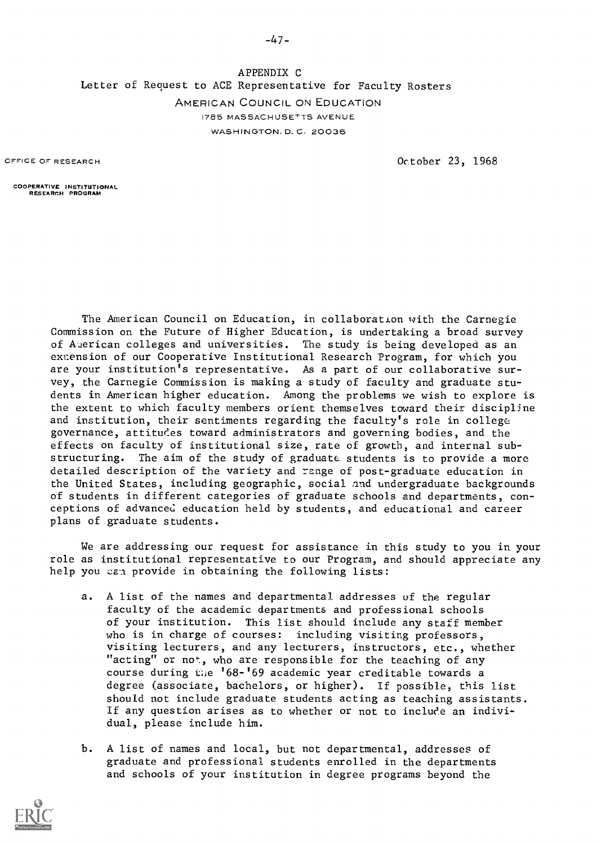OFFICE OF RESEARCH

October 23, 1968

COOPERATIVE INSTITUTIONAL RESEARCH PROGRAM

> The American Council on Education, in collaboration with the Carnegie Commission on the Future of Higher Education, is undertaking a broad survey of American colleges and universities. The study is being developed as an extension of our Cooperative Institutional Research Program, for which you are your institution's representative. As a part of our collaborative survey, the Carnegie Commission is making a study of faculty and graduate students in American higher education. Among the problems we wish to explore is the extent to which faculty members orient themselves toward their discipline and institution, their sentiments regarding the faculty's role in college governance, attitudes toward administrators and governing bodies, and the effects on faculty of institutional size, rate of growth, and internal substructuring. The aim of the study of graduate students is to provide a more detailed description of the variety and range of post-graduate education in the United States, including geographic, social and undergraduate backgrounds of students in different categories of graduate schools and departments, conceptions of advanced education held by students, and educational and career plans of graduate students.

We are addressing our request for assistance in this study to you in your role as institutional representative to our Program, and should appreciate any help you can provide in obtaining the following lists:

- a. A list of the names and departmental addresses of the regular faculty of the academic departments and professional schools of your institution. This list should include any staff member who is in charge of courses: including visiting professors, visiting lecturers, and any lecturers, instructors, etc., whether "acting" or not, who are responsible for the teaching of any course during the '68-'69 academic year creditable towards a degree (associate, bachelors, or higher). If possible, this list should not include graduate students acting as teaching assistants. If any question arises as to whether or not to include an individual, please include him.
- b. A list of names and local, but not departmental, addresses of graduate and professional students enrolled in the departments and schools of your institution in degree programs beyond the

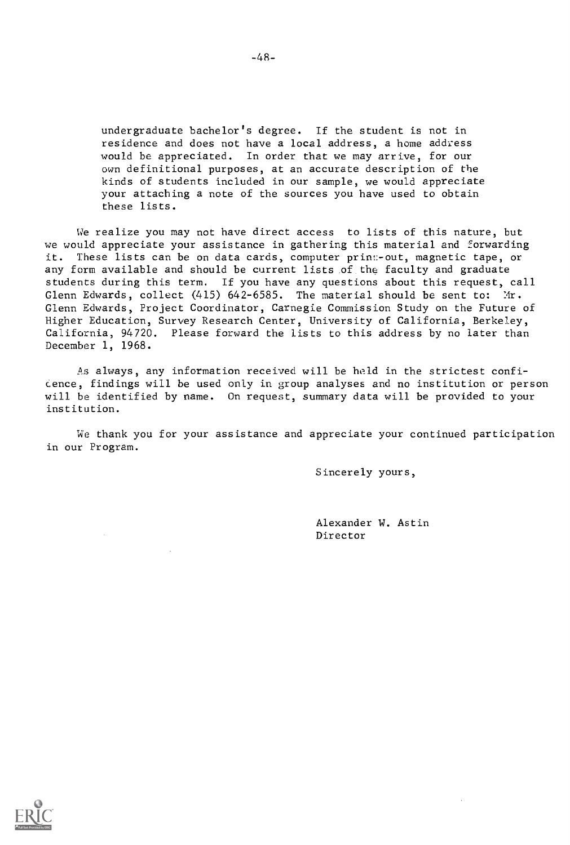undergraduate bachelor's degree. If the student is not in residence and does not have a local address, a home address would be appreciated. In order that we may arrive, for our own definitional purposes, at an accurate description of the kinds of students included in our sample, we would appreciate your attaching a note of the sources you have used to obtain these lists.

We realize you may not have direct access to lists of this nature, but we would appreciate your assistance in gathering this material and forwarding it. These lists can be on data cards, computer print-out, magnetic tape, or any form available and should be current lists of the faculty and graduate students during this term. If you have any questions about this request, call Glenn Edwards, collect  $(415)$  642-6585. The material should be sent to:  $Mr$ . Glenn Edwards, Project Coordinator, Carnegie Commission Study on the Future of Higher Education, Survey Research Center, University of California, Berkeley, California, 94720. Please forward the lists to this address by no later than December 1, 1968.

As always, any information received will be held in the strictest confi-Cence, findings will be used only in group analyses and no institution or person will be identified by name. On request, summary data will be provided to your institution.

We thank you for your assistance and appreciate your continued participation in our Program.

Sincerely yours,

Alexander W. Astin Director